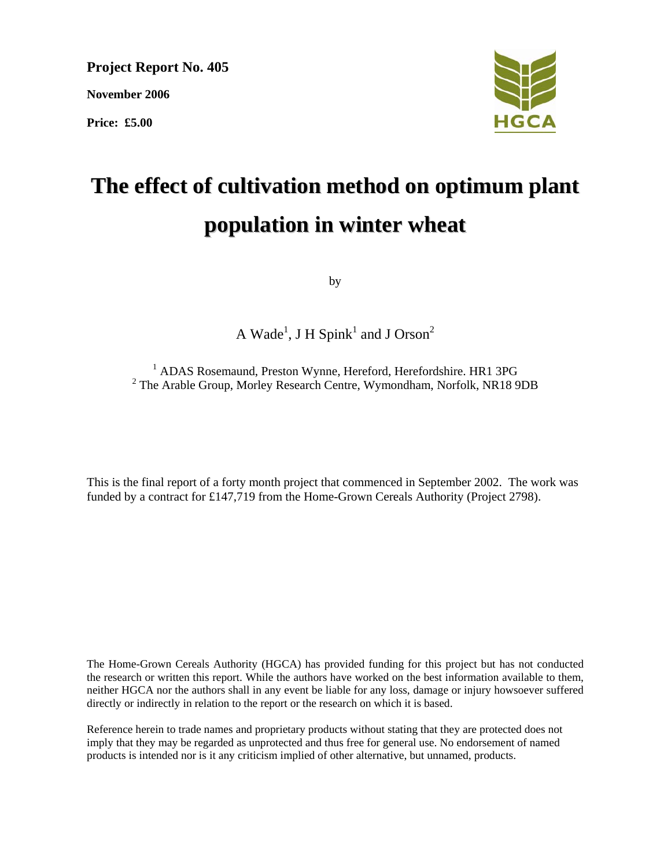**Project Report No. 405 November 2006 Price: £5.00** 



# **The effect of cultivation method on optimum plant population in winter wheat**

by

A Wade<sup>1</sup>, J H Spink<sup>1</sup> and J Orson<sup>2</sup>

<sup>1</sup> ADAS Rosemaund, Preston Wynne, Hereford, Herefordshire. HR1 3PG <sup>2</sup> The Arable Group, Morley Research Centre, Wymondham, Norfolk, NR18 9DB

This is the final report of a forty month project that commenced in September 2002. The work was funded by a contract for £147,719 from the Home-Grown Cereals Authority (Project 2798).

The Home-Grown Cereals Authority (HGCA) has provided funding for this project but has not conducted the research or written this report. While the authors have worked on the best information available to them, neither HGCA nor the authors shall in any event be liable for any loss, damage or injury howsoever suffered directly or indirectly in relation to the report or the research on which it is based.

Reference herein to trade names and proprietary products without stating that they are protected does not imply that they may be regarded as unprotected and thus free for general use. No endorsement of named products is intended nor is it any criticism implied of other alternative, but unnamed, products.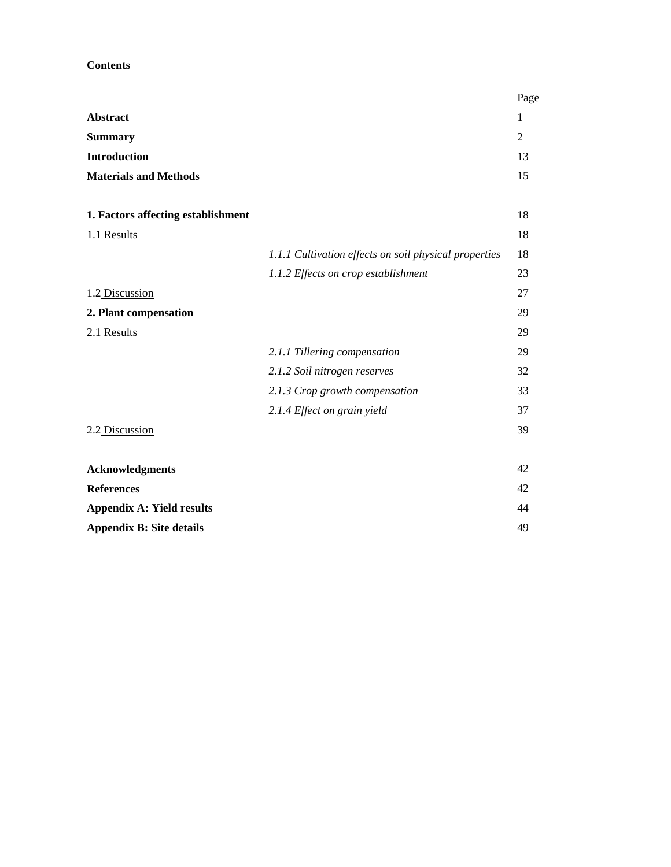## **Contents**

|                                    |                                                       | Page           |
|------------------------------------|-------------------------------------------------------|----------------|
| Abstract                           |                                                       | 1              |
| <b>Summary</b>                     |                                                       | $\overline{2}$ |
| <b>Introduction</b>                |                                                       | 13             |
| <b>Materials and Methods</b>       |                                                       | 15             |
|                                    |                                                       |                |
| 1. Factors affecting establishment |                                                       | 18             |
| 1.1 Results                        |                                                       | 18             |
|                                    | 1.1.1 Cultivation effects on soil physical properties | 18             |
|                                    | 1.1.2 Effects on crop establishment                   | 23             |
| 1.2 Discussion                     |                                                       | 27             |
| 2. Plant compensation              |                                                       | 29             |
| 2.1 Results                        |                                                       | 29             |
|                                    | 2.1.1 Tillering compensation                          | 29             |
|                                    | 2.1.2 Soil nitrogen reserves                          | 32             |
|                                    | 2.1.3 Crop growth compensation                        | 33             |
|                                    | 2.1.4 Effect on grain yield                           | 37             |
| 2.2 Discussion                     |                                                       | 39             |
|                                    |                                                       |                |
| <b>Acknowledgments</b>             |                                                       | 42             |
| <b>References</b>                  |                                                       | 42             |
| <b>Appendix A: Yield results</b>   |                                                       | 44             |
| <b>Appendix B: Site details</b>    |                                                       | 49             |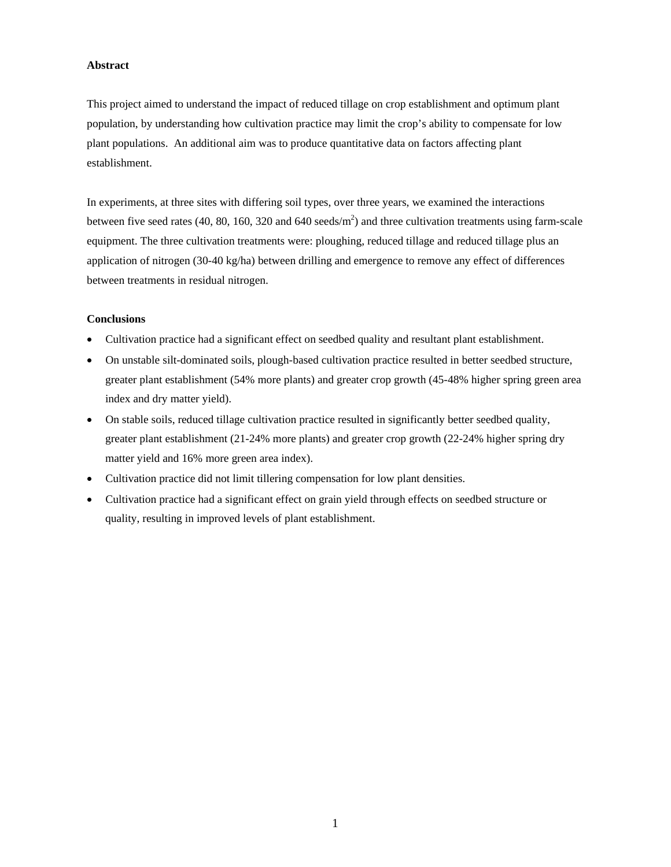#### **Abstract**

This project aimed to understand the impact of reduced tillage on crop establishment and optimum plant population, by understanding how cultivation practice may limit the crop's ability to compensate for low plant populations. An additional aim was to produce quantitative data on factors affecting plant establishment.

In experiments, at three sites with differing soil types, over three years, we examined the interactions between five seed rates (40, 80, 160, 320 and 640 seeds/m<sup>2</sup>) and three cultivation treatments using farm-scale equipment. The three cultivation treatments were: ploughing, reduced tillage and reduced tillage plus an application of nitrogen (30-40 kg/ha) between drilling and emergence to remove any effect of differences between treatments in residual nitrogen.

#### **Conclusions**

- Cultivation practice had a significant effect on seedbed quality and resultant plant establishment.
- On unstable silt-dominated soils, plough-based cultivation practice resulted in better seedbed structure, greater plant establishment (54% more plants) and greater crop growth (45-48% higher spring green area index and dry matter yield).
- On stable soils, reduced tillage cultivation practice resulted in significantly better seedbed quality, greater plant establishment (21-24% more plants) and greater crop growth (22-24% higher spring dry matter yield and 16% more green area index).
- Cultivation practice did not limit tillering compensation for low plant densities.
- Cultivation practice had a significant effect on grain yield through effects on seedbed structure or quality, resulting in improved levels of plant establishment.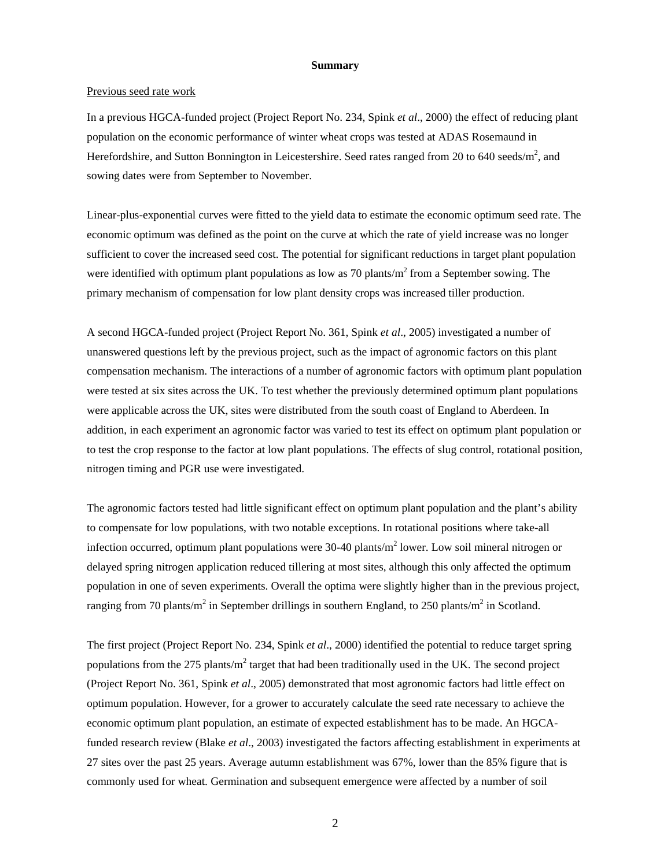#### **Summary**

#### Previous seed rate work

In a previous HGCA-funded project (Project Report No. 234, Spink *et al*., 2000) the effect of reducing plant population on the economic performance of winter wheat crops was tested at ADAS Rosemaund in Herefordshire, and Sutton Bonnington in Leicestershire. Seed rates ranged from 20 to 640 seeds/m<sup>2</sup>, and sowing dates were from September to November.

Linear-plus-exponential curves were fitted to the yield data to estimate the economic optimum seed rate. The economic optimum was defined as the point on the curve at which the rate of yield increase was no longer sufficient to cover the increased seed cost. The potential for significant reductions in target plant population were identified with optimum plant populations as low as 70 plants/ $m<sup>2</sup>$  from a September sowing. The primary mechanism of compensation for low plant density crops was increased tiller production.

A second HGCA-funded project (Project Report No. 361, Spink *et al*., 2005) investigated a number of unanswered questions left by the previous project, such as the impact of agronomic factors on this plant compensation mechanism. The interactions of a number of agronomic factors with optimum plant population were tested at six sites across the UK. To test whether the previously determined optimum plant populations were applicable across the UK, sites were distributed from the south coast of England to Aberdeen. In addition, in each experiment an agronomic factor was varied to test its effect on optimum plant population or to test the crop response to the factor at low plant populations. The effects of slug control, rotational position, nitrogen timing and PGR use were investigated.

The agronomic factors tested had little significant effect on optimum plant population and the plant's ability to compensate for low populations, with two notable exceptions. In rotational positions where take-all infection occurred, optimum plant populations were 30-40 plants/m<sup>2</sup> lower. Low soil mineral nitrogen or delayed spring nitrogen application reduced tillering at most sites, although this only affected the optimum population in one of seven experiments. Overall the optima were slightly higher than in the previous project, ranging from 70 plants/m<sup>2</sup> in September drillings in southern England, to 250 plants/m<sup>2</sup> in Scotland.

The first project (Project Report No. 234, Spink *et al*., 2000) identified the potential to reduce target spring populations from the 275 plants/ $m^2$  target that had been traditionally used in the UK. The second project (Project Report No. 361, Spink *et al*., 2005) demonstrated that most agronomic factors had little effect on optimum population. However, for a grower to accurately calculate the seed rate necessary to achieve the economic optimum plant population, an estimate of expected establishment has to be made. An HGCAfunded research review (Blake *et al*., 2003) investigated the factors affecting establishment in experiments at 27 sites over the past 25 years. Average autumn establishment was 67%, lower than the 85% figure that is commonly used for wheat. Germination and subsequent emergence were affected by a number of soil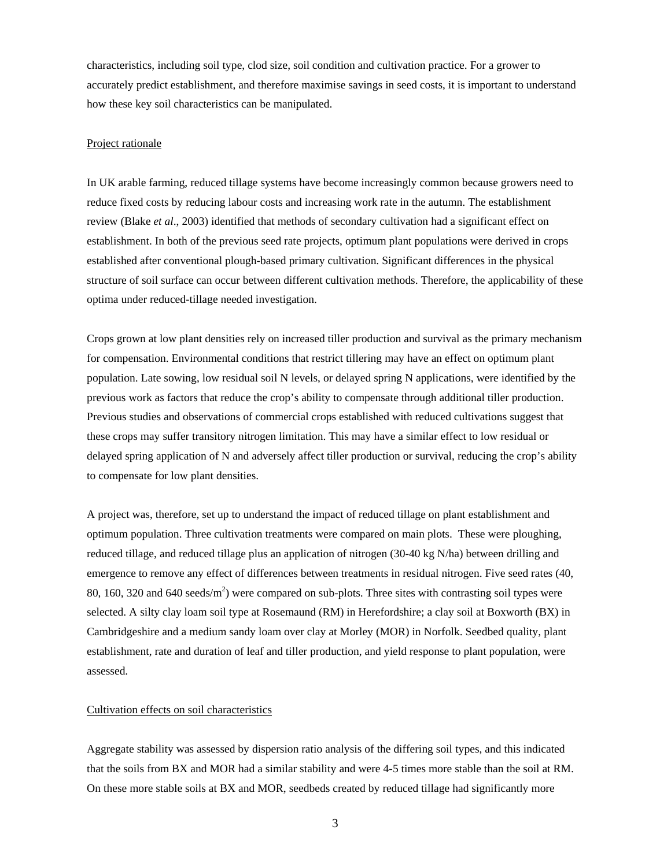characteristics, including soil type, clod size, soil condition and cultivation practice. For a grower to accurately predict establishment, and therefore maximise savings in seed costs, it is important to understand how these key soil characteristics can be manipulated.

#### Project rationale

In UK arable farming, reduced tillage systems have become increasingly common because growers need to reduce fixed costs by reducing labour costs and increasing work rate in the autumn. The establishment review (Blake *et al*., 2003) identified that methods of secondary cultivation had a significant effect on establishment. In both of the previous seed rate projects, optimum plant populations were derived in crops established after conventional plough-based primary cultivation. Significant differences in the physical structure of soil surface can occur between different cultivation methods. Therefore, the applicability of these optima under reduced-tillage needed investigation.

Crops grown at low plant densities rely on increased tiller production and survival as the primary mechanism for compensation. Environmental conditions that restrict tillering may have an effect on optimum plant population. Late sowing, low residual soil N levels, or delayed spring N applications, were identified by the previous work as factors that reduce the crop's ability to compensate through additional tiller production. Previous studies and observations of commercial crops established with reduced cultivations suggest that these crops may suffer transitory nitrogen limitation. This may have a similar effect to low residual or delayed spring application of N and adversely affect tiller production or survival, reducing the crop's ability to compensate for low plant densities.

A project was, therefore, set up to understand the impact of reduced tillage on plant establishment and optimum population. Three cultivation treatments were compared on main plots. These were ploughing, reduced tillage, and reduced tillage plus an application of nitrogen (30-40 kg N/ha) between drilling and emergence to remove any effect of differences between treatments in residual nitrogen. Five seed rates (40, 80, 160, 320 and 640 seeds/ $m<sup>2</sup>$ ) were compared on sub-plots. Three sites with contrasting soil types were selected. A silty clay loam soil type at Rosemaund (RM) in Herefordshire; a clay soil at Boxworth (BX) in Cambridgeshire and a medium sandy loam over clay at Morley (MOR) in Norfolk. Seedbed quality, plant establishment, rate and duration of leaf and tiller production, and yield response to plant population, were assessed.

#### Cultivation effects on soil characteristics

Aggregate stability was assessed by dispersion ratio analysis of the differing soil types, and this indicated that the soils from BX and MOR had a similar stability and were 4-5 times more stable than the soil at RM. On these more stable soils at BX and MOR, seedbeds created by reduced tillage had significantly more

3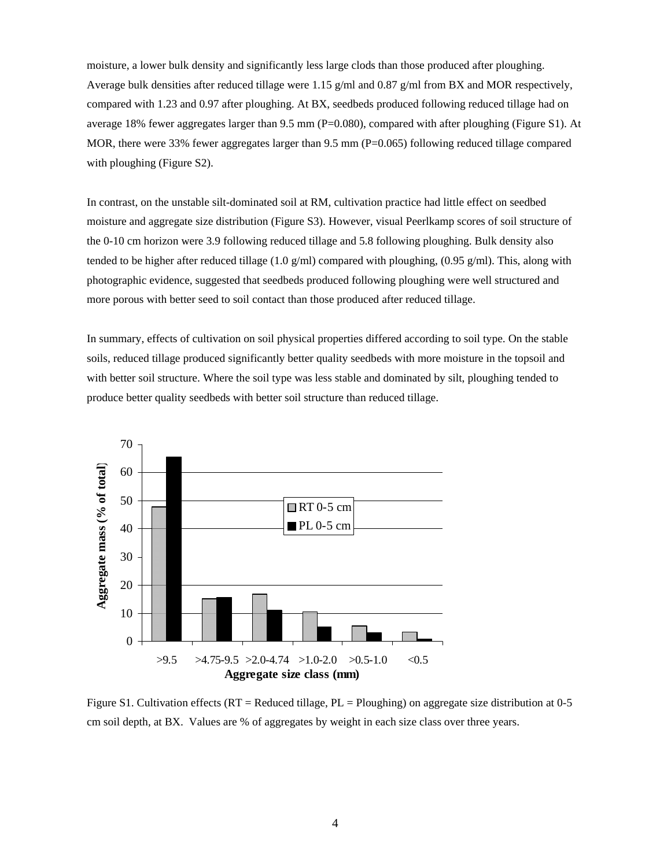moisture, a lower bulk density and significantly less large clods than those produced after ploughing. Average bulk densities after reduced tillage were 1.15 g/ml and 0.87 g/ml from BX and MOR respectively, compared with 1.23 and 0.97 after ploughing. At BX, seedbeds produced following reduced tillage had on average 18% fewer aggregates larger than 9.5 mm (P=0.080), compared with after ploughing (Figure S1). At MOR, there were 33% fewer aggregates larger than 9.5 mm (P=0.065) following reduced tillage compared with ploughing (Figure S2).

In contrast, on the unstable silt-dominated soil at RM, cultivation practice had little effect on seedbed moisture and aggregate size distribution (Figure S3). However, visual Peerlkamp scores of soil structure of the 0-10 cm horizon were 3.9 following reduced tillage and 5.8 following ploughing. Bulk density also tended to be higher after reduced tillage (1.0 g/ml) compared with ploughing, (0.95 g/ml). This, along with photographic evidence, suggested that seedbeds produced following ploughing were well structured and more porous with better seed to soil contact than those produced after reduced tillage.

In summary, effects of cultivation on soil physical properties differed according to soil type. On the stable soils, reduced tillage produced significantly better quality seedbeds with more moisture in the topsoil and with better soil structure. Where the soil type was less stable and dominated by silt, ploughing tended to produce better quality seedbeds with better soil structure than reduced tillage.



Figure S1. Cultivation effects ( $RT =$ Reduced tillage,  $PL =$ Ploughing) on aggregate size distribution at 0-5 cm soil depth, at BX. Values are % of aggregates by weight in each size class over three years.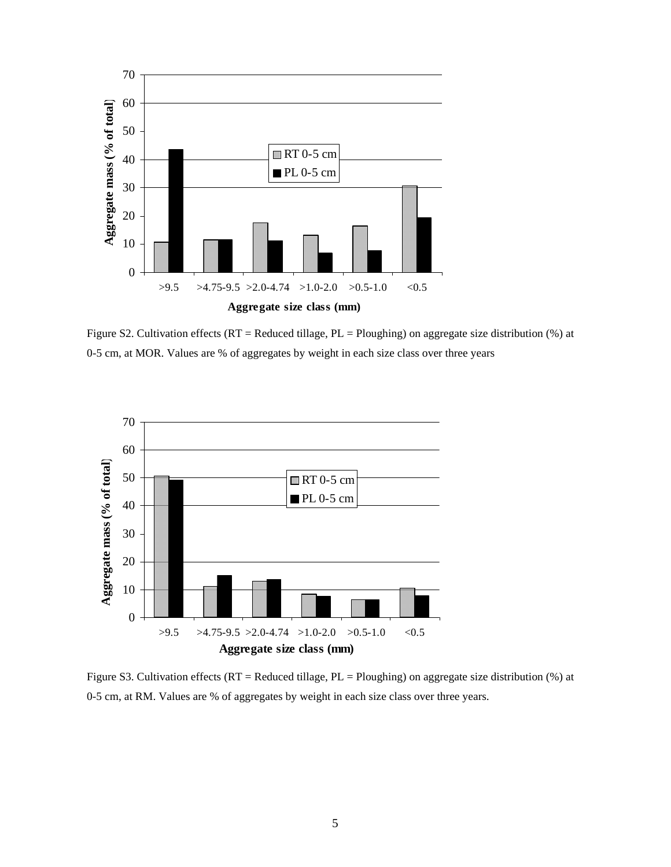

Figure S2. Cultivation effects (RT = Reduced tillage, PL = Ploughing) on aggregate size distribution (%) at 0-5 cm, at MOR. Values are % of aggregates by weight in each size class over three years



Figure S3. Cultivation effects (RT = Reduced tillage, PL = Ploughing) on aggregate size distribution (%) at 0-5 cm, at RM. Values are % of aggregates by weight in each size class over three years.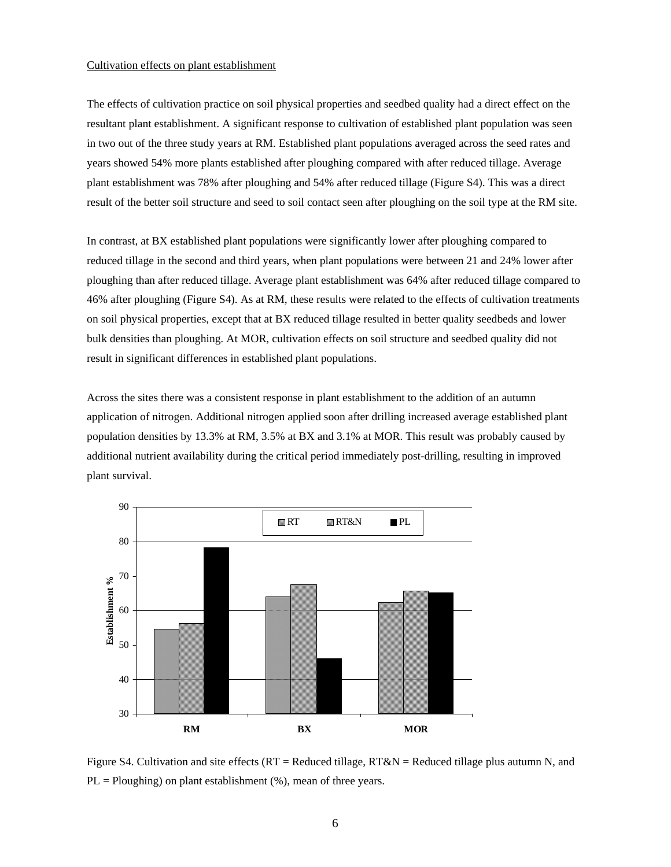#### Cultivation effects on plant establishment

The effects of cultivation practice on soil physical properties and seedbed quality had a direct effect on the resultant plant establishment. A significant response to cultivation of established plant population was seen in two out of the three study years at RM. Established plant populations averaged across the seed rates and years showed 54% more plants established after ploughing compared with after reduced tillage. Average plant establishment was 78% after ploughing and 54% after reduced tillage (Figure S4). This was a direct result of the better soil structure and seed to soil contact seen after ploughing on the soil type at the RM site.

In contrast, at BX established plant populations were significantly lower after ploughing compared to reduced tillage in the second and third years, when plant populations were between 21 and 24% lower after ploughing than after reduced tillage. Average plant establishment was 64% after reduced tillage compared to 46% after ploughing (Figure S4). As at RM, these results were related to the effects of cultivation treatments on soil physical properties, except that at BX reduced tillage resulted in better quality seedbeds and lower bulk densities than ploughing. At MOR, cultivation effects on soil structure and seedbed quality did not result in significant differences in established plant populations.

Across the sites there was a consistent response in plant establishment to the addition of an autumn application of nitrogen. Additional nitrogen applied soon after drilling increased average established plant population densities by 13.3% at RM, 3.5% at BX and 3.1% at MOR. This result was probably caused by additional nutrient availability during the critical period immediately post-drilling, resulting in improved plant survival.



Figure S4. Cultivation and site effects ( $RT =$ Reduced tillage,  $RT&N =$ Reduced tillage plus autumn N, and  $PL = Ploughing)$  on plant establishment  $(\%)$ , mean of three years.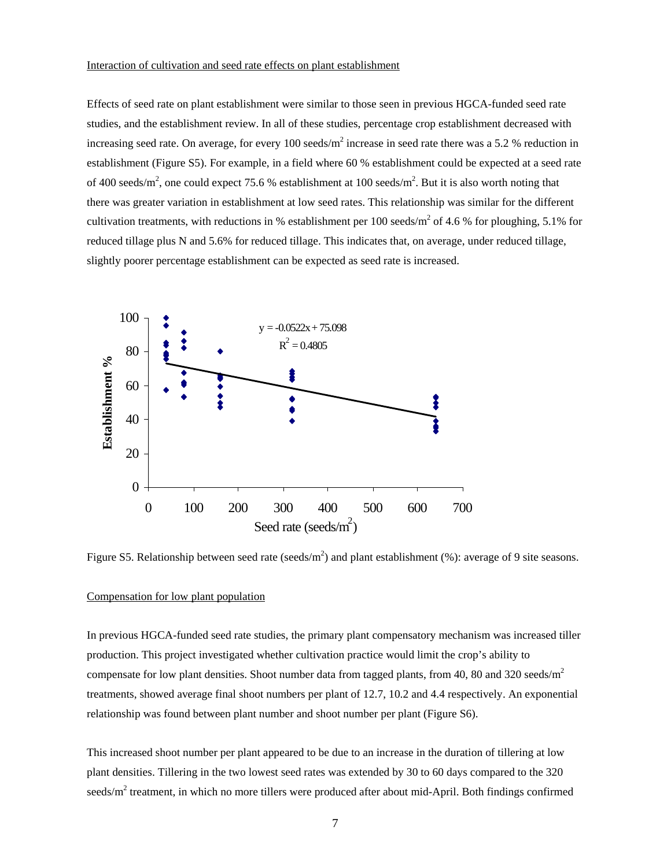## Interaction of cultivation and seed rate effects on plant establishment

Effects of seed rate on plant establishment were similar to those seen in previous HGCA-funded seed rate studies, and the establishment review. In all of these studies, percentage crop establishment decreased with increasing seed rate. On average, for every 100 seeds/ $m^2$  increase in seed rate there was a 5.2 % reduction in establishment (Figure S5). For example, in a field where 60 % establishment could be expected at a seed rate of 400 seeds/m<sup>2</sup>, one could expect 75.6 % establishment at 100 seeds/m<sup>2</sup>. But it is also worth noting that there was greater variation in establishment at low seed rates. This relationship was similar for the different cultivation treatments, with reductions in % establishment per 100 seeds/ $m^2$  of 4.6 % for ploughing, 5.1% for reduced tillage plus N and 5.6% for reduced tillage. This indicates that, on average, under reduced tillage, slightly poorer percentage establishment can be expected as seed rate is increased.



Figure S5. Relationship between seed rate (seeds/m<sup>2</sup>) and plant establishment (%): average of 9 site seasons.

#### Compensation for low plant population

In previous HGCA-funded seed rate studies, the primary plant compensatory mechanism was increased tiller production. This project investigated whether cultivation practice would limit the crop's ability to compensate for low plant densities. Shoot number data from tagged plants, from 40, 80 and 320 seeds/m<sup>2</sup> treatments, showed average final shoot numbers per plant of 12.7, 10.2 and 4.4 respectively. An exponential relationship was found between plant number and shoot number per plant (Figure S6).

This increased shoot number per plant appeared to be due to an increase in the duration of tillering at low plant densities. Tillering in the two lowest seed rates was extended by 30 to 60 days compared to the 320 seeds/ $m^2$  treatment, in which no more tillers were produced after about mid-April. Both findings confirmed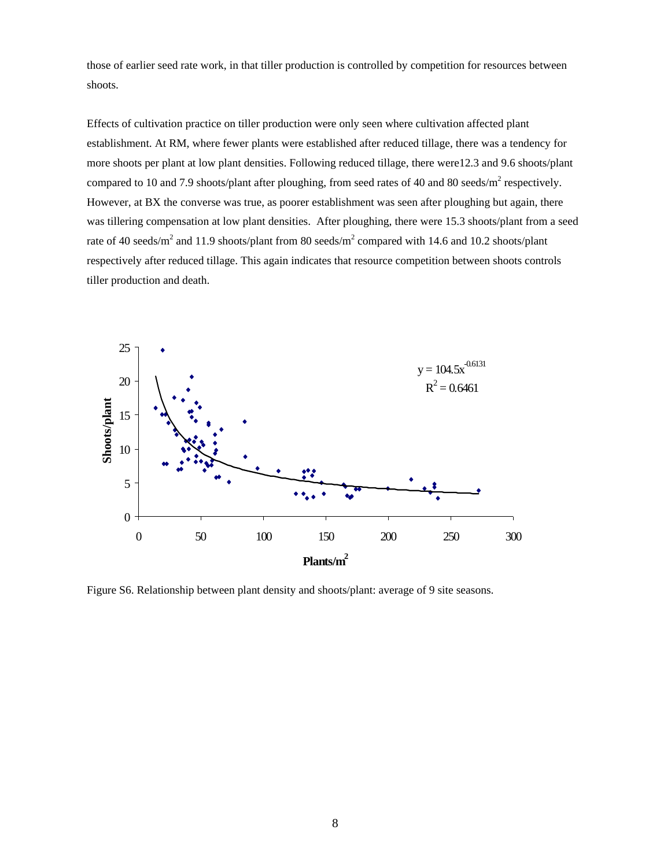those of earlier seed rate work, in that tiller production is controlled by competition for resources between shoots.

Effects of cultivation practice on tiller production were only seen where cultivation affected plant establishment. At RM, where fewer plants were established after reduced tillage, there was a tendency for more shoots per plant at low plant densities. Following reduced tillage, there were12.3 and 9.6 shoots/plant compared to 10 and 7.9 shoots/plant after ploughing, from seed rates of 40 and 80 seeds/ $m^2$  respectively. However, at BX the converse was true, as poorer establishment was seen after ploughing but again, there was tillering compensation at low plant densities. After ploughing, there were 15.3 shoots/plant from a seed rate of 40 seeds/m<sup>2</sup> and 11.9 shoots/plant from 80 seeds/m<sup>2</sup> compared with 14.6 and 10.2 shoots/plant respectively after reduced tillage. This again indicates that resource competition between shoots controls tiller production and death.



Figure S6. Relationship between plant density and shoots/plant: average of 9 site seasons.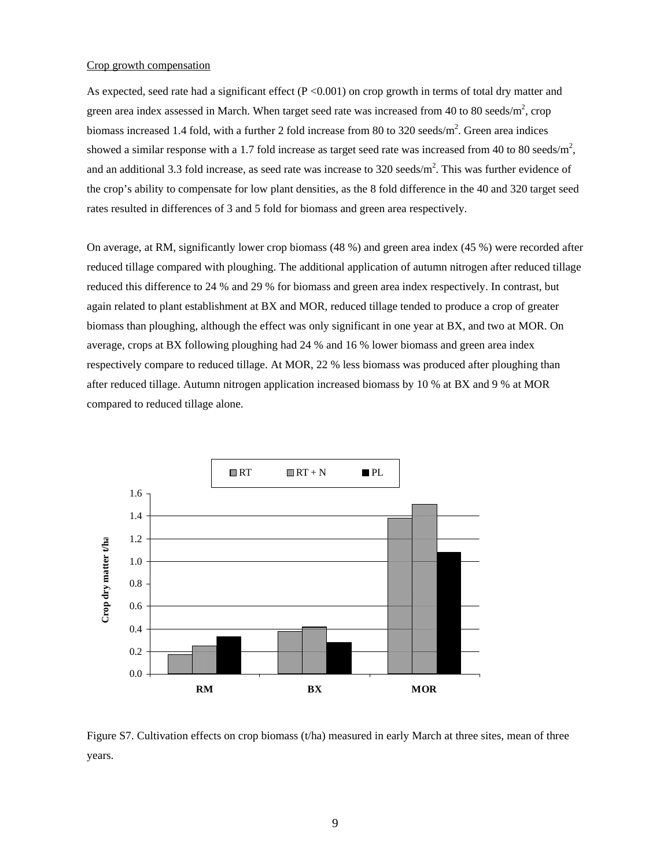#### Crop growth compensation

As expected, seed rate had a significant effect  $(P < 0.001)$  on crop growth in terms of total dry matter and green area index assessed in March. When target seed rate was increased from 40 to 80 seeds/m<sup>2</sup>, crop biomass increased 1.4 fold, with a further 2 fold increase from 80 to 320 seeds/ $m^2$ . Green area indices showed a similar response with a 1.7 fold increase as target seed rate was increased from 40 to 80 seeds/ $m^2$ , and an additional 3.3 fold increase, as seed rate was increase to 320 seeds/ $m^2$ . This was further evidence of the crop's ability to compensate for low plant densities, as the 8 fold difference in the 40 and 320 target seed rates resulted in differences of 3 and 5 fold for biomass and green area respectively.

On average, at RM, significantly lower crop biomass (48 %) and green area index (45 %) were recorded after reduced tillage compared with ploughing. The additional application of autumn nitrogen after reduced tillage reduced this difference to 24 % and 29 % for biomass and green area index respectively. In contrast, but again related to plant establishment at BX and MOR, reduced tillage tended to produce a crop of greater biomass than ploughing, although the effect was only significant in one year at BX, and two at MOR. On average, crops at BX following ploughing had 24 % and 16 % lower biomass and green area index respectively compare to reduced tillage. At MOR, 22 % less biomass was produced after ploughing than after reduced tillage. Autumn nitrogen application increased biomass by 10 % at BX and 9 % at MOR compared to reduced tillage alone.



Figure S7. Cultivation effects on crop biomass (t/ha) measured in early March at three sites, mean of three years.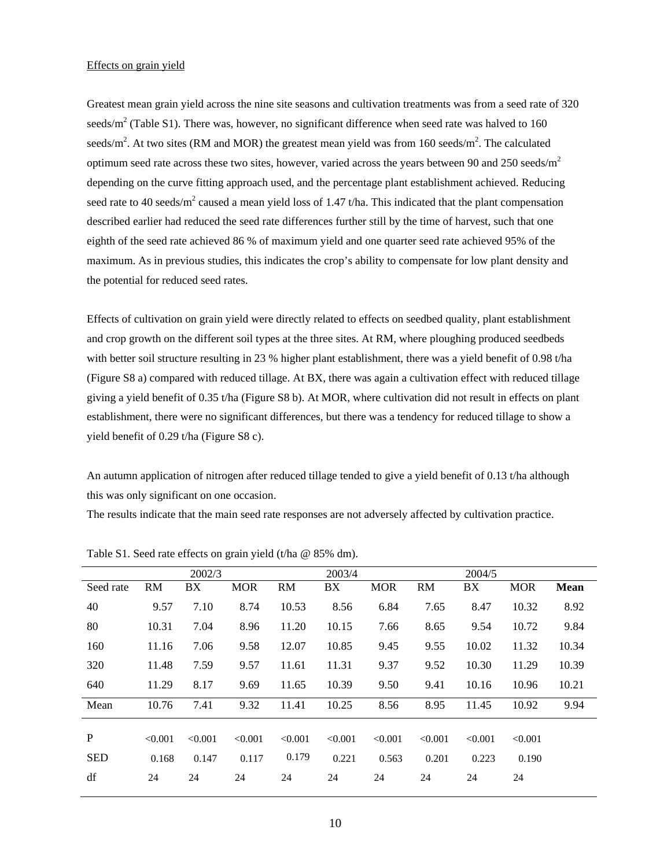#### Effects on grain yield

Greatest mean grain yield across the nine site seasons and cultivation treatments was from a seed rate of 320 seeds/m<sup>2</sup> (Table S1). There was, however, no significant difference when seed rate was halved to 160 seeds/m<sup>2</sup>. At two sites (RM and MOR) the greatest mean yield was from 160 seeds/m<sup>2</sup>. The calculated optimum seed rate across these two sites, however, varied across the years between 90 and 250 seeds/ $m<sup>2</sup>$ depending on the curve fitting approach used, and the percentage plant establishment achieved. Reducing seed rate to 40 seeds/m<sup>2</sup> caused a mean yield loss of 1.47 t/ha. This indicated that the plant compensation described earlier had reduced the seed rate differences further still by the time of harvest, such that one eighth of the seed rate achieved 86 % of maximum yield and one quarter seed rate achieved 95% of the maximum. As in previous studies, this indicates the crop's ability to compensate for low plant density and the potential for reduced seed rates.

Effects of cultivation on grain yield were directly related to effects on seedbed quality, plant establishment and crop growth on the different soil types at the three sites. At RM, where ploughing produced seedbeds with better soil structure resulting in 23 % higher plant establishment, there was a yield benefit of 0.98 t/ha (Figure S8 a) compared with reduced tillage. At BX, there was again a cultivation effect with reduced tillage giving a yield benefit of 0.35 t/ha (Figure S8 b). At MOR, where cultivation did not result in effects on plant establishment, there were no significant differences, but there was a tendency for reduced tillage to show a yield benefit of 0.29 t/ha (Figure S8 c).

An autumn application of nitrogen after reduced tillage tended to give a yield benefit of 0.13 t/ha although this was only significant on one occasion.

The results indicate that the main seed rate responses are not adversely affected by cultivation practice.

|            |         | 2002/3  |            |         | 2003/4  |            |           | 2004/5  |            |             |
|------------|---------|---------|------------|---------|---------|------------|-----------|---------|------------|-------------|
| Seed rate  | RM      | BX      | <b>MOR</b> | RM      | BX      | <b>MOR</b> | <b>RM</b> | BX      | <b>MOR</b> | <b>Mean</b> |
| 40         | 9.57    | 7.10    | 8.74       | 10.53   | 8.56    | 6.84       | 7.65      | 8.47    | 10.32      | 8.92        |
| 80         | 10.31   | 7.04    | 8.96       | 11.20   | 10.15   | 7.66       | 8.65      | 9.54    | 10.72      | 9.84        |
| 160        | 11.16   | 7.06    | 9.58       | 12.07   | 10.85   | 9.45       | 9.55      | 10.02   | 11.32      | 10.34       |
| 320        | 11.48   | 7.59    | 9.57       | 11.61   | 11.31   | 9.37       | 9.52      | 10.30   | 11.29      | 10.39       |
| 640        | 11.29   | 8.17    | 9.69       | 11.65   | 10.39   | 9.50       | 9.41      | 10.16   | 10.96      | 10.21       |
| Mean       | 10.76   | 7.41    | 9.32       | 11.41   | 10.25   | 8.56       | 8.95      | 11.45   | 10.92      | 9.94        |
|            |         |         |            |         |         |            |           |         |            |             |
| P          | < 0.001 | < 0.001 | < 0.001    | < 0.001 | < 0.001 | < 0.001    | < 0.001   | < 0.001 | < 0.001    |             |
| <b>SED</b> | 0.168   | 0.147   | 0.117      | 0.179   | 0.221   | 0.563      | 0.201     | 0.223   | 0.190      |             |
| df         | 24      | 24      | 24         | 24      | 24      | 24         | 24        | 24      | 24         |             |

Table S1. Seed rate effects on grain yield (t/ha @ 85% dm).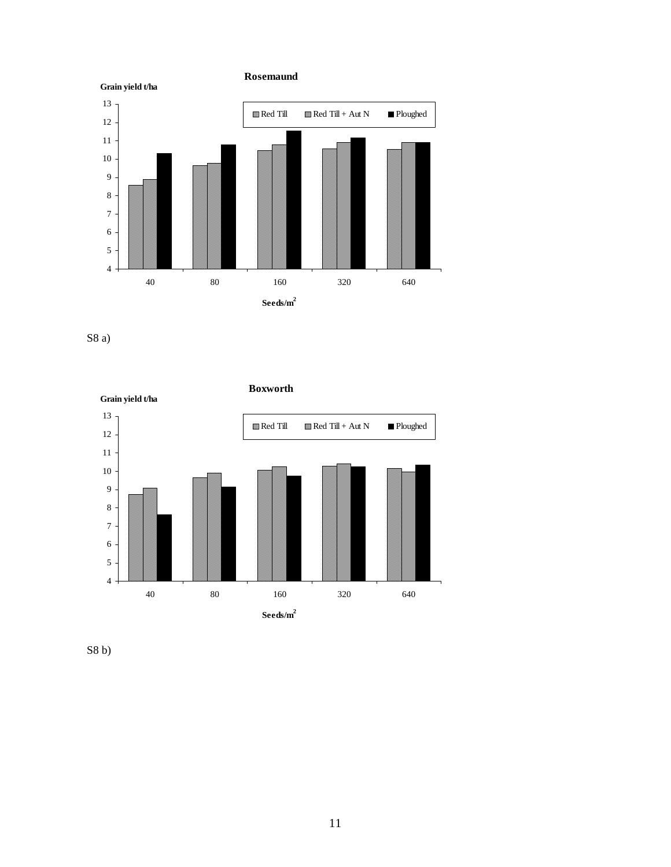

S8 a)



S8 b)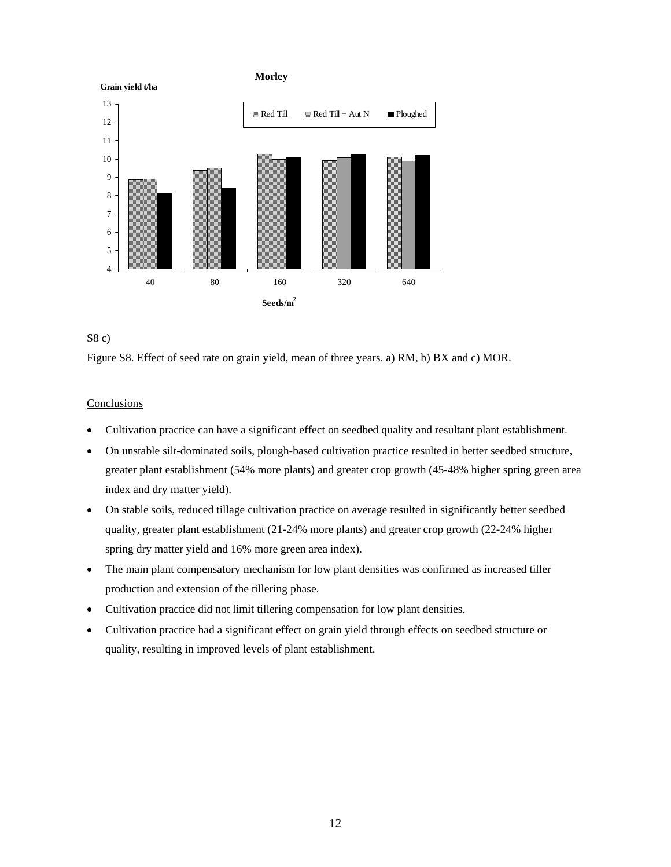



Figure S8. Effect of seed rate on grain yield, mean of three years. a) RM, b) BX and c) MOR.

## **Conclusions**

- Cultivation practice can have a significant effect on seedbed quality and resultant plant establishment.
- On unstable silt-dominated soils, plough-based cultivation practice resulted in better seedbed structure, greater plant establishment (54% more plants) and greater crop growth (45-48% higher spring green area index and dry matter yield).
- On stable soils, reduced tillage cultivation practice on average resulted in significantly better seedbed quality, greater plant establishment (21-24% more plants) and greater crop growth (22-24% higher spring dry matter yield and 16% more green area index).
- The main plant compensatory mechanism for low plant densities was confirmed as increased tiller production and extension of the tillering phase.
- Cultivation practice did not limit tillering compensation for low plant densities.
- Cultivation practice had a significant effect on grain yield through effects on seedbed structure or quality, resulting in improved levels of plant establishment.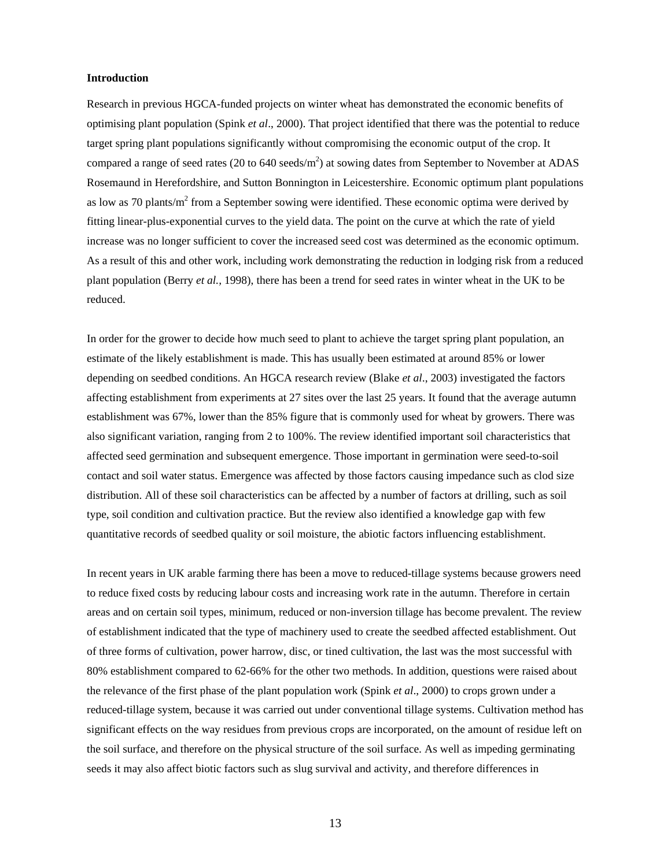#### **Introduction**

Research in previous HGCA-funded projects on winter wheat has demonstrated the economic benefits of optimising plant population (Spink *et al*., 2000). That project identified that there was the potential to reduce target spring plant populations significantly without compromising the economic output of the crop. It compared a range of seed rates (20 to 640 seeds/m<sup>2</sup>) at sowing dates from September to November at ADAS Rosemaund in Herefordshire, and Sutton Bonnington in Leicestershire. Economic optimum plant populations as low as 70 plants/ $m^2$  from a September sowing were identified. These economic optima were derived by fitting linear-plus-exponential curves to the yield data. The point on the curve at which the rate of yield increase was no longer sufficient to cover the increased seed cost was determined as the economic optimum. As a result of this and other work, including work demonstrating the reduction in lodging risk from a reduced plant population (Berry *et al.,* 1998), there has been a trend for seed rates in winter wheat in the UK to be reduced.

In order for the grower to decide how much seed to plant to achieve the target spring plant population, an estimate of the likely establishment is made. This has usually been estimated at around 85% or lower depending on seedbed conditions. An HGCA research review (Blake *et al*., 2003) investigated the factors affecting establishment from experiments at 27 sites over the last 25 years. It found that the average autumn establishment was 67%, lower than the 85% figure that is commonly used for wheat by growers. There was also significant variation, ranging from 2 to 100%. The review identified important soil characteristics that affected seed germination and subsequent emergence. Those important in germination were seed-to-soil contact and soil water status. Emergence was affected by those factors causing impedance such as clod size distribution. All of these soil characteristics can be affected by a number of factors at drilling, such as soil type, soil condition and cultivation practice. But the review also identified a knowledge gap with few quantitative records of seedbed quality or soil moisture, the abiotic factors influencing establishment.

In recent years in UK arable farming there has been a move to reduced-tillage systems because growers need to reduce fixed costs by reducing labour costs and increasing work rate in the autumn. Therefore in certain areas and on certain soil types, minimum, reduced or non-inversion tillage has become prevalent. The review of establishment indicated that the type of machinery used to create the seedbed affected establishment. Out of three forms of cultivation, power harrow, disc, or tined cultivation, the last was the most successful with 80% establishment compared to 62-66% for the other two methods. In addition, questions were raised about the relevance of the first phase of the plant population work (Spink *et al*., 2000) to crops grown under a reduced-tillage system, because it was carried out under conventional tillage systems. Cultivation method has significant effects on the way residues from previous crops are incorporated, on the amount of residue left on the soil surface, and therefore on the physical structure of the soil surface. As well as impeding germinating seeds it may also affect biotic factors such as slug survival and activity, and therefore differences in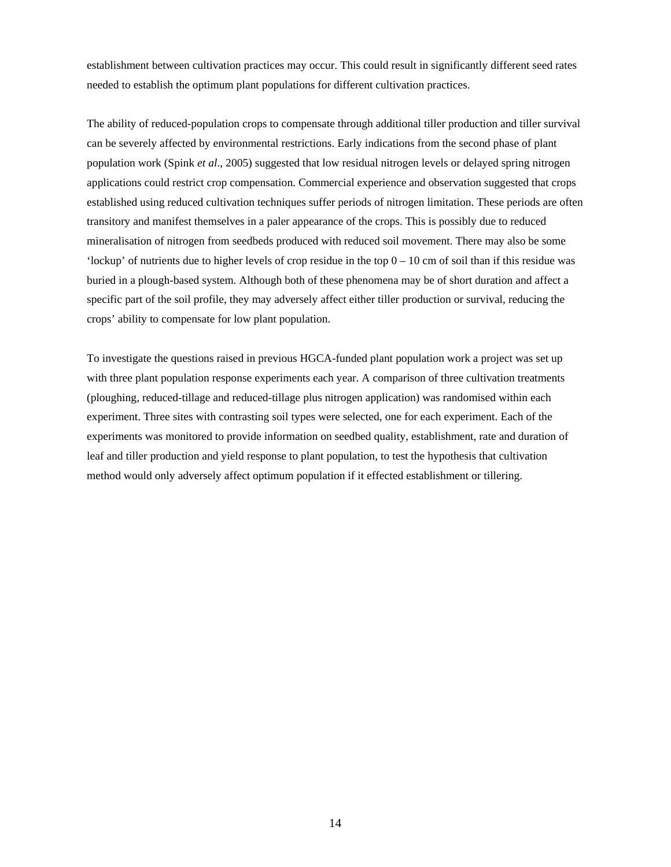establishment between cultivation practices may occur. This could result in significantly different seed rates needed to establish the optimum plant populations for different cultivation practices.

The ability of reduced-population crops to compensate through additional tiller production and tiller survival can be severely affected by environmental restrictions. Early indications from the second phase of plant population work (Spink *et al*., 2005) suggested that low residual nitrogen levels or delayed spring nitrogen applications could restrict crop compensation. Commercial experience and observation suggested that crops established using reduced cultivation techniques suffer periods of nitrogen limitation. These periods are often transitory and manifest themselves in a paler appearance of the crops. This is possibly due to reduced mineralisation of nitrogen from seedbeds produced with reduced soil movement. There may also be some 'lockup' of nutrients due to higher levels of crop residue in the top  $0 - 10$  cm of soil than if this residue was buried in a plough-based system. Although both of these phenomena may be of short duration and affect a specific part of the soil profile, they may adversely affect either tiller production or survival, reducing the crops' ability to compensate for low plant population.

To investigate the questions raised in previous HGCA-funded plant population work a project was set up with three plant population response experiments each year. A comparison of three cultivation treatments (ploughing, reduced-tillage and reduced-tillage plus nitrogen application) was randomised within each experiment. Three sites with contrasting soil types were selected, one for each experiment. Each of the experiments was monitored to provide information on seedbed quality, establishment, rate and duration of leaf and tiller production and yield response to plant population, to test the hypothesis that cultivation method would only adversely affect optimum population if it effected establishment or tillering.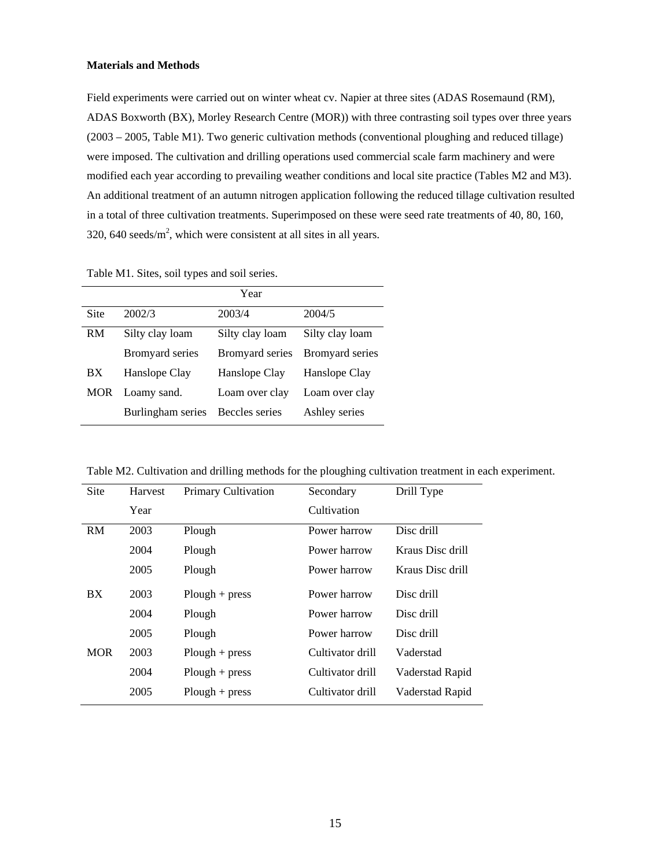#### **Materials and Methods**

Field experiments were carried out on winter wheat cv. Napier at three sites (ADAS Rosemaund (RM), ADAS Boxworth (BX), Morley Research Centre (MOR)) with three contrasting soil types over three years (2003 – 2005, Table M1). Two generic cultivation methods (conventional ploughing and reduced tillage) were imposed. The cultivation and drilling operations used commercial scale farm machinery and were modified each year according to prevailing weather conditions and local site practice (Tables M2 and M3). An additional treatment of an autumn nitrogen application following the reduced tillage cultivation resulted in a total of three cultivation treatments. Superimposed on these were seed rate treatments of 40, 80, 160, 320, 640 seeds/ $m^2$ , which were consistent at all sites in all years.

|      |                   | Year                   |                        |
|------|-------------------|------------------------|------------------------|
| Site | 2002/3            | 2003/4                 | 2004/5                 |
| RM   | Silty clay loam   | Silty clay loam        | Silty clay loam        |
|      | Bromyard series   | <b>Bromyard series</b> | <b>Bromyard series</b> |
| BX   | Hanslope Clay     | Hanslope Clay          | Hanslope Clay          |
| MOR  | Loamy sand.       | Loam over clay         | Loam over clay         |
|      | Burlingham series | Beccles series         | Ashley series          |

Table M2. Cultivation and drilling methods for the ploughing cultivation treatment in each experiment.

| Site       | Harvest | <b>Primary Cultivation</b> | Secondary        | Drill Type       |
|------------|---------|----------------------------|------------------|------------------|
|            | Year    |                            | Cultivation      |                  |
| <b>RM</b>  | 2003    | Plough                     | Power harrow     | Disc drill       |
|            | 2004    | Plough                     | Power harrow     | Kraus Disc drill |
|            | 2005    | Plough                     | Power harrow     | Kraus Disc drill |
| BX         | 2003    | $Plough + press$           | Power harrow     | Disc drill       |
|            | 2004    | Plough                     | Power harrow     | Disc drill       |
|            | 2005    | Plough                     | Power harrow     | Disc drill       |
| <b>MOR</b> | 2003    | $Plough + press$           | Cultivator drill | Vaderstad        |
|            | 2004    | $Plough + press$           | Cultivator drill | Vaderstad Rapid  |
|            | 2005    | $Plough + press$           | Cultivator drill | Vaderstad Rapid  |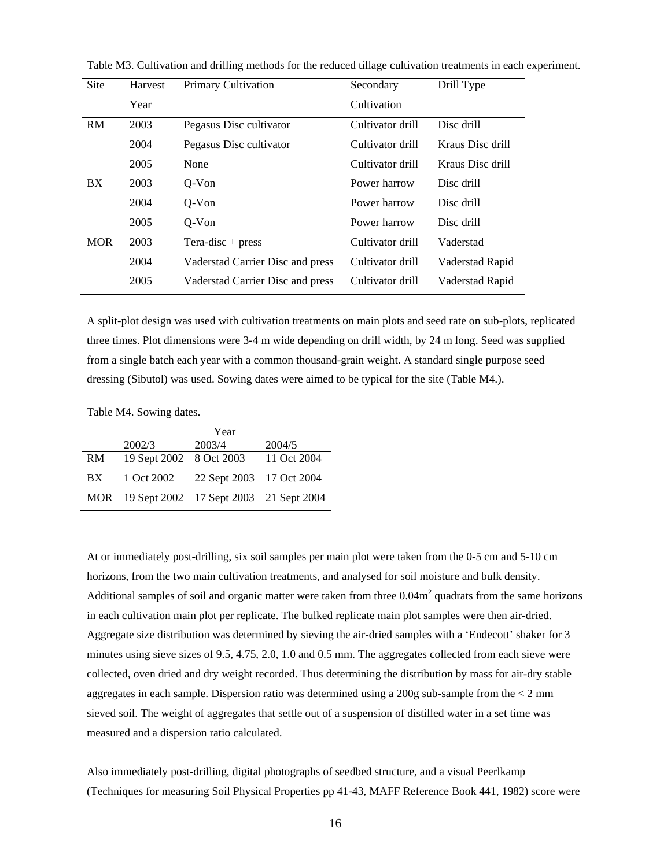| Site       | Harvest | <b>Primary Cultivation</b>       | Secondary        | Drill Type       |
|------------|---------|----------------------------------|------------------|------------------|
|            | Year    |                                  | Cultivation      |                  |
| RM         | 2003    | Pegasus Disc cultivator          | Cultivator drill | Disc drill       |
|            | 2004    | Pegasus Disc cultivator          | Cultivator drill | Kraus Disc drill |
|            | 2005    | None                             | Cultivator drill | Kraus Disc drill |
| BX         | 2003    | $O-Von$                          | Power harrow     | Disc drill       |
|            | 2004    | $Q-Von$                          | Power harrow     | Disc drill       |
|            | 2005    | $Q-Von$                          | Power harrow     | Disc drill       |
| <b>MOR</b> | 2003    | $Tera\text{-}disc + press$       | Cultivator drill | Vaderstad        |
|            | 2004    | Vaderstad Carrier Disc and press | Cultivator drill | Vaderstad Rapid  |
|            | 2005    | Vaderstad Carrier Disc and press | Cultivator drill | Vaderstad Rapid  |
|            |         |                                  |                  |                  |

Table M3. Cultivation and drilling methods for the reduced tillage cultivation treatments in each experiment.

A split-plot design was used with cultivation treatments on main plots and seed rate on sub-plots, replicated three times. Plot dimensions were 3-4 m wide depending on drill width, by 24 m long. Seed was supplied from a single batch each year with a common thousand-grain weight. A standard single purpose seed dressing (Sibutol) was used. Sowing dates were aimed to be typical for the site (Table M4.).

Table M4. Sowing dates.

|     |                                            | Year                     |             |
|-----|--------------------------------------------|--------------------------|-------------|
|     | 2002/3                                     | 2003/4                   | 2004/5      |
| RM  | 19 Sept 2002 8 Oct 2003                    |                          | 11 Oct 2004 |
| BX. | 1 Oct 2002                                 | 22 Sept 2003 17 Oct 2004 |             |
|     | MOR 19 Sept 2002 17 Sept 2003 21 Sept 2004 |                          |             |

At or immediately post-drilling, six soil samples per main plot were taken from the 0-5 cm and 5-10 cm horizons, from the two main cultivation treatments, and analysed for soil moisture and bulk density. Additional samples of soil and organic matter were taken from three  $0.04\text{m}^2$  quadrats from the same horizons in each cultivation main plot per replicate. The bulked replicate main plot samples were then air-dried. Aggregate size distribution was determined by sieving the air-dried samples with a 'Endecott' shaker for 3 minutes using sieve sizes of 9.5, 4.75, 2.0, 1.0 and 0.5 mm. The aggregates collected from each sieve were collected, oven dried and dry weight recorded. Thus determining the distribution by mass for air-dry stable aggregates in each sample. Dispersion ratio was determined using a 200g sub-sample from the < 2 mm sieved soil. The weight of aggregates that settle out of a suspension of distilled water in a set time was measured and a dispersion ratio calculated.

Also immediately post-drilling, digital photographs of seedbed structure, and a visual Peerlkamp (Techniques for measuring Soil Physical Properties pp 41-43, MAFF Reference Book 441, 1982) score were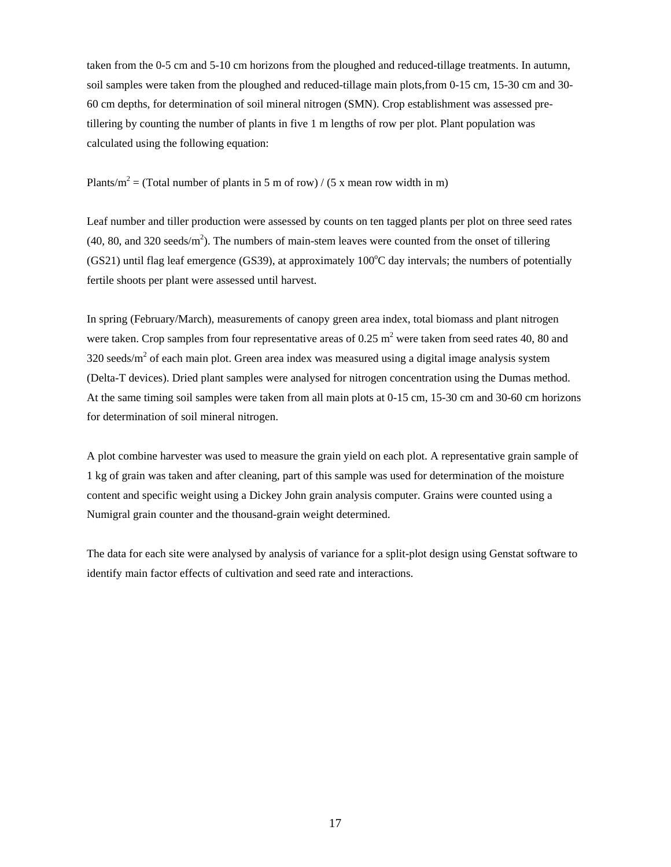taken from the 0-5 cm and 5-10 cm horizons from the ploughed and reduced-tillage treatments. In autumn, soil samples were taken from the ploughed and reduced-tillage main plots,from 0-15 cm, 15-30 cm and 30- 60 cm depths, for determination of soil mineral nitrogen (SMN). Crop establishment was assessed pretillering by counting the number of plants in five 1 m lengths of row per plot. Plant population was calculated using the following equation:

Plants/m<sup>2</sup> = (Total number of plants in 5 m of row) / (5 x mean row width in m)

Leaf number and tiller production were assessed by counts on ten tagged plants per plot on three seed rates  $(40, 80,$  and 320 seeds/m<sup>2</sup>). The numbers of main-stem leaves were counted from the onset of tillering  $(GS21)$  until flag leaf emergence  $(GS39)$ , at approximately  $100^{\circ}$ C day intervals; the numbers of potentially fertile shoots per plant were assessed until harvest.

In spring (February/March), measurements of canopy green area index, total biomass and plant nitrogen were taken. Crop samples from four representative areas of  $0.25 \text{ m}^2$  were taken from seed rates 40, 80 and 320 seeds/ $m<sup>2</sup>$  of each main plot. Green area index was measured using a digital image analysis system (Delta-T devices). Dried plant samples were analysed for nitrogen concentration using the Dumas method. At the same timing soil samples were taken from all main plots at 0-15 cm, 15-30 cm and 30-60 cm horizons for determination of soil mineral nitrogen.

A plot combine harvester was used to measure the grain yield on each plot. A representative grain sample of 1 kg of grain was taken and after cleaning, part of this sample was used for determination of the moisture content and specific weight using a Dickey John grain analysis computer. Grains were counted using a Numigral grain counter and the thousand-grain weight determined.

The data for each site were analysed by analysis of variance for a split-plot design using Genstat software to identify main factor effects of cultivation and seed rate and interactions.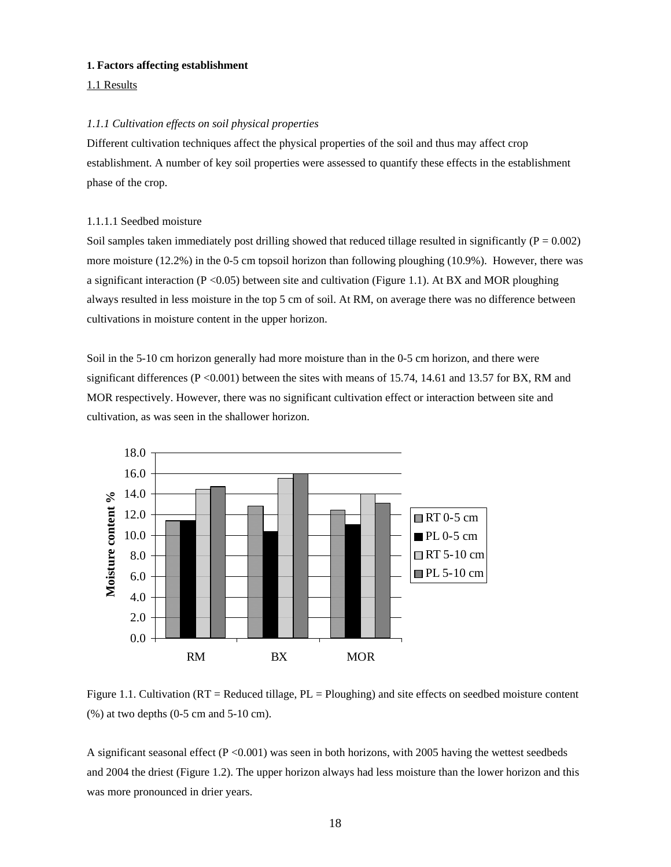#### **1. Factors affecting establishment**

#### 1.1 Results

#### *1.1.1 Cultivation effects on soil physical properties*

Different cultivation techniques affect the physical properties of the soil and thus may affect crop establishment. A number of key soil properties were assessed to quantify these effects in the establishment phase of the crop.

#### 1.1.1.1 Seedbed moisture

Soil samples taken immediately post drilling showed that reduced tillage resulted in significantly ( $P = 0.002$ ) more moisture (12.2%) in the 0-5 cm topsoil horizon than following ploughing (10.9%). However, there was a significant interaction ( $P \le 0.05$ ) between site and cultivation (Figure 1.1). At BX and MOR ploughing always resulted in less moisture in the top 5 cm of soil. At RM, on average there was no difference between cultivations in moisture content in the upper horizon.

Soil in the 5-10 cm horizon generally had more moisture than in the 0-5 cm horizon, and there were significant differences ( $P < 0.001$ ) between the sites with means of 15.74, 14.61 and 13.57 for BX, RM and MOR respectively. However, there was no significant cultivation effect or interaction between site and cultivation, as was seen in the shallower horizon.



Figure 1.1. Cultivation (RT = Reduced tillage, PL = Ploughing) and site effects on seedbed moisture content (%) at two depths (0-5 cm and 5-10 cm).

A significant seasonal effect  $(P < 0.001)$  was seen in both horizons, with 2005 having the wettest seedbeds and 2004 the driest (Figure 1.2). The upper horizon always had less moisture than the lower horizon and this was more pronounced in drier years.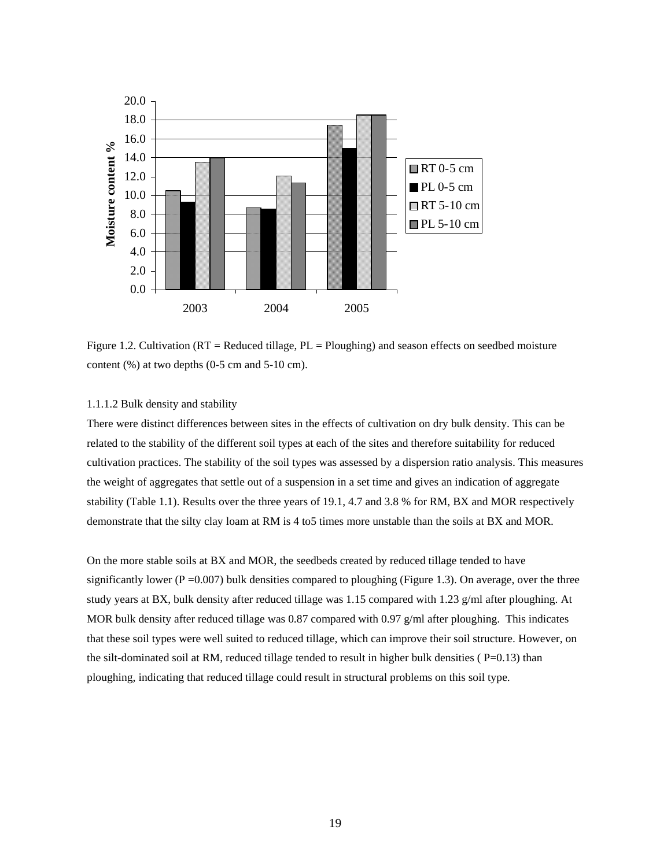

Figure 1.2. Cultivation ( $RT =$  Reduced tillage,  $PL =$  Ploughing) and season effects on seedbed moisture content (%) at two depths (0-5 cm and 5-10 cm).

## 1.1.1.2 Bulk density and stability

There were distinct differences between sites in the effects of cultivation on dry bulk density. This can be related to the stability of the different soil types at each of the sites and therefore suitability for reduced cultivation practices. The stability of the soil types was assessed by a dispersion ratio analysis. This measures the weight of aggregates that settle out of a suspension in a set time and gives an indication of aggregate stability (Table 1.1). Results over the three years of 19.1, 4.7 and 3.8 % for RM, BX and MOR respectively demonstrate that the silty clay loam at RM is 4 to5 times more unstable than the soils at BX and MOR.

On the more stable soils at BX and MOR, the seedbeds created by reduced tillage tended to have significantly lower ( $P = 0.007$ ) bulk densities compared to ploughing (Figure 1.3). On average, over the three study years at BX, bulk density after reduced tillage was 1.15 compared with 1.23 g/ml after ploughing. At MOR bulk density after reduced tillage was 0.87 compared with 0.97  $g/ml$  after ploughing. This indicates that these soil types were well suited to reduced tillage, which can improve their soil structure. However, on the silt-dominated soil at RM, reduced tillage tended to result in higher bulk densities ( $P=0.13$ ) than ploughing, indicating that reduced tillage could result in structural problems on this soil type.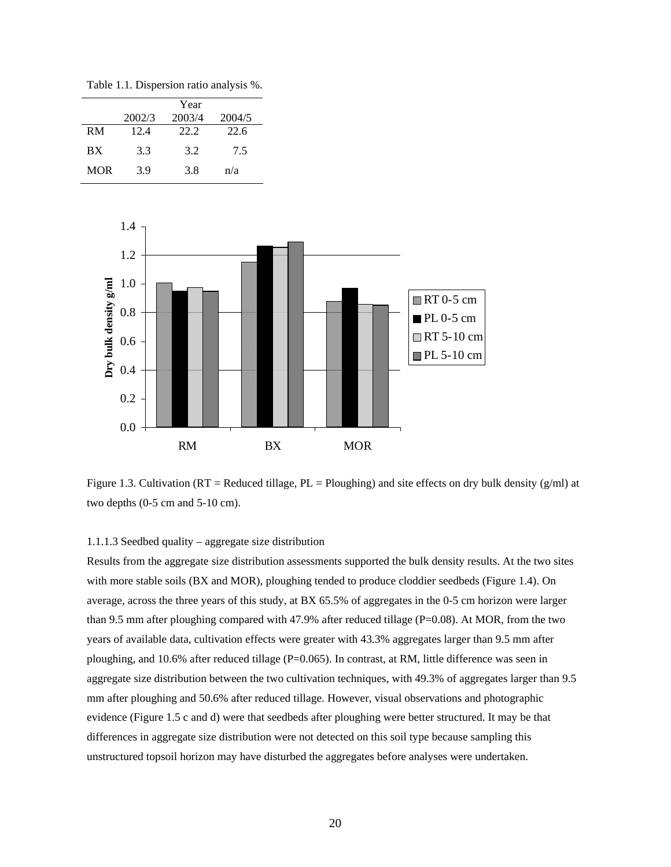Table 1.1. Dispersion ratio analysis %.

|     |        | Year   |        |
|-----|--------|--------|--------|
|     | 2002/3 | 2003/4 | 2004/5 |
| RM  | 12.4   | 22.2   | 22.6   |
| RX  | 3.3    | 3.2    | 7.5    |
| MOR | 3.9    | 3.8    | n/a    |



Figure 1.3. Cultivation ( $RT =$  Reduced tillage,  $PL =$  Ploughing) and site effects on dry bulk density ( $g/ml$ ) at two depths (0-5 cm and 5-10 cm).

#### 1.1.1.3 Seedbed quality – aggregate size distribution

Results from the aggregate size distribution assessments supported the bulk density results. At the two sites with more stable soils (BX and MOR), ploughing tended to produce cloddier seedbeds (Figure 1.4). On average, across the three years of this study, at BX 65.5% of aggregates in the 0-5 cm horizon were larger than 9.5 mm after ploughing compared with 47.9% after reduced tillage (P=0.08). At MOR, from the two years of available data, cultivation effects were greater with 43.3% aggregates larger than 9.5 mm after ploughing, and 10.6% after reduced tillage (P=0.065). In contrast, at RM, little difference was seen in aggregate size distribution between the two cultivation techniques, with 49.3% of aggregates larger than 9.5 mm after ploughing and 50.6% after reduced tillage. However, visual observations and photographic evidence (Figure 1.5 c and d) were that seedbeds after ploughing were better structured. It may be that differences in aggregate size distribution were not detected on this soil type because sampling this unstructured topsoil horizon may have disturbed the aggregates before analyses were undertaken.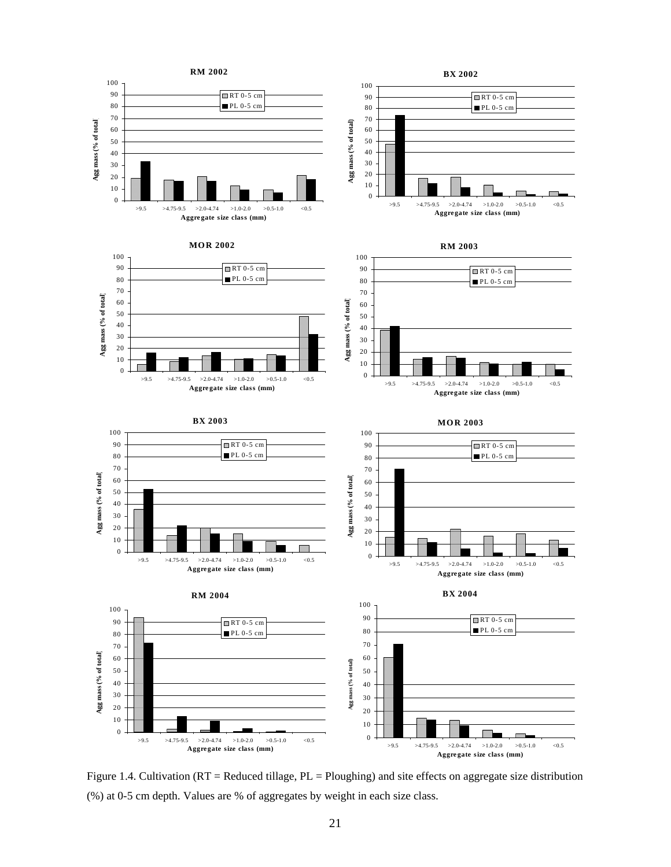

Figure 1.4. Cultivation (RT = Reduced tillage, PL = Ploughing) and site effects on aggregate size distribution (%) at 0-5 cm depth. Values are % of aggregates by weight in each size class.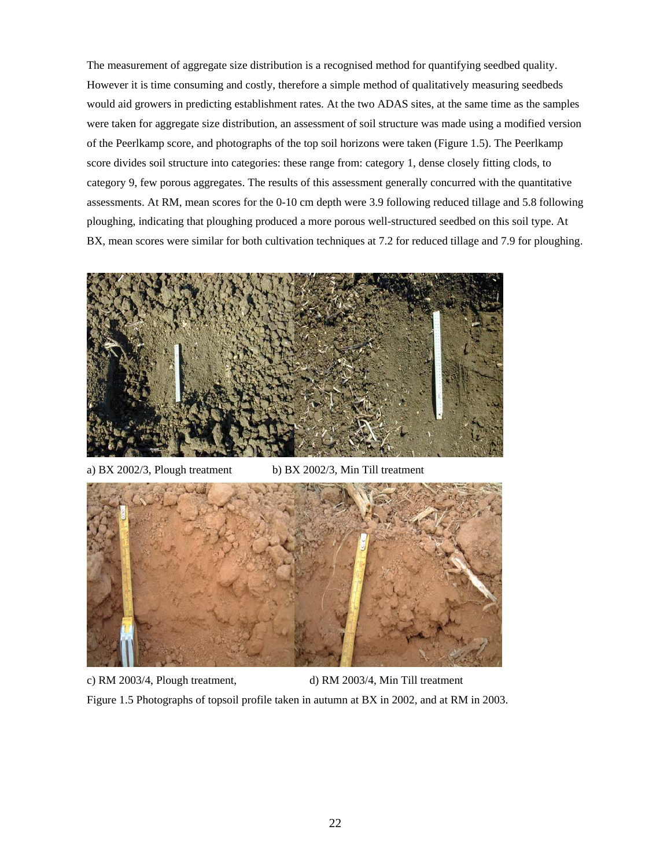The measurement of aggregate size distribution is a recognised method for quantifying seedbed quality. However it is time consuming and costly, therefore a simple method of qualitatively measuring seedbeds would aid growers in predicting establishment rates. At the two ADAS sites, at the same time as the samples were taken for aggregate size distribution, an assessment of soil structure was made using a modified version of the Peerlkamp score, and photographs of the top soil horizons were taken (Figure 1.5). The Peerlkamp score divides soil structure into categories: these range from: category 1, dense closely fitting clods, to category 9, few porous aggregates. The results of this assessment generally concurred with the quantitative assessments. At RM, mean scores for the 0-10 cm depth were 3.9 following reduced tillage and 5.8 following ploughing, indicating that ploughing produced a more porous well-structured seedbed on this soil type. At BX, mean scores were similar for both cultivation techniques at 7.2 for reduced tillage and 7.9 for ploughing.



a) BX 2002/3, Plough treatment b) BX 2002/3, Min Till treatment



c) RM 2003/4, Plough treatment, d) RM 2003/4, Min Till treatment Figure 1.5 Photographs of topsoil profile taken in autumn at BX in 2002, and at RM in 2003.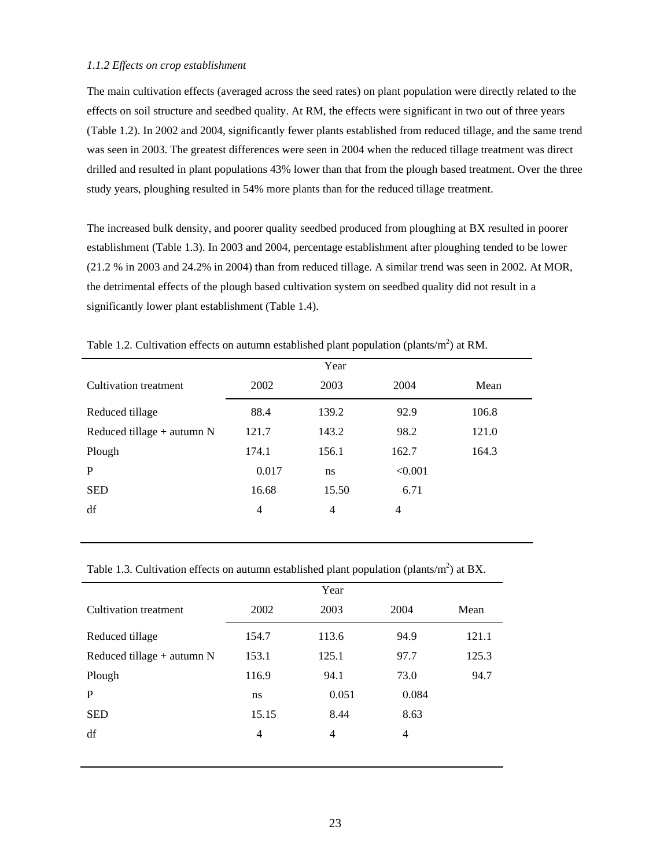#### *1.1.2 Effects on crop establishment*

The main cultivation effects (averaged across the seed rates) on plant population were directly related to the effects on soil structure and seedbed quality. At RM, the effects were significant in two out of three years (Table 1.2). In 2002 and 2004, significantly fewer plants established from reduced tillage, and the same trend was seen in 2003. The greatest differences were seen in 2004 when the reduced tillage treatment was direct drilled and resulted in plant populations 43% lower than that from the plough based treatment. Over the three study years, ploughing resulted in 54% more plants than for the reduced tillage treatment.

The increased bulk density, and poorer quality seedbed produced from ploughing at BX resulted in poorer establishment (Table 1.3). In 2003 and 2004, percentage establishment after ploughing tended to be lower (21.2 % in 2003 and 24.2% in 2004) than from reduced tillage. A similar trend was seen in 2002. At MOR, the detrimental effects of the plough based cultivation system on seedbed quality did not result in a significantly lower plant establishment (Table 1.4).

|                              |       | Year  |         |       |
|------------------------------|-------|-------|---------|-------|
| <b>Cultivation</b> treatment | 2002  | 2003  | 2004    | Mean  |
| Reduced tillage              | 88.4  | 139.2 | 92.9    | 106.8 |
| Reduced tillage $+$ autumn N | 121.7 | 143.2 | 98.2    | 121.0 |
| Plough                       | 174.1 | 156.1 | 162.7   | 164.3 |
| P                            | 0.017 | ns    | < 0.001 |       |
| <b>SED</b>                   | 16.68 | 15.50 | 6.71    |       |
| df                           | 4     | 4     | 4       |       |
|                              |       |       |         |       |

Table 1.2. Cultivation effects on autumn established plant population (plants/ $m<sup>2</sup>$ ) at RM.

Table 1.3. Cultivation effects on autumn established plant population (plants/ $m<sup>2</sup>$ ) at BX.

|                              |       | Year           |       |       |
|------------------------------|-------|----------------|-------|-------|
| Cultivation treatment        | 2002  | 2003           | 2004  | Mean  |
| Reduced tillage              | 154.7 | 113.6          | 94.9  | 121.1 |
| Reduced tillage $+$ autumn N | 153.1 | 125.1          | 97.7  | 125.3 |
| Plough                       | 116.9 | 94.1           | 73.0  | 94.7  |
| P                            | ns    | 0.051          | 0.084 |       |
| <b>SED</b>                   | 15.15 | 8.44           | 8.63  |       |
| df                           | 4     | $\overline{4}$ | 4     |       |
|                              |       |                |       |       |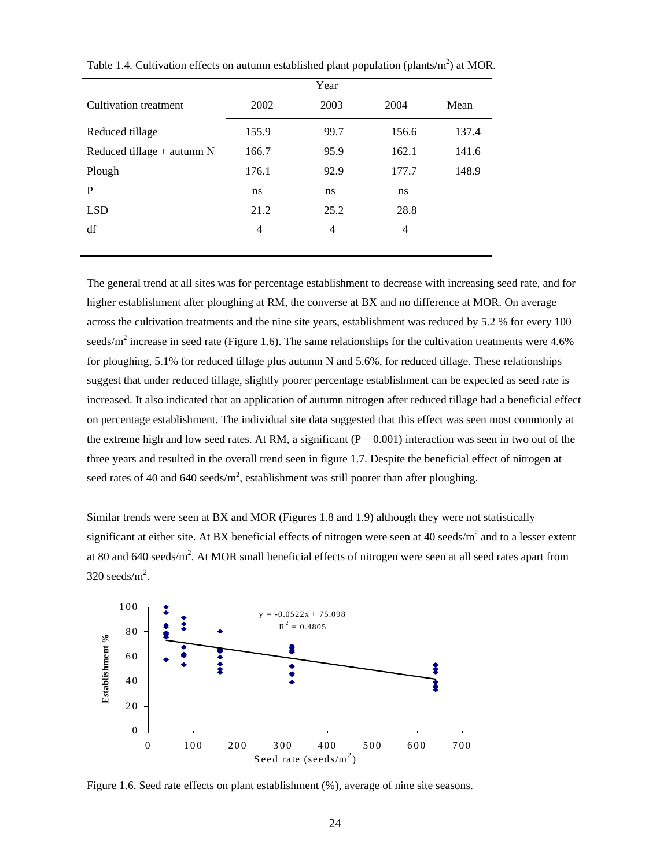|                              | Year  |                |                |       |  |  |  |  |
|------------------------------|-------|----------------|----------------|-------|--|--|--|--|
| Cultivation treatment        | 2002  | 2003           | 2004           | Mean  |  |  |  |  |
| Reduced tillage              | 155.9 | 99.7           | 156.6          | 137.4 |  |  |  |  |
| Reduced tillage $+$ autumn N | 166.7 | 95.9           | 162.1          | 141.6 |  |  |  |  |
| Plough                       | 176.1 | 92.9           | 177.7          | 148.9 |  |  |  |  |
| P                            | ns    | ns             | ns             |       |  |  |  |  |
| <b>LSD</b>                   | 21.2  | 25.2           | 28.8           |       |  |  |  |  |
| df                           | 4     | $\overline{4}$ | $\overline{4}$ |       |  |  |  |  |
|                              |       |                |                |       |  |  |  |  |

Table 1.4. Cultivation effects on autumn established plant population (plants/ $m<sup>2</sup>$ ) at MOR.

The general trend at all sites was for percentage establishment to decrease with increasing seed rate, and for higher establishment after ploughing at RM, the converse at BX and no difference at MOR. On average across the cultivation treatments and the nine site years, establishment was reduced by 5.2 % for every 100 seeds/ $m^2$  increase in seed rate (Figure 1.6). The same relationships for the cultivation treatments were 4.6% for ploughing, 5.1% for reduced tillage plus autumn N and 5.6%, for reduced tillage. These relationships suggest that under reduced tillage, slightly poorer percentage establishment can be expected as seed rate is increased. It also indicated that an application of autumn nitrogen after reduced tillage had a beneficial effect on percentage establishment. The individual site data suggested that this effect was seen most commonly at the extreme high and low seed rates. At RM, a significant  $(P = 0.001)$  interaction was seen in two out of the three years and resulted in the overall trend seen in figure 1.7. Despite the beneficial effect of nitrogen at seed rates of 40 and 640 seeds/ $m^2$ , establishment was still poorer than after ploughing.

Similar trends were seen at BX and MOR (Figures 1.8 and 1.9) although they were not statistically significant at either site. At BX beneficial effects of nitrogen were seen at 40 seeds/ $m^2$  and to a lesser extent at 80 and 640 seeds/ $m^2$ . At MOR small beneficial effects of nitrogen were seen at all seed rates apart from  $320$  seeds/m<sup>2</sup>.



Figure 1.6. Seed rate effects on plant establishment (%), average of nine site seasons.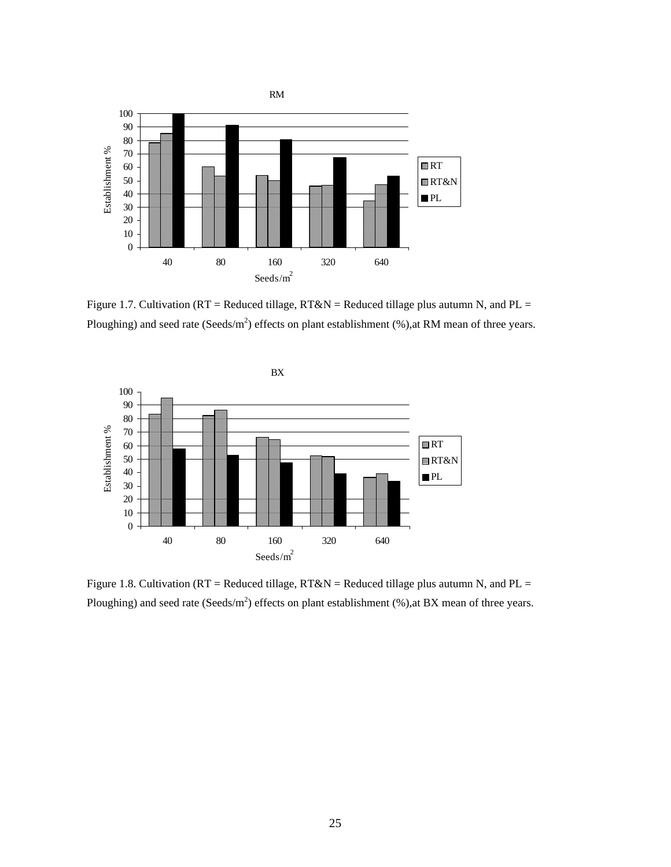

Figure 1.7. Cultivation ( $RT =$  Reduced tillage,  $RT&N =$  Reduced tillage plus autumn N, and PL = Ploughing) and seed rate (Seeds/m<sup>2</sup>) effects on plant establishment  $(\%)$ , at RM mean of three years.



Figure 1.8. Cultivation ( $RT =$  Reduced tillage,  $RT&N =$  Reduced tillage plus autumn N, and PL = Ploughing) and seed rate (Seeds/m<sup>2</sup>) effects on plant establishment  $(\%)$ , at BX mean of three years.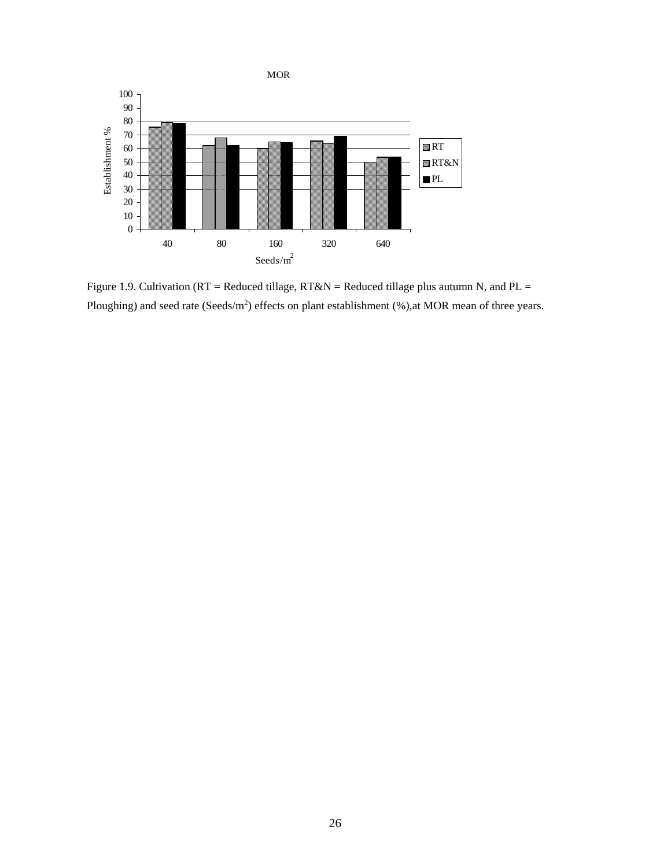

Figure 1.9. Cultivation ( $RT =$  Reduced tillage,  $RT&N =$  Reduced tillage plus autumn N, and PL = Ploughing) and seed rate (Seeds/m<sup>2</sup>) effects on plant establishment (%), at MOR mean of three years.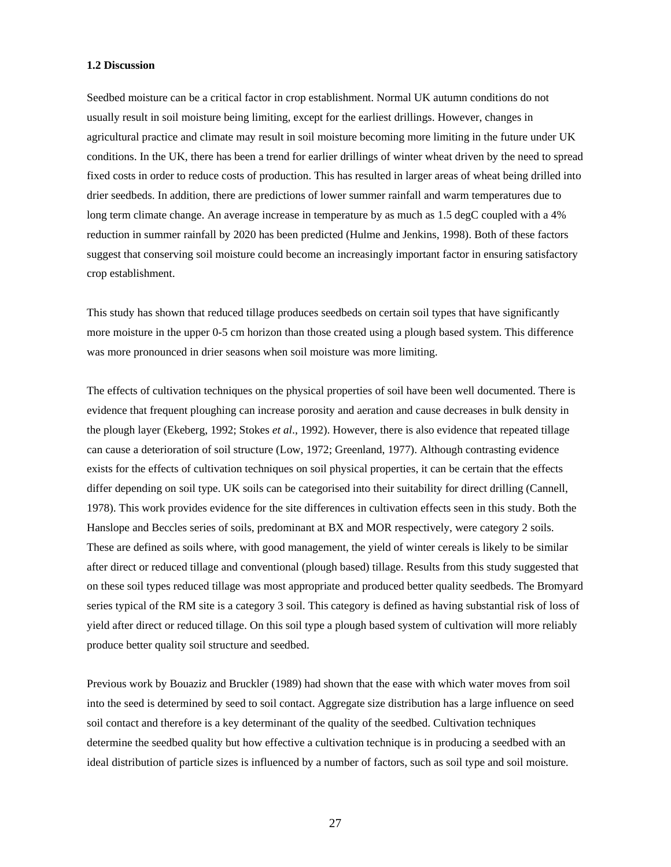#### **1.2 Discussion**

Seedbed moisture can be a critical factor in crop establishment. Normal UK autumn conditions do not usually result in soil moisture being limiting, except for the earliest drillings. However, changes in agricultural practice and climate may result in soil moisture becoming more limiting in the future under UK conditions. In the UK, there has been a trend for earlier drillings of winter wheat driven by the need to spread fixed costs in order to reduce costs of production. This has resulted in larger areas of wheat being drilled into drier seedbeds. In addition, there are predictions of lower summer rainfall and warm temperatures due to long term climate change. An average increase in temperature by as much as 1.5 degC coupled with a 4% reduction in summer rainfall by 2020 has been predicted (Hulme and Jenkins, 1998). Both of these factors suggest that conserving soil moisture could become an increasingly important factor in ensuring satisfactory crop establishment.

This study has shown that reduced tillage produces seedbeds on certain soil types that have significantly more moisture in the upper 0-5 cm horizon than those created using a plough based system. This difference was more pronounced in drier seasons when soil moisture was more limiting.

The effects of cultivation techniques on the physical properties of soil have been well documented. There is evidence that frequent ploughing can increase porosity and aeration and cause decreases in bulk density in the plough layer (Ekeberg, 1992; Stokes *et al*., 1992). However, there is also evidence that repeated tillage can cause a deterioration of soil structure (Low, 1972; Greenland, 1977). Although contrasting evidence exists for the effects of cultivation techniques on soil physical properties, it can be certain that the effects differ depending on soil type. UK soils can be categorised into their suitability for direct drilling (Cannell, 1978). This work provides evidence for the site differences in cultivation effects seen in this study. Both the Hanslope and Beccles series of soils, predominant at BX and MOR respectively, were category 2 soils. These are defined as soils where, with good management, the yield of winter cereals is likely to be similar after direct or reduced tillage and conventional (plough based) tillage. Results from this study suggested that on these soil types reduced tillage was most appropriate and produced better quality seedbeds. The Bromyard series typical of the RM site is a category 3 soil. This category is defined as having substantial risk of loss of yield after direct or reduced tillage. On this soil type a plough based system of cultivation will more reliably produce better quality soil structure and seedbed.

Previous work by Bouaziz and Bruckler (1989) had shown that the ease with which water moves from soil into the seed is determined by seed to soil contact. Aggregate size distribution has a large influence on seed soil contact and therefore is a key determinant of the quality of the seedbed. Cultivation techniques determine the seedbed quality but how effective a cultivation technique is in producing a seedbed with an ideal distribution of particle sizes is influenced by a number of factors, such as soil type and soil moisture.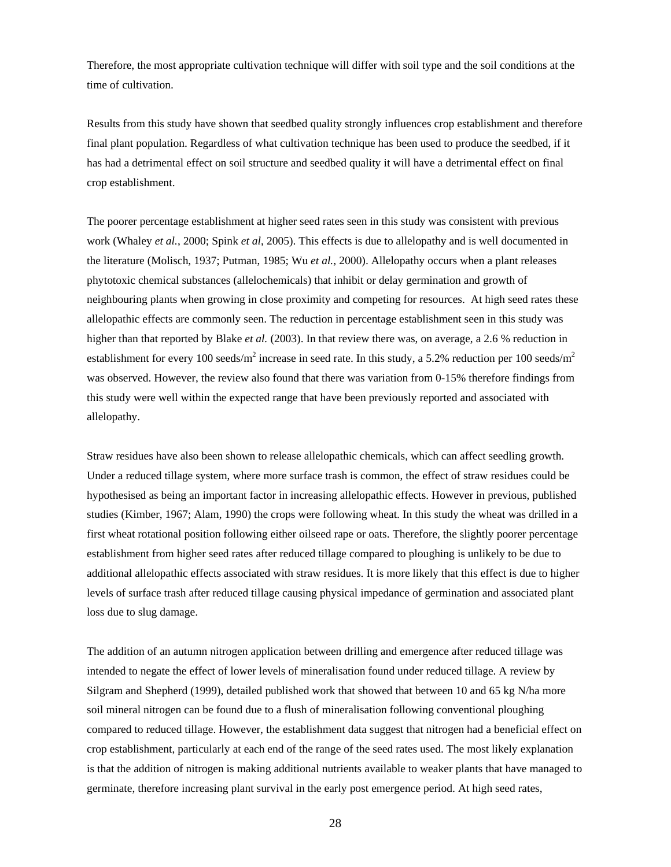Therefore, the most appropriate cultivation technique will differ with soil type and the soil conditions at the time of cultivation.

Results from this study have shown that seedbed quality strongly influences crop establishment and therefore final plant population. Regardless of what cultivation technique has been used to produce the seedbed, if it has had a detrimental effect on soil structure and seedbed quality it will have a detrimental effect on final crop establishment.

The poorer percentage establishment at higher seed rates seen in this study was consistent with previous work (Whaley *et al.*, 2000; Spink *et al*, 2005). This effects is due to allelopathy and is well documented in the literature (Molisch, 1937; Putman, 1985; Wu *et al.,* 2000). Allelopathy occurs when a plant releases phytotoxic chemical substances (allelochemicals) that inhibit or delay germination and growth of neighbouring plants when growing in close proximity and competing for resources. At high seed rates these allelopathic effects are commonly seen. The reduction in percentage establishment seen in this study was higher than that reported by Blake *et al.* (2003). In that review there was, on average, a 2.6 % reduction in establishment for every 100 seeds/m<sup>2</sup> increase in seed rate. In this study, a 5.2% reduction per 100 seeds/m<sup>2</sup> was observed. However, the review also found that there was variation from 0-15% therefore findings from this study were well within the expected range that have been previously reported and associated with allelopathy.

Straw residues have also been shown to release allelopathic chemicals, which can affect seedling growth. Under a reduced tillage system, where more surface trash is common, the effect of straw residues could be hypothesised as being an important factor in increasing allelopathic effects. However in previous, published studies (Kimber, 1967; Alam, 1990) the crops were following wheat. In this study the wheat was drilled in a first wheat rotational position following either oilseed rape or oats. Therefore, the slightly poorer percentage establishment from higher seed rates after reduced tillage compared to ploughing is unlikely to be due to additional allelopathic effects associated with straw residues. It is more likely that this effect is due to higher levels of surface trash after reduced tillage causing physical impedance of germination and associated plant loss due to slug damage.

The addition of an autumn nitrogen application between drilling and emergence after reduced tillage was intended to negate the effect of lower levels of mineralisation found under reduced tillage. A review by Silgram and Shepherd (1999), detailed published work that showed that between 10 and 65 kg N/ha more soil mineral nitrogen can be found due to a flush of mineralisation following conventional ploughing compared to reduced tillage. However, the establishment data suggest that nitrogen had a beneficial effect on crop establishment, particularly at each end of the range of the seed rates used. The most likely explanation is that the addition of nitrogen is making additional nutrients available to weaker plants that have managed to germinate, therefore increasing plant survival in the early post emergence period. At high seed rates,

28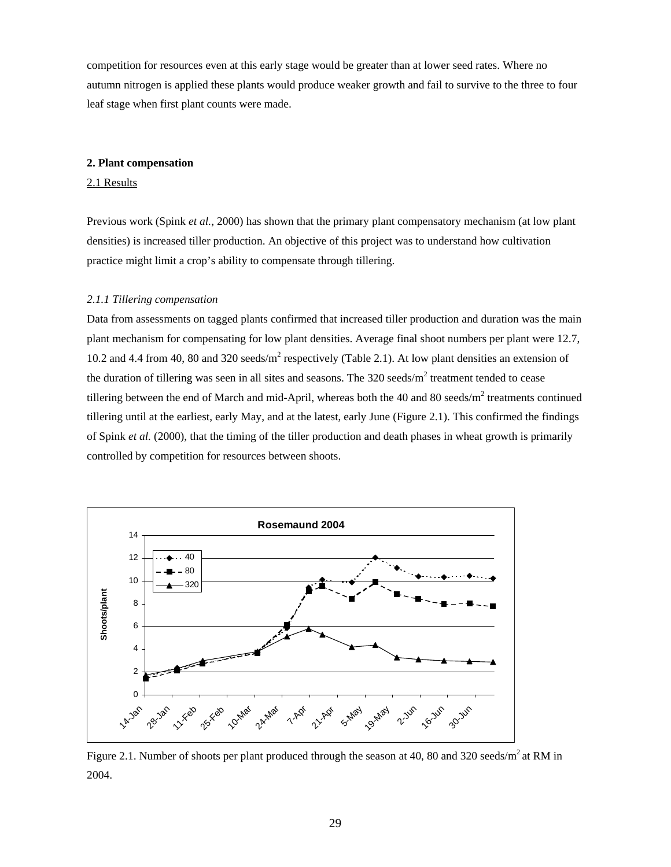competition for resources even at this early stage would be greater than at lower seed rates. Where no autumn nitrogen is applied these plants would produce weaker growth and fail to survive to the three to four leaf stage when first plant counts were made.

#### **2. Plant compensation**

#### 2.1 Results

Previous work (Spink *et al.*, 2000) has shown that the primary plant compensatory mechanism (at low plant densities) is increased tiller production. An objective of this project was to understand how cultivation practice might limit a crop's ability to compensate through tillering.

#### *2.1.1 Tillering compensation*

Data from assessments on tagged plants confirmed that increased tiller production and duration was the main plant mechanism for compensating for low plant densities. Average final shoot numbers per plant were 12.7, 10.2 and 4.4 from 40, 80 and 320 seeds/ $m^2$  respectively (Table 2.1). At low plant densities an extension of the duration of tillering was seen in all sites and seasons. The  $320$  seeds/m<sup>2</sup> treatment tended to cease tillering between the end of March and mid-April, whereas both the 40 and 80 seeds/m<sup>2</sup> treatments continued tillering until at the earliest, early May, and at the latest, early June (Figure 2.1). This confirmed the findings of Spink *et al.* (2000), that the timing of the tiller production and death phases in wheat growth is primarily controlled by competition for resources between shoots.



Figure 2.1. Number of shoots per plant produced through the season at 40, 80 and 320 seeds/ $m^2$  at RM in 2004.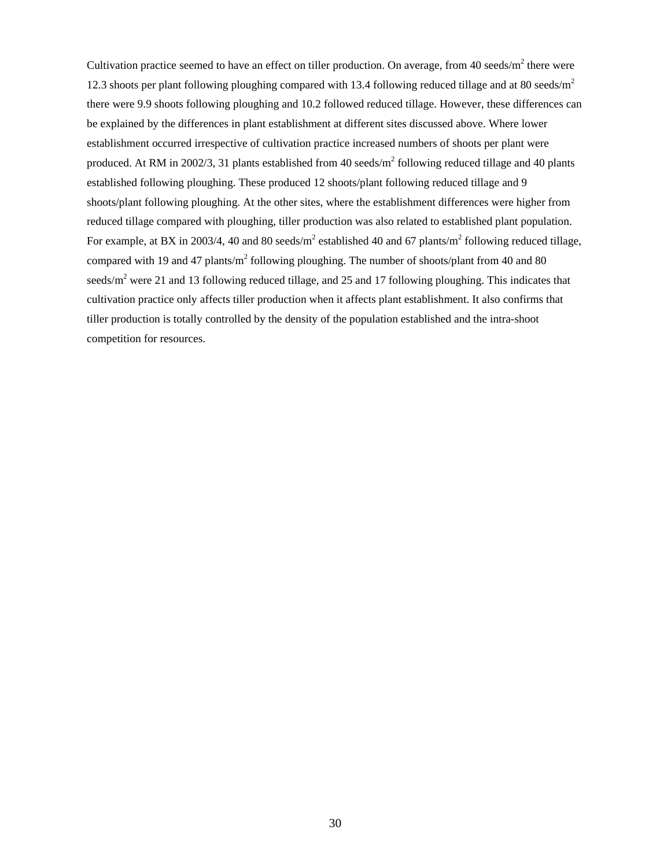Cultivation practice seemed to have an effect on tiller production. On average, from 40 seeds/ $m^2$  there were 12.3 shoots per plant following ploughing compared with 13.4 following reduced tillage and at 80 seeds/ $m<sup>2</sup>$ there were 9.9 shoots following ploughing and 10.2 followed reduced tillage. However, these differences can be explained by the differences in plant establishment at different sites discussed above. Where lower establishment occurred irrespective of cultivation practice increased numbers of shoots per plant were produced. At RM in 2002/3, 31 plants established from 40 seeds/ $m^2$  following reduced tillage and 40 plants established following ploughing. These produced 12 shoots/plant following reduced tillage and 9 shoots/plant following ploughing. At the other sites, where the establishment differences were higher from reduced tillage compared with ploughing, tiller production was also related to established plant population. For example, at BX in 2003/4, 40 and 80 seeds/ $m^2$  established 40 and 67 plants/ $m^2$  following reduced tillage, compared with 19 and 47 plants/ $m^2$  following ploughing. The number of shoots/plant from 40 and 80 seeds/ $m<sup>2</sup>$  were 21 and 13 following reduced tillage, and 25 and 17 following ploughing. This indicates that cultivation practice only affects tiller production when it affects plant establishment. It also confirms that tiller production is totally controlled by the density of the population established and the intra-shoot competition for resources.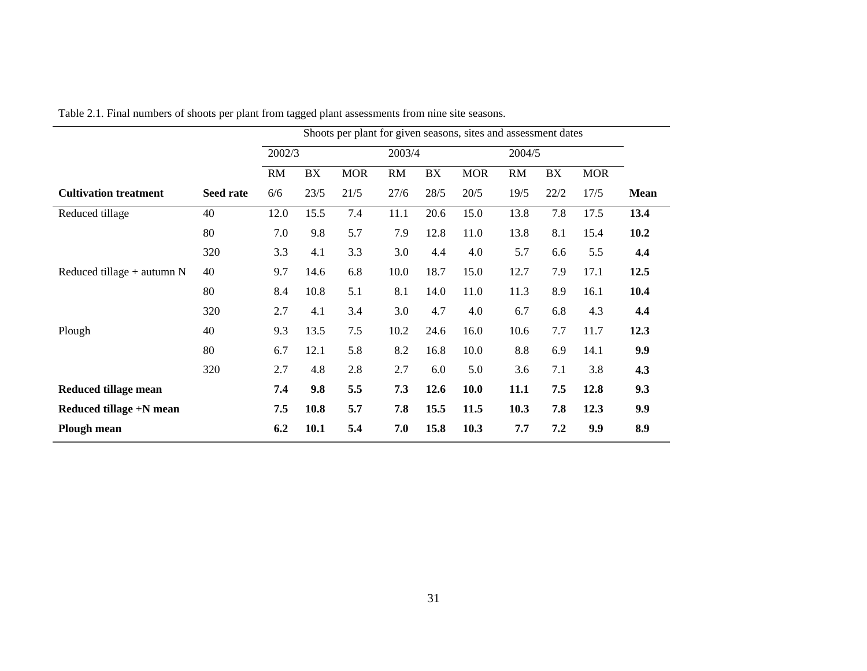|                              |                  |      | Shoots per plant for given seasons, sites and assessment dates |            |      |        |            |        |      |            |             |
|------------------------------|------------------|------|----------------------------------------------------------------|------------|------|--------|------------|--------|------|------------|-------------|
|                              |                  |      | 2002/3                                                         |            |      | 2003/4 |            | 2004/5 |      |            |             |
|                              |                  | RM   | BX                                                             | <b>MOR</b> | RM   | BX     | <b>MOR</b> | RM     | BX   | <b>MOR</b> |             |
| <b>Cultivation treatment</b> | <b>Seed rate</b> | 6/6  | 23/5                                                           | 21/5       | 27/6 | 28/5   | 20/5       | 19/5   | 22/2 | 17/5       | <b>Mean</b> |
| Reduced tillage              | 40               | 12.0 | 15.5                                                           | 7.4        | 11.1 | 20.6   | 15.0       | 13.8   | 7.8  | 17.5       | 13.4        |
|                              | 80               | 7.0  | 9.8                                                            | 5.7        | 7.9  | 12.8   | 11.0       | 13.8   | 8.1  | 15.4       | 10.2        |
|                              | 320              | 3.3  | 4.1                                                            | 3.3        | 3.0  | 4.4    | 4.0        | 5.7    | 6.6  | 5.5        | 4.4         |
| Reduced tillage $+$ autumn N | 40               | 9.7  | 14.6                                                           | 6.8        | 10.0 | 18.7   | 15.0       | 12.7   | 7.9  | 17.1       | 12.5        |
|                              | 80               | 8.4  | 10.8                                                           | 5.1        | 8.1  | 14.0   | 11.0       | 11.3   | 8.9  | 16.1       | 10.4        |
|                              | 320              | 2.7  | 4.1                                                            | 3.4        | 3.0  | 4.7    | 4.0        | 6.7    | 6.8  | 4.3        | 4.4         |
| Plough                       | 40               | 9.3  | 13.5                                                           | 7.5        | 10.2 | 24.6   | 16.0       | 10.6   | 7.7  | 11.7       | 12.3        |
|                              | 80               | 6.7  | 12.1                                                           | 5.8        | 8.2  | 16.8   | 10.0       | 8.8    | 6.9  | 14.1       | 9.9         |
|                              | 320              | 2.7  | 4.8                                                            | 2.8        | 2.7  | 6.0    | 5.0        | 3.6    | 7.1  | 3.8        | 4.3         |
| <b>Reduced tillage mean</b>  |                  | 7.4  | 9.8                                                            | 5.5        | 7.3  | 12.6   | 10.0       | 11.1   | 7.5  | 12.8       | 9.3         |
| Reduced tillage +N mean      |                  | 7.5  | 10.8                                                           | 5.7        | 7.8  | 15.5   | 11.5       | 10.3   | 7.8  | 12.3       | 9.9         |
| <b>Plough mean</b>           |                  | 6.2  | 10.1                                                           | 5.4        | 7.0  | 15.8   | 10.3       | 7.7    | 7.2  | 9.9        | 8.9         |

Table 2.1. Final numbers of shoots per plant from tagged plant assessments from nine site seasons.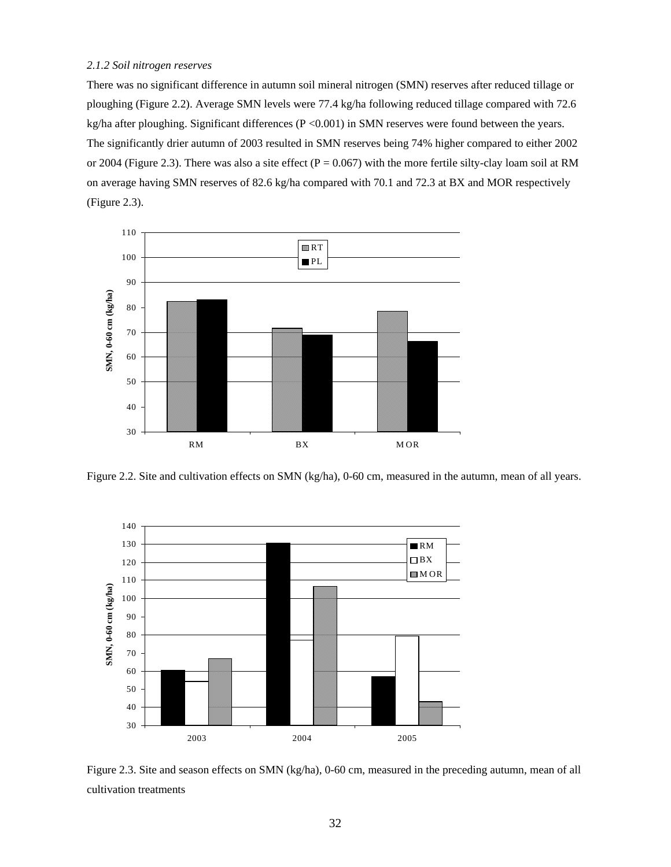#### *2.1.2 Soil nitrogen reserves*

There was no significant difference in autumn soil mineral nitrogen (SMN) reserves after reduced tillage or ploughing (Figure 2.2). Average SMN levels were 77.4 kg/ha following reduced tillage compared with 72.6 kg/ha after ploughing. Significant differences (P <0.001) in SMN reserves were found between the years. The significantly drier autumn of 2003 resulted in SMN reserves being 74% higher compared to either 2002 or 2004 (Figure 2.3). There was also a site effect ( $P = 0.067$ ) with the more fertile silty-clay loam soil at RM on average having SMN reserves of 82.6 kg/ha compared with 70.1 and 72.3 at BX and MOR respectively (Figure 2.3).



Figure 2.2. Site and cultivation effects on SMN (kg/ha), 0-60 cm, measured in the autumn, mean of all years.



Figure 2.3. Site and season effects on SMN (kg/ha), 0-60 cm, measured in the preceding autumn, mean of all cultivation treatments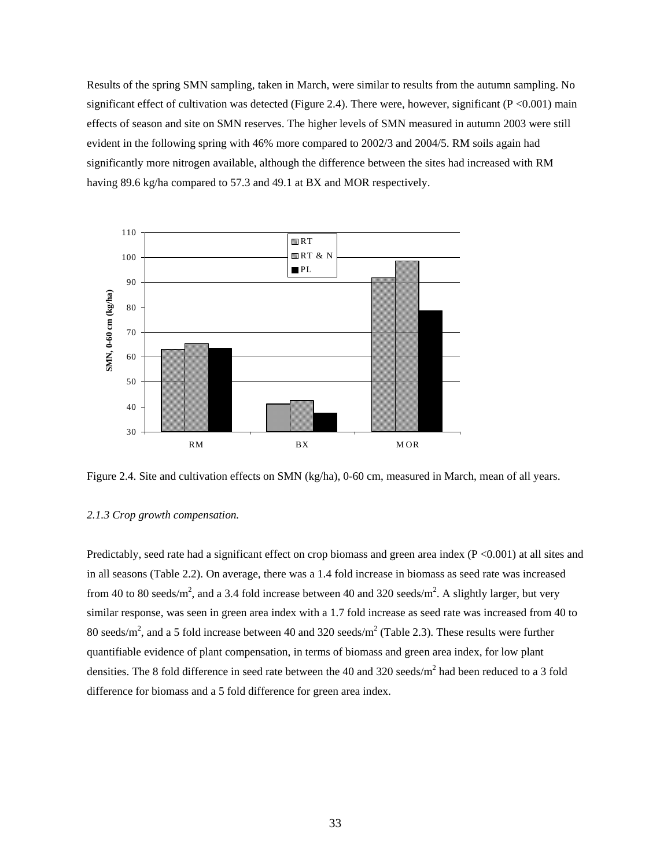Results of the spring SMN sampling, taken in March, were similar to results from the autumn sampling. No significant effect of cultivation was detected (Figure 2.4). There were, however, significant ( $P < 0.001$ ) main effects of season and site on SMN reserves. The higher levels of SMN measured in autumn 2003 were still evident in the following spring with 46% more compared to 2002/3 and 2004/5. RM soils again had significantly more nitrogen available, although the difference between the sites had increased with RM having 89.6 kg/ha compared to 57.3 and 49.1 at BX and MOR respectively.



Figure 2.4. Site and cultivation effects on SMN (kg/ha), 0-60 cm, measured in March, mean of all years.

#### *2.1.3 Crop growth compensation.*

Predictably, seed rate had a significant effect on crop biomass and green area index  $(P < 0.001)$  at all sites and in all seasons (Table 2.2). On average, there was a 1.4 fold increase in biomass as seed rate was increased from 40 to 80 seeds/m<sup>2</sup>, and a 3.4 fold increase between 40 and 320 seeds/m<sup>2</sup>. A slightly larger, but very similar response, was seen in green area index with a 1.7 fold increase as seed rate was increased from 40 to 80 seeds/m<sup>2</sup>, and a 5 fold increase between 40 and 320 seeds/m<sup>2</sup> (Table 2.3). These results were further quantifiable evidence of plant compensation, in terms of biomass and green area index, for low plant densities. The 8 fold difference in seed rate between the 40 and 320 seeds/ $m^2$  had been reduced to a 3 fold difference for biomass and a 5 fold difference for green area index.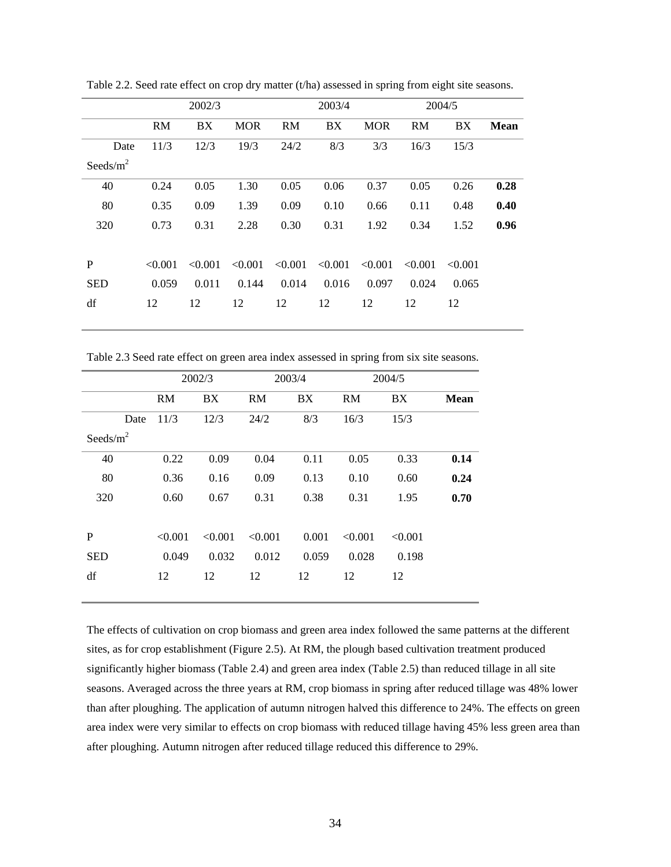|              |           | 2002/3  |            |           | 2003/4     |            |         | 2004/5  |             |
|--------------|-----------|---------|------------|-----------|------------|------------|---------|---------|-------------|
|              | <b>RM</b> | BX      | <b>MOR</b> | <b>RM</b> | BX         | <b>MOR</b> | RM      | BX      | <b>Mean</b> |
| Date         | 11/3      | 12/3    | 19/3       | 24/2      | 8/3        | 3/3        | 16/3    | 15/3    |             |
| Seeds/ $m^2$ |           |         |            |           |            |            |         |         |             |
| 40           | 0.24      | 0.05    | 1.30       | 0.05      | 0.06       | 0.37       | 0.05    | 0.26    | 0.28        |
| 80           | 0.35      | 0.09    | 1.39       | 0.09      | 0.10       | 0.66       | 0.11    | 0.48    | 0.40        |
| 320          | 0.73      | 0.31    | 2.28       | 0.30      | 0.31       | 1.92       | 0.34    | 1.52    | 0.96        |
|              |           |         |            |           |            |            |         |         |             |
| P            | < 0.001   | < 0.001 | < 0.001    | < 0.001   | ${<}0.001$ | < 0.001    | < 0.001 | < 0.001 |             |
| <b>SED</b>   | 0.059     | 0.011   | 0.144      | 0.014     | 0.016      | 0.097      | 0.024   | 0.065   |             |
| df           | 12        | 12      | 12         | 12        | 12         | 12         | 12      | 12      |             |
|              |           |         |            |           |            |            |         |         |             |

Table 2.2. Seed rate effect on crop dry matter (t/ha) assessed in spring from eight site seasons.

Table 2.3 Seed rate effect on green area index assessed in spring from six site seasons.

|              |      | 2002/3    |           | 2003/4    |       | 2004/5    |         |             |
|--------------|------|-----------|-----------|-----------|-------|-----------|---------|-------------|
|              |      | <b>RM</b> | <b>BX</b> | <b>RM</b> | BX    | <b>RM</b> | BX      | <b>Mean</b> |
|              | Date | 11/3      | 12/3      | 24/2      | 8/3   | 16/3      | 15/3    |             |
| Seeds/ $m^2$ |      |           |           |           |       |           |         |             |
| 40           |      | 0.22      | 0.09      | 0.04      | 0.11  | 0.05      | 0.33    | 0.14        |
| 80           |      | 0.36      | 0.16      | 0.09      | 0.13  | 0.10      | 0.60    | 0.24        |
| 320          |      | 0.60      | 0.67      | 0.31      | 0.38  | 0.31      | 1.95    | 0.70        |
|              |      |           |           |           |       |           |         |             |
| P            |      | < 0.001   | < 0.001   | < 0.001   | 0.001 | < 0.001   | < 0.001 |             |
| <b>SED</b>   |      | 0.049     | 0.032     | 0.012     | 0.059 | 0.028     | 0.198   |             |
| df           |      | 12        | 12        | 12        | 12    | 12        | 12      |             |
|              |      |           |           |           |       |           |         |             |

The effects of cultivation on crop biomass and green area index followed the same patterns at the different sites, as for crop establishment (Figure 2.5). At RM, the plough based cultivation treatment produced significantly higher biomass (Table 2.4) and green area index (Table 2.5) than reduced tillage in all site seasons. Averaged across the three years at RM, crop biomass in spring after reduced tillage was 48% lower than after ploughing. The application of autumn nitrogen halved this difference to 24%. The effects on green area index were very similar to effects on crop biomass with reduced tillage having 45% less green area than after ploughing. Autumn nitrogen after reduced tillage reduced this difference to 29%.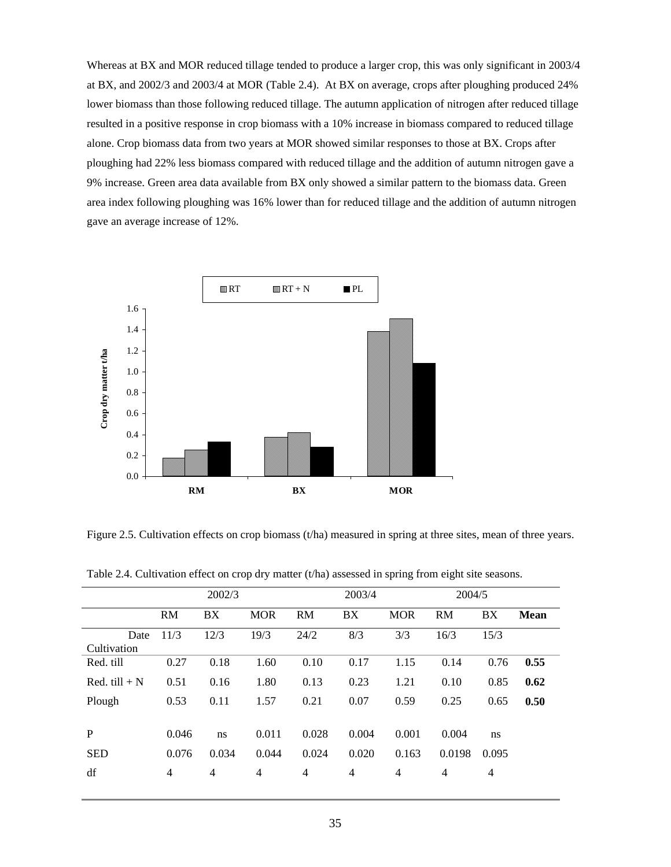Whereas at BX and MOR reduced tillage tended to produce a larger crop, this was only significant in 2003/4 at BX, and 2002/3 and 2003/4 at MOR (Table 2.4). At BX on average, crops after ploughing produced 24% lower biomass than those following reduced tillage. The autumn application of nitrogen after reduced tillage resulted in a positive response in crop biomass with a 10% increase in biomass compared to reduced tillage alone. Crop biomass data from two years at MOR showed similar responses to those at BX. Crops after ploughing had 22% less biomass compared with reduced tillage and the addition of autumn nitrogen gave a 9% increase. Green area data available from BX only showed a similar pattern to the biomass data. Green area index following ploughing was 16% lower than for reduced tillage and the addition of autumn nitrogen gave an average increase of 12%.



Figure 2.5. Cultivation effects on crop biomass (t/ha) measured in spring at three sites, mean of three years.

|                     |                | 2002/3 |            |                | 2003/4         | 2004/5         |                |                |             |
|---------------------|----------------|--------|------------|----------------|----------------|----------------|----------------|----------------|-------------|
|                     | <b>RM</b>      | BX     | <b>MOR</b> | <b>RM</b>      | BX             | <b>MOR</b>     | <b>RM</b>      | BX             | <b>Mean</b> |
| Date<br>Cultivation | 11/3           | 12/3   | 19/3       | 24/2           | 8/3            | 3/3            | 16/3           | 15/3           |             |
| Red. till           | 0.27           | 0.18   | 1.60       | 0.10           | 0.17           | 1.15           | 0.14           | 0.76           | 0.55        |
| Red. till $+ N$     | 0.51           | 0.16   | 1.80       | 0.13           | 0.23           | 1.21           | 0.10           | 0.85           | 0.62        |
| Plough              | 0.53           | 0.11   | 1.57       | 0.21           | 0.07           | 0.59           | 0.25           | 0.65           | 0.50        |
| P                   | 0.046          | ns     | 0.011      | 0.028          | 0.004          | 0.001          | 0.004          | ns             |             |
| <b>SED</b>          | 0.076          | 0.034  | 0.044      | 0.024          | 0.020          | 0.163          | 0.0198         | 0.095          |             |
| df                  | $\overline{4}$ | 4      | 4          | $\overline{4}$ | $\overline{4}$ | $\overline{4}$ | $\overline{4}$ | $\overline{4}$ |             |

Table 2.4. Cultivation effect on crop dry matter (t/ha) assessed in spring from eight site seasons.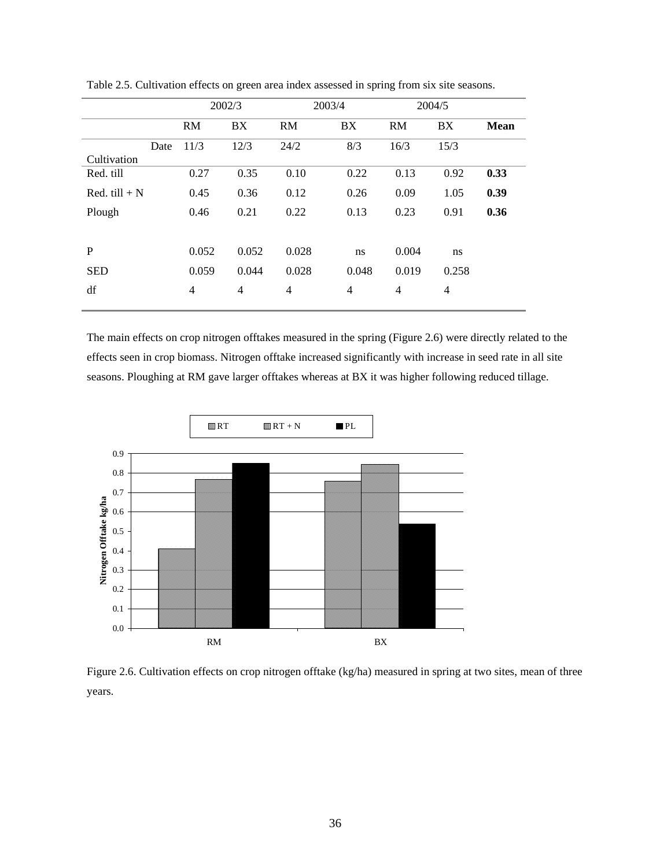|                 |      |                | 2002/3         |           | 2003/4 |                | 2004/5         |             |
|-----------------|------|----------------|----------------|-----------|--------|----------------|----------------|-------------|
|                 |      | <b>RM</b>      | BX             | <b>RM</b> | BX     | RM             | BX             | <b>Mean</b> |
|                 | Date | 11/3           | 12/3           | 24/2      | 8/3    | 16/3           | 15/3           |             |
| Cultivation     |      |                |                |           |        |                |                |             |
| Red. till       |      | 0.27           | 0.35           | 0.10      | 0.22   | 0.13           | 0.92           | 0.33        |
| Red. till $+ N$ |      | 0.45           | 0.36           | 0.12      | 0.26   | 0.09           | 1.05           | 0.39        |
| Plough          |      | 0.46           | 0.21           | 0.22      | 0.13   | 0.23           | 0.91           | 0.36        |
|                 |      |                |                |           |        |                |                |             |
| P               |      | 0.052          | 0.052          | 0.028     | ns     | 0.004          | ns             |             |
| <b>SED</b>      |      | 0.059          | 0.044          | 0.028     | 0.048  | 0.019          | 0.258          |             |
| df              |      | $\overline{4}$ | $\overline{4}$ | 4         | 4      | $\overline{4}$ | $\overline{4}$ |             |

Table 2.5. Cultivation effects on green area index assessed in spring from six site seasons.

The main effects on crop nitrogen offtakes measured in the spring (Figure 2.6) were directly related to the effects seen in crop biomass. Nitrogen offtake increased significantly with increase in seed rate in all site seasons. Ploughing at RM gave larger offtakes whereas at BX it was higher following reduced tillage.



Figure 2.6. Cultivation effects on crop nitrogen offtake (kg/ha) measured in spring at two sites, mean of three years.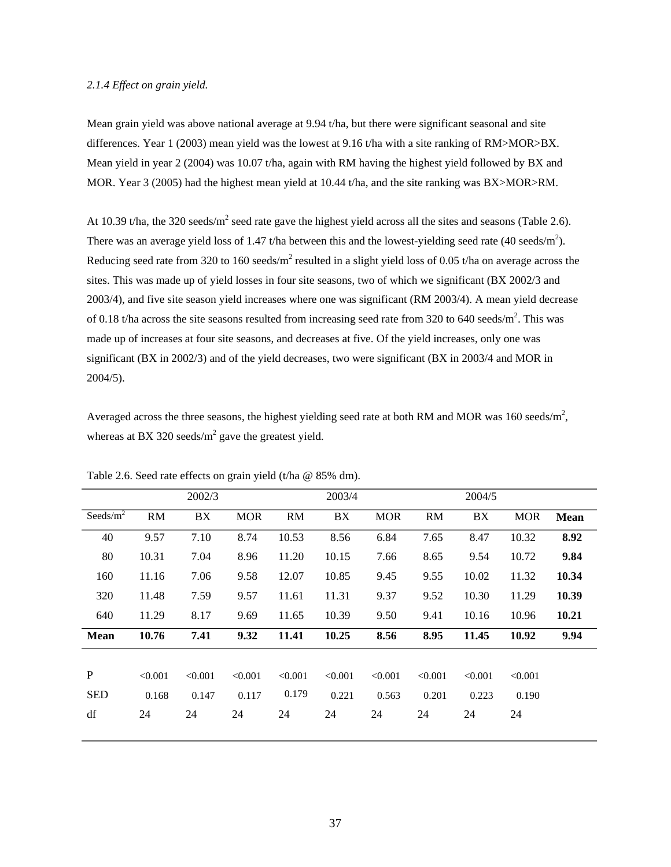#### *2.1.4 Effect on grain yield.*

Mean grain yield was above national average at 9.94 t/ha, but there were significant seasonal and site differences. Year 1 (2003) mean yield was the lowest at 9.16 t/ha with a site ranking of RM>MOR>BX. Mean yield in year 2 (2004) was 10.07 t/ha, again with RM having the highest yield followed by BX and MOR. Year 3 (2005) had the highest mean yield at 10.44 t/ha, and the site ranking was BX>MOR>RM.

At 10.39 t/ha, the 320 seeds/m<sup>2</sup> seed rate gave the highest yield across all the sites and seasons (Table 2.6). There was an average yield loss of 1.47 t/ha between this and the lowest-yielding seed rate (40 seeds/m<sup>2</sup>). Reducing seed rate from 320 to 160 seeds/m<sup>2</sup> resulted in a slight yield loss of 0.05 t/ha on average across the sites. This was made up of yield losses in four site seasons, two of which we significant (BX 2002/3 and 2003/4), and five site season yield increases where one was significant (RM 2003/4). A mean yield decrease of 0.18 t/ha across the site seasons resulted from increasing seed rate from 320 to 640 seeds/m<sup>2</sup>. This was made up of increases at four site seasons, and decreases at five. Of the yield increases, only one was significant (BX in 2002/3) and of the yield decreases, two were significant (BX in 2003/4 and MOR in 2004/5).

Averaged across the three seasons, the highest yielding seed rate at both RM and MOR was 160 seeds/ $m^2$ , whereas at BX 320 seeds/ $m^2$  gave the greatest yield.

|         | 2002/3     |            |         | 2003/4  |            |           | 2004/5  |            |             |
|---------|------------|------------|---------|---------|------------|-----------|---------|------------|-------------|
| RM      | ${\rm BX}$ | <b>MOR</b> | RM      | BX      | <b>MOR</b> | <b>RM</b> | BX      | <b>MOR</b> | <b>Mean</b> |
| 9.57    | 7.10       | 8.74       | 10.53   | 8.56    | 6.84       | 7.65      | 8.47    | 10.32      | 8.92        |
| 10.31   | 7.04       | 8.96       | 11.20   | 10.15   | 7.66       | 8.65      | 9.54    | 10.72      | 9.84        |
| 11.16   | 7.06       | 9.58       | 12.07   | 10.85   | 9.45       | 9.55      | 10.02   | 11.32      | 10.34       |
| 11.48   | 7.59       | 9.57       | 11.61   | 11.31   | 9.37       | 9.52      | 10.30   | 11.29      | 10.39       |
| 11.29   | 8.17       | 9.69       | 11.65   | 10.39   | 9.50       | 9.41      | 10.16   | 10.96      | 10.21       |
| 10.76   | 7.41       | 9.32       | 11.41   | 10.25   | 8.56       | 8.95      | 11.45   | 10.92      | 9.94        |
|         |            |            |         |         |            |           |         |            |             |
| < 0.001 | < 0.001    | < 0.001    | < 0.001 | < 0.001 | < 0.001    | < 0.001   | < 0.001 | < 0.001    |             |
| 0.168   | 0.147      | 0.117      | 0.179   | 0.221   | 0.563      | 0.201     | 0.223   | 0.190      |             |
| 24      | 24         | 24         | 24      | 24      | 24         | 24        | 24      | 24         |             |
|         |            |            |         |         |            |           |         |            |             |

Table 2.6. Seed rate effects on grain yield (t/ha @ 85% dm).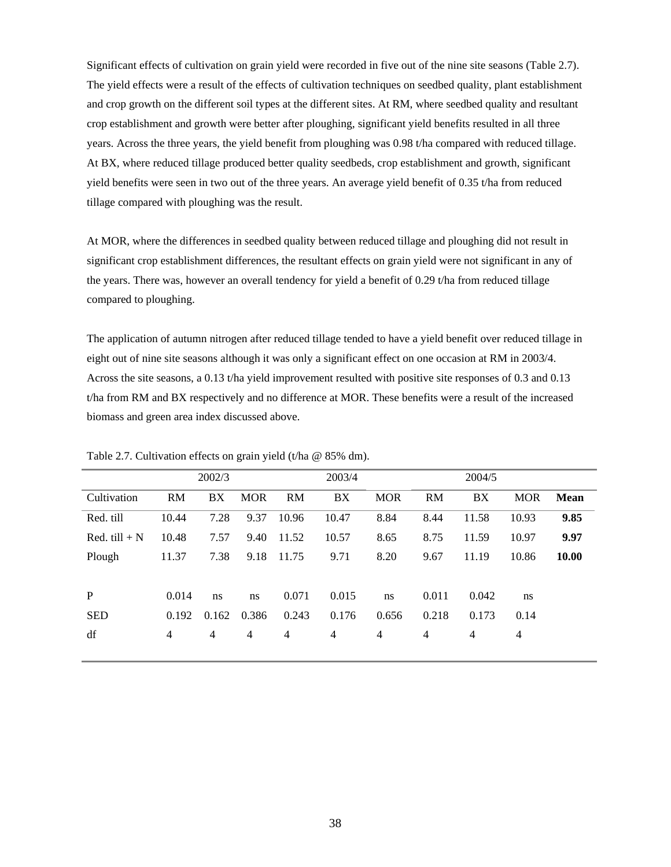Significant effects of cultivation on grain yield were recorded in five out of the nine site seasons (Table 2.7). The yield effects were a result of the effects of cultivation techniques on seedbed quality, plant establishment and crop growth on the different soil types at the different sites. At RM, where seedbed quality and resultant crop establishment and growth were better after ploughing, significant yield benefits resulted in all three years. Across the three years, the yield benefit from ploughing was 0.98 t/ha compared with reduced tillage. At BX, where reduced tillage produced better quality seedbeds, crop establishment and growth, significant yield benefits were seen in two out of the three years. An average yield benefit of 0.35 t/ha from reduced tillage compared with ploughing was the result.

At MOR, where the differences in seedbed quality between reduced tillage and ploughing did not result in significant crop establishment differences, the resultant effects on grain yield were not significant in any of the years. There was, however an overall tendency for yield a benefit of 0.29 t/ha from reduced tillage compared to ploughing.

The application of autumn nitrogen after reduced tillage tended to have a yield benefit over reduced tillage in eight out of nine site seasons although it was only a significant effect on one occasion at RM in 2003/4. Across the site seasons, a 0.13 t/ha yield improvement resulted with positive site responses of 0.3 and 0.13 t/ha from RM and BX respectively and no difference at MOR. These benefits were a result of the increased biomass and green area index discussed above.

|                 | 2002/3         |                |            |                | 2003/4<br>2004/5 |                |                |                |                |             |
|-----------------|----------------|----------------|------------|----------------|------------------|----------------|----------------|----------------|----------------|-------------|
| Cultivation     | <b>RM</b>      | BX             | <b>MOR</b> | <b>RM</b>      | BX               | <b>MOR</b>     | <b>RM</b>      | BX             | <b>MOR</b>     | <b>Mean</b> |
| Red. till       | 10.44          | 7.28           | 9.37       | 10.96          | 10.47            | 8.84           | 8.44           | 11.58          | 10.93          | 9.85        |
| Red. till $+ N$ | 10.48          | 7.57           | 9.40       | 11.52          | 10.57            | 8.65           | 8.75           | 11.59          | 10.97          | 9.97        |
| Plough          | 11.37          | 7.38           | 9.18       | 11.75          | 9.71             | 8.20           | 9.67           | 11.19          | 10.86          | 10.00       |
|                 |                |                |            |                |                  |                |                |                |                |             |
| P               | 0.014          | ns             | ns         | 0.071          | 0.015            | ns             | 0.011          | 0.042          | ns             |             |
| <b>SED</b>      | 0.192          | 0.162          | 0.386      | 0.243          | 0.176            | 0.656          | 0.218          | 0.173          | 0.14           |             |
| df              | $\overline{4}$ | $\overline{4}$ | 4          | $\overline{4}$ | $\overline{4}$   | $\overline{4}$ | $\overline{4}$ | $\overline{4}$ | $\overline{4}$ |             |
|                 |                |                |            |                |                  |                |                |                |                |             |

Table 2.7. Cultivation effects on grain yield (t/ha @ 85% dm).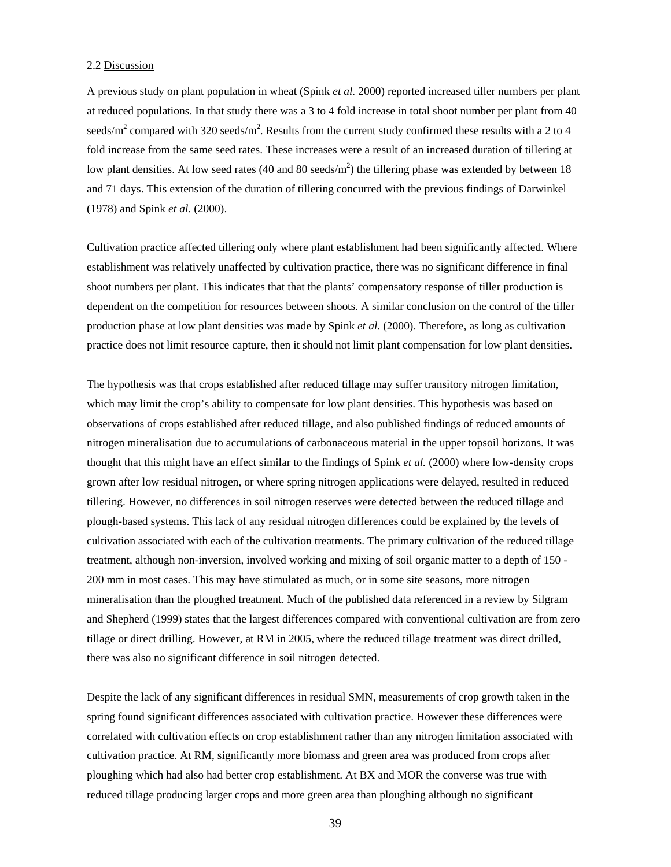#### 2.2 Discussion

A previous study on plant population in wheat (Spink *et al.* 2000) reported increased tiller numbers per plant at reduced populations. In that study there was a 3 to 4 fold increase in total shoot number per plant from 40 seeds/m<sup>2</sup> compared with 320 seeds/m<sup>2</sup>. Results from the current study confirmed these results with a 2 to 4 fold increase from the same seed rates. These increases were a result of an increased duration of tillering at low plant densities. At low seed rates (40 and 80 seeds/ $m<sup>2</sup>$ ) the tillering phase was extended by between 18 and 71 days. This extension of the duration of tillering concurred with the previous findings of Darwinkel (1978) and Spink *et al.* (2000).

Cultivation practice affected tillering only where plant establishment had been significantly affected. Where establishment was relatively unaffected by cultivation practice, there was no significant difference in final shoot numbers per plant. This indicates that that the plants' compensatory response of tiller production is dependent on the competition for resources between shoots. A similar conclusion on the control of the tiller production phase at low plant densities was made by Spink *et al.* (2000). Therefore, as long as cultivation practice does not limit resource capture, then it should not limit plant compensation for low plant densities.

The hypothesis was that crops established after reduced tillage may suffer transitory nitrogen limitation, which may limit the crop's ability to compensate for low plant densities. This hypothesis was based on observations of crops established after reduced tillage, and also published findings of reduced amounts of nitrogen mineralisation due to accumulations of carbonaceous material in the upper topsoil horizons. It was thought that this might have an effect similar to the findings of Spink *et al.* (2000) where low-density crops grown after low residual nitrogen, or where spring nitrogen applications were delayed, resulted in reduced tillering. However, no differences in soil nitrogen reserves were detected between the reduced tillage and plough-based systems. This lack of any residual nitrogen differences could be explained by the levels of cultivation associated with each of the cultivation treatments. The primary cultivation of the reduced tillage treatment, although non-inversion, involved working and mixing of soil organic matter to a depth of 150 - 200 mm in most cases. This may have stimulated as much, or in some site seasons, more nitrogen mineralisation than the ploughed treatment. Much of the published data referenced in a review by Silgram and Shepherd (1999) states that the largest differences compared with conventional cultivation are from zero tillage or direct drilling. However, at RM in 2005, where the reduced tillage treatment was direct drilled, there was also no significant difference in soil nitrogen detected.

Despite the lack of any significant differences in residual SMN, measurements of crop growth taken in the spring found significant differences associated with cultivation practice. However these differences were correlated with cultivation effects on crop establishment rather than any nitrogen limitation associated with cultivation practice. At RM, significantly more biomass and green area was produced from crops after ploughing which had also had better crop establishment. At BX and MOR the converse was true with reduced tillage producing larger crops and more green area than ploughing although no significant

39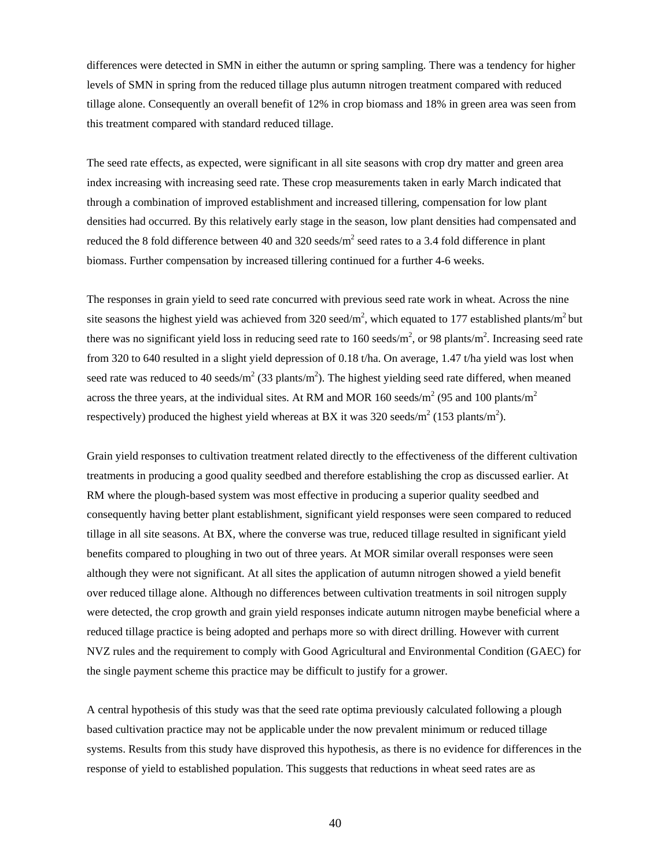differences were detected in SMN in either the autumn or spring sampling. There was a tendency for higher levels of SMN in spring from the reduced tillage plus autumn nitrogen treatment compared with reduced tillage alone. Consequently an overall benefit of 12% in crop biomass and 18% in green area was seen from this treatment compared with standard reduced tillage.

The seed rate effects, as expected, were significant in all site seasons with crop dry matter and green area index increasing with increasing seed rate. These crop measurements taken in early March indicated that through a combination of improved establishment and increased tillering, compensation for low plant densities had occurred. By this relatively early stage in the season, low plant densities had compensated and reduced the 8 fold difference between 40 and 320 seeds/ $m^2$  seed rates to a 3.4 fold difference in plant biomass. Further compensation by increased tillering continued for a further 4-6 weeks.

The responses in grain yield to seed rate concurred with previous seed rate work in wheat. Across the nine site seasons the highest yield was achieved from 320 seed/m<sup>2</sup>, which equated to 177 established plants/m<sup>2</sup> but there was no significant yield loss in reducing seed rate to 160 seeds/ $m^2$ , or 98 plants/ $m^2$ . Increasing seed rate from 320 to 640 resulted in a slight yield depression of 0.18 t/ha. On average, 1.47 t/ha yield was lost when seed rate was reduced to 40 seeds/ $m^2$  (33 plants/ $m^2$ ). The highest yielding seed rate differed, when meaned across the three years, at the individual sites. At RM and MOR 160 seeds/ $m^2$  (95 and 100 plants/ $m^2$ respectively) produced the highest yield whereas at BX it was 320 seeds/ $m^2$  (153 plants/ $m^2$ ).

Grain yield responses to cultivation treatment related directly to the effectiveness of the different cultivation treatments in producing a good quality seedbed and therefore establishing the crop as discussed earlier. At RM where the plough-based system was most effective in producing a superior quality seedbed and consequently having better plant establishment, significant yield responses were seen compared to reduced tillage in all site seasons. At BX, where the converse was true, reduced tillage resulted in significant yield benefits compared to ploughing in two out of three years. At MOR similar overall responses were seen although they were not significant. At all sites the application of autumn nitrogen showed a yield benefit over reduced tillage alone. Although no differences between cultivation treatments in soil nitrogen supply were detected, the crop growth and grain yield responses indicate autumn nitrogen maybe beneficial where a reduced tillage practice is being adopted and perhaps more so with direct drilling. However with current NVZ rules and the requirement to comply with Good Agricultural and Environmental Condition (GAEC) for the single payment scheme this practice may be difficult to justify for a grower.

A central hypothesis of this study was that the seed rate optima previously calculated following a plough based cultivation practice may not be applicable under the now prevalent minimum or reduced tillage systems. Results from this study have disproved this hypothesis, as there is no evidence for differences in the response of yield to established population. This suggests that reductions in wheat seed rates are as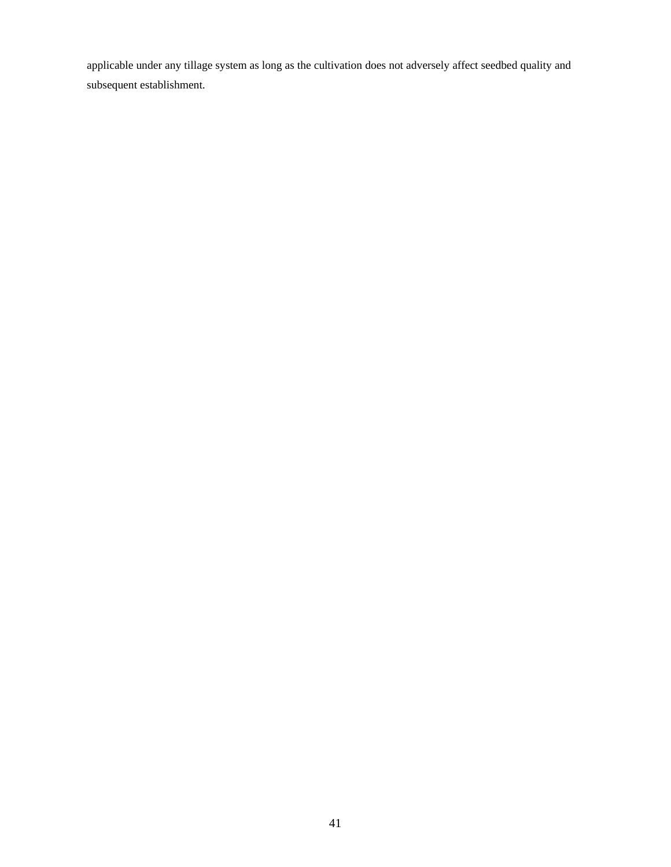applicable under any tillage system as long as the cultivation does not adversely affect seedbed quality and subsequent establishment.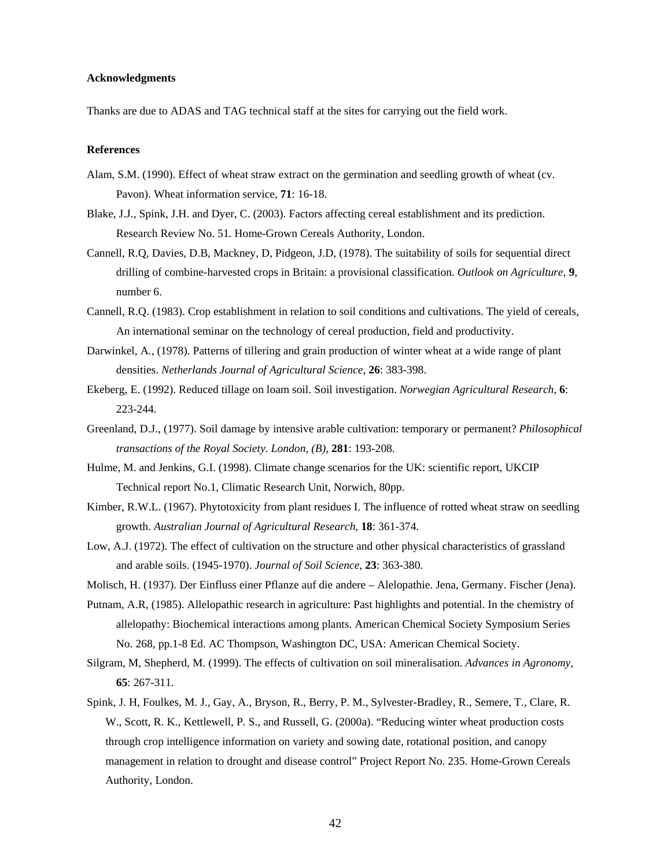#### **Acknowledgments**

Thanks are due to ADAS and TAG technical staff at the sites for carrying out the field work.

#### **References**

- Alam, S.M. (1990). Effect of wheat straw extract on the germination and seedling growth of wheat (cv. Pavon). Wheat information service, **71**: 16-18.
- Blake, J.J., Spink, J.H. and Dyer, C. (2003). Factors affecting cereal establishment and its prediction. Research Review No. 51*.* Home-Grown Cereals Authority, London.
- Cannell, R.Q, Davies, D.B, Mackney, D, Pidgeon, J.D, (1978). The suitability of soils for sequential direct drilling of combine-harvested crops in Britain: a provisional classification. *Outlook on Agriculture,* **9**, number 6.
- Cannell, R.Q. (1983). Crop establishment in relation to soil conditions and cultivations. The yield of cereals, An international seminar on the technology of cereal production, field and productivity.
- Darwinkel, A., (1978). Patterns of tillering and grain production of winter wheat at a wide range of plant densities. *Netherlands Journal of Agricultural Science,* **26**: 383-398.
- Ekeberg, E. (1992). Reduced tillage on loam soil. Soil investigation. *Norwegian Agricultural Research,* **6**: 223-244*.*
- Greenland, D.J., (1977). Soil damage by intensive arable cultivation: temporary or permanent? *Philosophical transactions of the Royal Society. London, (B)*, **281**: 193-208.
- Hulme, M. and Jenkins, G.I. (1998). Climate change scenarios for the UK: scientific report, UKCIP Technical report No.1, Climatic Research Unit, Norwich, 80pp.
- Kimber, R.W.L. (1967). Phytotoxicity from plant residues I. The influence of rotted wheat straw on seedling growth. *Australian Journal of Agricultural Research,* **18**: 361-374.
- Low, A.J. (1972). The effect of cultivation on the structure and other physical characteristics of grassland and arable soils. (1945-1970). *Journal of Soil Science*, **23**: 363-380.
- Molisch, H. (1937). Der Einfluss einer Pflanze auf die andere Alelopathie. Jena, Germany. Fischer (Jena).
- Putnam, A.R, (1985). Allelopathic research in agriculture: Past highlights and potential. In the chemistry of allelopathy: Biochemical interactions among plants. American Chemical Society Symposium Series No. 268, pp.1-8 Ed. AC Thompson, Washington DC, USA: American Chemical Society.
- Silgram, M, Shepherd, M. (1999). The effects of cultivation on soil mineralisation. *Advances in Agronomy,*  **65**: 267-311.
- Spink, J. H, Foulkes, M. J., Gay, A., Bryson, R., Berry, P. M., Sylvester-Bradley, R., Semere, T., Clare, R. W., Scott, R. K., Kettlewell, P. S., and Russell, G. (2000a). "Reducing winter wheat production costs through crop intelligence information on variety and sowing date, rotational position, and canopy management in relation to drought and disease control" Project Report No. 235. Home-Grown Cereals Authority, London.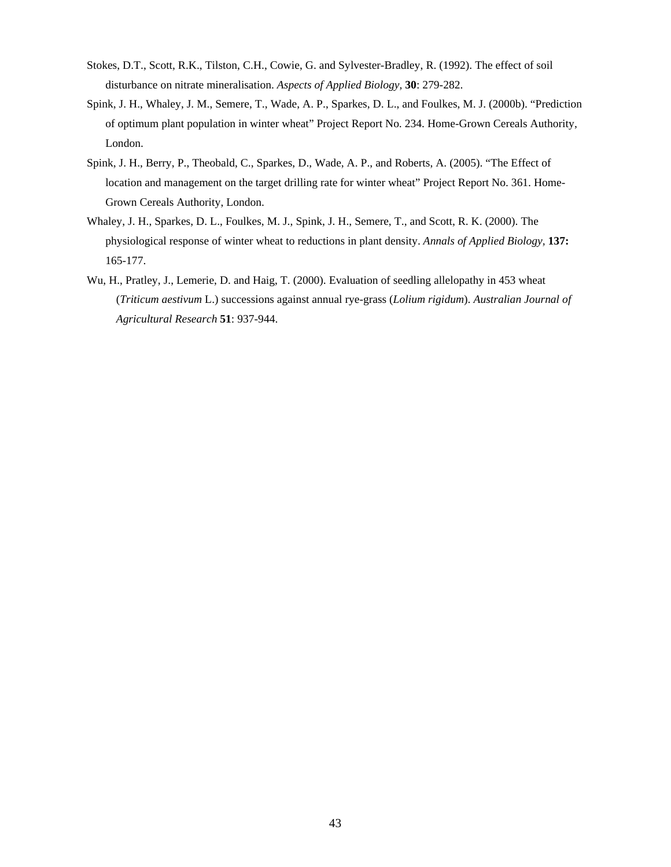- Stokes, D.T., Scott, R.K., Tilston, C.H., Cowie, G. and Sylvester-Bradley, R. (1992). The effect of soil disturbance on nitrate mineralisation. *Aspects of Applied Biology,* **30**: 279-282.
- Spink, J. H., Whaley, J. M., Semere, T., Wade, A. P., Sparkes, D. L., and Foulkes, M. J. (2000b). "Prediction of optimum plant population in winter wheat" Project Report No. 234. Home-Grown Cereals Authority, London.
- Spink, J. H., Berry, P., Theobald, C., Sparkes, D., Wade, A. P., and Roberts, A. (2005). "The Effect of location and management on the target drilling rate for winter wheat" Project Report No. 361. Home-Grown Cereals Authority, London.
- Whaley, J. H., Sparkes, D. L., Foulkes, M. J., Spink, J. H., Semere, T., and Scott, R. K. (2000). The physiological response of winter wheat to reductions in plant density. *Annals of Applied Biology,* **137:**  165-177.
- Wu, H., Pratley, J., Lemerie, D. and Haig, T. (2000). Evaluation of seedling allelopathy in 453 wheat (*Triticum aestivum* L.) successions against annual rye-grass (*Lolium rigidum*). *Australian Journal of Agricultural Research* **51**: 937-944.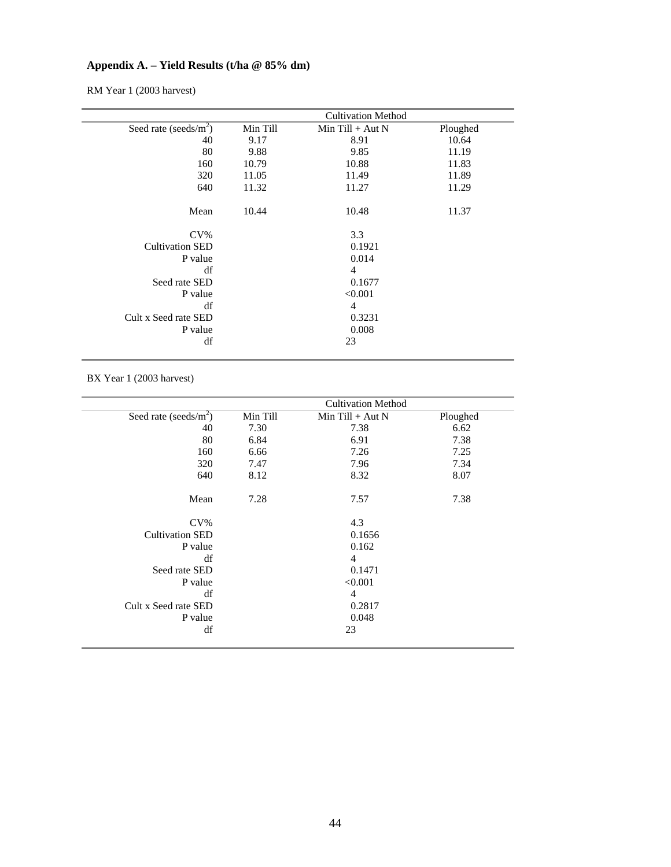# **Appendix A. – Yield Results (t/ha @ 85% dm)**

RM Year 1 (2003 harvest)

|                          |          | <b>Cultivation Method</b> |          |
|--------------------------|----------|---------------------------|----------|
| Seed rate (seeds/ $m2$ ) | Min Till | Min Till $+$ Aut N        | Ploughed |
| 40                       | 9.17     | 8.91                      | 10.64    |
| 80                       | 9.88     | 9.85                      | 11.19    |
| 160                      | 10.79    | 10.88                     | 11.83    |
| 320                      | 11.05    | 11.49                     | 11.89    |
| 640                      | 11.32    | 11.27                     | 11.29    |
|                          |          |                           |          |
| Mean                     | 10.44    | 10.48                     | 11.37    |
|                          |          |                           |          |
| $CV\%$                   |          | 3.3                       |          |
| <b>Cultivation SED</b>   |          | 0.1921                    |          |
| P value                  |          | 0.014                     |          |
| df                       |          | 4                         |          |
| Seed rate SED            |          | 0.1677                    |          |
| P value                  |          | < 0.001                   |          |
| df                       |          | 4                         |          |
| Cult x Seed rate SED     |          | 0.3231                    |          |
| P value                  |          | 0.008                     |          |
| df                       |          | 23                        |          |
|                          |          |                           |          |

BX Year 1 (2003 harvest)

|          | <b>Cultivation Method</b> |          |
|----------|---------------------------|----------|
| Min Till | Min Till $+$ Aut N        | Ploughed |
| 7.30     | 7.38                      | 6.62     |
| 6.84     | 6.91                      | 7.38     |
| 6.66     | 7.26                      | 7.25     |
| 7.47     | 7.96                      | 7.34     |
| 8.12     | 8.32                      | 8.07     |
| 7.28     | 7.57                      | 7.38     |
|          | 4.3                       |          |
|          | 0.1656                    |          |
|          | 0.162                     |          |
|          | $\overline{4}$            |          |
|          | 0.1471                    |          |
|          | < 0.001                   |          |
|          | $\overline{4}$            |          |
|          | 0.2817                    |          |
|          | 0.048                     |          |
|          | 23                        |          |
|          |                           |          |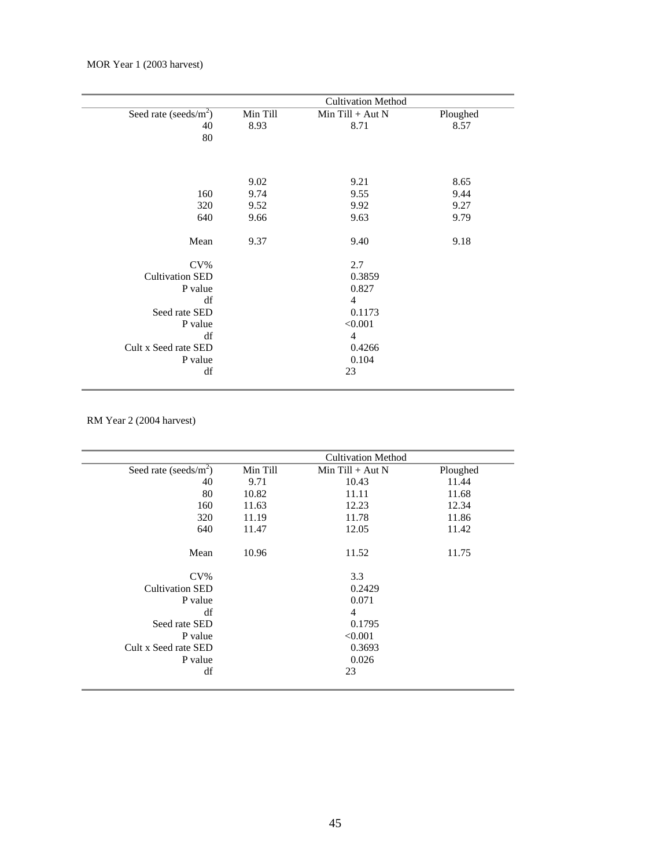|                          |          | <b>Cultivation Method</b> |          |
|--------------------------|----------|---------------------------|----------|
| Seed rate (seeds/ $m2$ ) | Min Till | $Min$ Till + Aut N        | Ploughed |
| 40                       | 8.93     | 8.71                      | 8.57     |
| 80                       |          |                           |          |
|                          |          |                           |          |
|                          |          |                           |          |
|                          | 9.02     | 9.21                      | 8.65     |
| 160                      | 9.74     | 9.55                      | 9.44     |
| 320                      | 9.52     | 9.92                      | 9.27     |
| 640                      | 9.66     | 9.63                      | 9.79     |
|                          |          |                           |          |
| Mean                     | 9.37     | 9.40                      | 9.18     |
|                          |          |                           |          |
| $CV\%$                   |          | 2.7                       |          |
| <b>Cultivation SED</b>   |          | 0.3859                    |          |
| P value                  |          | 0.827                     |          |
| df                       |          | $\overline{4}$            |          |
| Seed rate SED            |          | 0.1173                    |          |
| P value                  |          | < 0.001                   |          |
| df                       |          | $\overline{4}$            |          |
| Cult x Seed rate SED     |          | 0.4266                    |          |
| P value                  |          | 0.104                     |          |
| df                       |          | 23                        |          |
|                          |          |                           |          |

RM Year 2 (2004 harvest)

|                          |          | <b>Cultivation Method</b> |          |
|--------------------------|----------|---------------------------|----------|
| Seed rate (seeds/ $m2$ ) | Min Till | Min Till $+$ Aut N        | Ploughed |
| 40                       | 9.71     | 10.43                     | 11.44    |
| 80                       | 10.82    | 11.11                     | 11.68    |
| 160                      | 11.63    | 12.23                     | 12.34    |
| 320                      | 11.19    | 11.78                     | 11.86    |
| 640                      | 11.47    | 12.05                     | 11.42    |
| Mean                     | 10.96    | 11.52                     | 11.75    |
| $CV\%$                   |          | 3.3                       |          |
| <b>Cultivation SED</b>   |          | 0.2429                    |          |
| P value                  |          | 0.071                     |          |
| df                       |          | 4                         |          |
| Seed rate SED            |          | 0.1795                    |          |
| P value                  |          | < 0.001                   |          |
| Cult x Seed rate SED     |          | 0.3693                    |          |
| P value                  |          | 0.026                     |          |
| df                       |          | 23                        |          |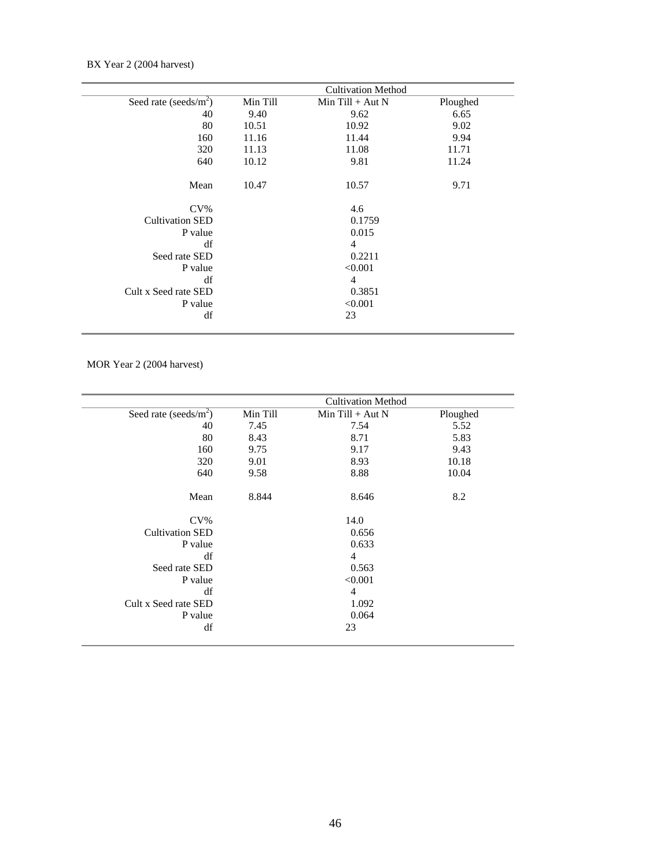BX Year 2 (2004 harvest)

|                           |          | <b>Cultivation Method</b> |          |
|---------------------------|----------|---------------------------|----------|
| Seed rate (seeds/ $m^2$ ) | Min Till | $Min$ Till + Aut N        | Ploughed |
| 40                        | 9.40     | 9.62                      | 6.65     |
| 80                        | 10.51    | 10.92                     | 9.02     |
| 160                       | 11.16    | 11.44                     | 9.94     |
| 320                       | 11.13    | 11.08                     | 11.71    |
| 640                       | 10.12    | 9.81                      | 11.24    |
| Mean                      | 10.47    | 10.57                     | 9.71     |
| $CV\%$                    |          | 4.6                       |          |
| <b>Cultivation SED</b>    |          | 0.1759                    |          |
| P value                   |          | 0.015                     |          |
| df                        |          | $\overline{4}$            |          |
| Seed rate SED             |          | 0.2211                    |          |
| P value                   |          | < 0.001                   |          |
| df                        |          | $\overline{4}$            |          |
| Cult x Seed rate SED      |          | 0.3851                    |          |
| P value                   |          | < 0.001                   |          |
| df                        |          | 23                        |          |

MOR Year 2 (2004 harvest)

|                          |          | <b>Cultivation Method</b> |          |
|--------------------------|----------|---------------------------|----------|
| Seed rate (seeds/ $m2$ ) | Min Till | Min $Till + Aut N$        | Ploughed |
| 40                       | 7.45     | 7.54                      | 5.52     |
| 80                       | 8.43     | 8.71                      | 5.83     |
| 160                      | 9.75     | 9.17                      | 9.43     |
| 320                      | 9.01     | 8.93                      | 10.18    |
| 640                      | 9.58     | 8.88                      | 10.04    |
| Mean                     | 8.844    | 8.646                     | 8.2      |
| $CV\%$                   |          | 14.0                      |          |
| <b>Cultivation SED</b>   |          | 0.656                     |          |
| P value                  |          | 0.633                     |          |
| df                       |          | $\overline{4}$            |          |
| Seed rate SED            |          | 0.563                     |          |
| P value                  |          | < 0.001                   |          |
| df                       |          | $\overline{4}$            |          |
| Cult x Seed rate SED     |          | 1.092                     |          |
| P value                  |          | 0.064                     |          |
| df                       |          | 23                        |          |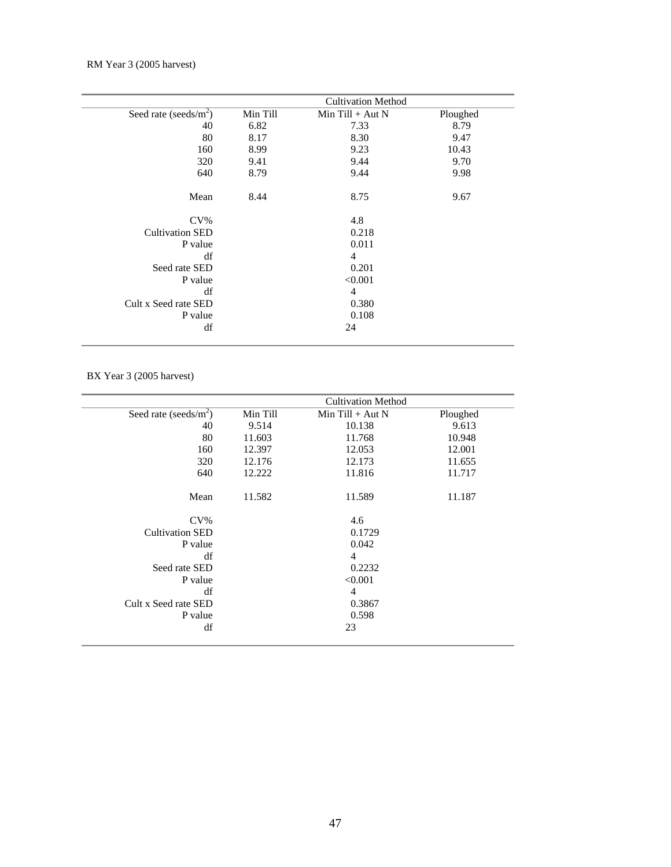|                          |          | <b>Cultivation Method</b> |          |  |
|--------------------------|----------|---------------------------|----------|--|
| Seed rate (seeds/ $m2$ ) | Min Till | $Min$ Till + Aut N        | Ploughed |  |
| 40                       | 6.82     | 7.33                      | 8.79     |  |
| 80                       | 8.17     | 8.30                      | 9.47     |  |
| 160                      | 8.99     | 9.23                      | 10.43    |  |
| 320                      | 9.41     | 9.44                      | 9.70     |  |
| 640                      | 8.79     | 9.44                      | 9.98     |  |
| Mean                     | 8.44     | 8.75                      | 9.67     |  |
| $CV\%$                   |          | 4.8                       |          |  |
| <b>Cultivation SED</b>   |          | 0.218                     |          |  |
| P value                  |          | 0.011                     |          |  |
| df                       |          | 4                         |          |  |
| Seed rate SED            |          | 0.201                     |          |  |
| P value                  |          | < 0.001                   |          |  |
| df                       |          | 4                         |          |  |
| Cult x Seed rate SED     |          | 0.380                     |          |  |
| P value                  |          | 0.108                     |          |  |
| df                       |          | 24                        |          |  |
|                          |          |                           |          |  |

BX Year 3 (2005 harvest)

|                          |          | <b>Cultivation Method</b> |          |
|--------------------------|----------|---------------------------|----------|
| Seed rate (seeds/ $m2$ ) | Min Till | Min Till $+$ Aut N        | Ploughed |
| 40                       | 9.514    | 10.138                    | 9.613    |
| 80                       | 11.603   | 11.768                    | 10.948   |
| 160                      | 12.397   | 12.053                    | 12.001   |
| 320                      | 12.176   | 12.173                    | 11.655   |
| 640                      | 12.222   | 11.816                    | 11.717   |
| Mean                     | 11.582   | 11.589                    | 11.187   |
| $CV\%$                   |          | 4.6                       |          |
| <b>Cultivation SED</b>   |          | 0.1729                    |          |
| P value                  |          | 0.042                     |          |
| df                       |          | $\overline{4}$            |          |
| Seed rate SED            |          | 0.2232                    |          |
| P value                  |          | < 0.001                   |          |
| df                       |          | 4                         |          |
| Cult x Seed rate SED     |          | 0.3867                    |          |
| P value                  |          | 0.598                     |          |
| df                       |          | 23                        |          |
|                          |          |                           |          |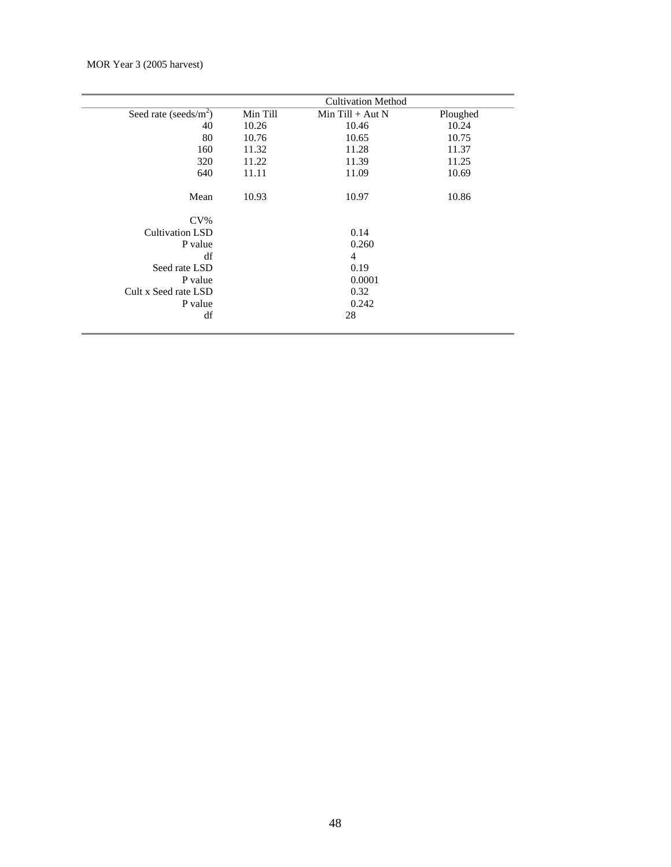|                          |          | <b>Cultivation Method</b> |          |
|--------------------------|----------|---------------------------|----------|
| Seed rate (seeds/ $m2$ ) | Min Till | Min Till $+$ Aut N        | Ploughed |
| 40                       | 10.26    | 10.46                     | 10.24    |
| 80                       | 10.76    | 10.65                     | 10.75    |
| 160                      | 11.32    | 11.28                     | 11.37    |
| 320                      | 11.22    | 11.39                     | 11.25    |
| 640                      | 11.11    | 11.09                     | 10.69    |
| Mean                     | 10.93    | 10.97                     | 10.86    |
| $CV\%$                   |          |                           |          |
| <b>Cultivation LSD</b>   |          | 0.14                      |          |
| P value                  |          | 0.260                     |          |
| df                       |          | $\overline{4}$            |          |
| Seed rate LSD            |          | 0.19                      |          |
| P value                  |          | 0.0001                    |          |
| Cult x Seed rate LSD     |          | 0.32                      |          |
| P value                  |          | 0.242                     |          |
| df                       |          | 28                        |          |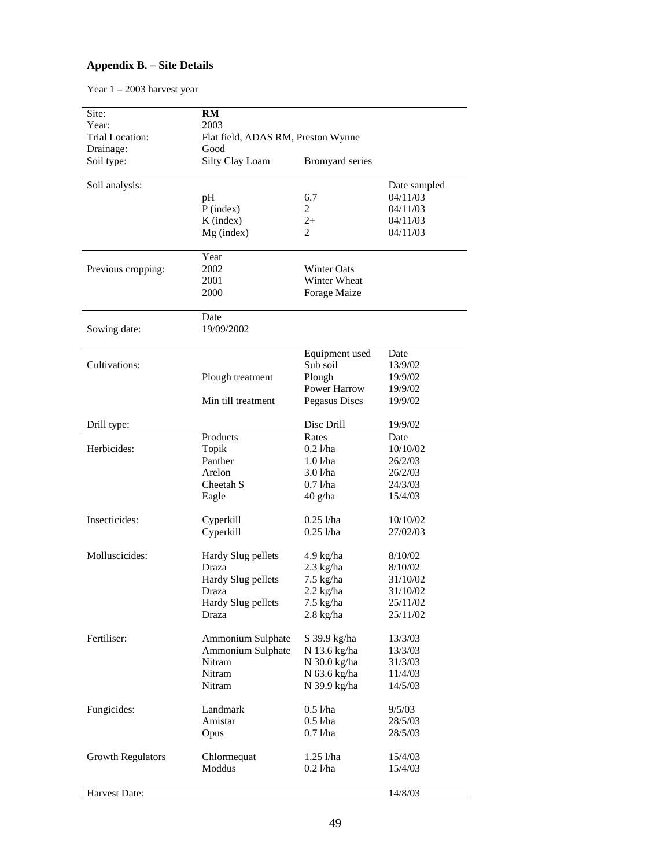# **Appendix B. – Site Details**

Year 1 – 2003 harvest year

| Site:<br>Year:     | RM<br>2003                         |                      |                      |  |  |
|--------------------|------------------------------------|----------------------|----------------------|--|--|
| Trial Location:    | Flat field, ADAS RM, Preston Wynne |                      |                      |  |  |
| Drainage:          | Good                               |                      |                      |  |  |
| Soil type:         | Silty Clay Loam                    | Bromyard series      |                      |  |  |
| Soil analysis:     |                                    |                      | Date sampled         |  |  |
|                    | pH                                 | 6.7                  | 04/11/03             |  |  |
|                    | $P$ (index)                        | $\overline{2}$       | 04/11/03             |  |  |
|                    | K (index)                          | $2+$                 | 04/11/03             |  |  |
|                    | Mg (index)                         | $\overline{c}$       | 04/11/03             |  |  |
|                    | Year                               |                      |                      |  |  |
| Previous cropping: | 2002                               | <b>Winter Oats</b>   |                      |  |  |
|                    | 2001                               | Winter Wheat         |                      |  |  |
|                    | 2000                               | Forage Maize         |                      |  |  |
|                    | Date                               |                      |                      |  |  |
| Sowing date:       | 19/09/2002                         |                      |                      |  |  |
|                    |                                    | Equipment used       | Date                 |  |  |
| Cultivations:      |                                    | Sub soil             | 13/9/02              |  |  |
|                    | Plough treatment                   | Plough               | 19/9/02              |  |  |
|                    |                                    | <b>Power Harrow</b>  | 19/9/02              |  |  |
|                    | Min till treatment                 | Pegasus Discs        | 19/9/02              |  |  |
| Drill type:        |                                    | Disc Drill           | 19/9/02              |  |  |
|                    | Products                           | Rates                | Date                 |  |  |
| Herbicides:        | Topik                              | $0.2$ l/ha           | 10/10/02             |  |  |
|                    | Panther                            | 1.01/ha              | 26/2/03              |  |  |
|                    | Arelon                             | 3.01/ha              | 26/2/03              |  |  |
|                    | Cheetah S                          | $0.71$ /ha           | 24/3/03              |  |  |
|                    | Eagle                              | $40 \text{ g/ha}$    | 15/4/03              |  |  |
| Insecticides:      | Cyperkill                          | $0.25$ l/ha          | 10/10/02             |  |  |
|                    | Cyperkill                          | $0.25$ l/ha          | 27/02/03             |  |  |
| Molluscicides:     |                                    | 4.9 kg/ha            | 8/10/02              |  |  |
|                    | Hardy Slug pellets<br>Draza        | $2.3$ kg/ha          | 8/10/02              |  |  |
|                    | Hardy Slug pellets                 | $7.5$ kg/ha          |                      |  |  |
|                    | Draza                              | $2.2$ kg/ha          | 31/10/02<br>31/10/02 |  |  |
|                    |                                    | 7.5 kg/ha            |                      |  |  |
|                    | Hardy Slug pellets<br>Draza        | $2.8$ kg/ha          | 25/11/02<br>25/11/02 |  |  |
|                    |                                    |                      |                      |  |  |
| Fertiliser:        | Ammonium Sulphate                  | S 39.9 kg/ha         | 13/3/03              |  |  |
|                    | Ammonium Sulphate                  | N 13.6 kg/ha         | 13/3/03              |  |  |
|                    | Nitram                             | N 30.0 kg/ha         | 31/3/03              |  |  |
|                    | Nitram                             | N 63.6 kg/ha         | 11/4/03              |  |  |
|                    | Nitram                             | N 39.9 kg/ha         | 14/5/03              |  |  |
| Fungicides:        | Landmark                           | $0.5$ l/ha           | 9/5/03               |  |  |
|                    | Amistar                            | $0.5\ \mathrm{l/ha}$ | 28/5/03              |  |  |
|                    | Opus                               | $0.7$ l/ha           | 28/5/03              |  |  |
| Growth Regulators  | Chlormequat                        | $1.25$ l/ha          | 15/4/03              |  |  |
|                    | Moddus                             | $0.2$ l/ha           | 15/4/03              |  |  |
|                    |                                    |                      |                      |  |  |
| Harvest Date:      |                                    |                      | 14/8/03              |  |  |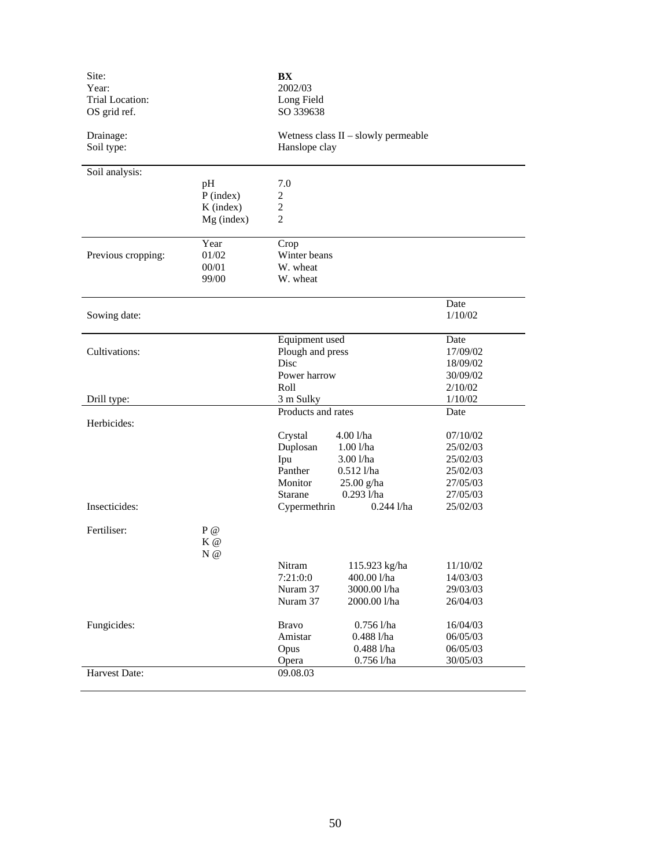| Site:<br>Year:<br>Trial Location:<br>OS grid ref. |                                                  | BX<br>2002/03<br>Long Field<br>SO 339638                                                                                                                                              |                                                                              |
|---------------------------------------------------|--------------------------------------------------|---------------------------------------------------------------------------------------------------------------------------------------------------------------------------------------|------------------------------------------------------------------------------|
| Drainage:<br>Soil type:                           |                                                  | Wetness class II - slowly permeable<br>Hanslope clay                                                                                                                                  |                                                                              |
| Soil analysis:                                    | pH<br>$P$ (index)<br>$K$ (index)<br>$Mg$ (index) | 7.0<br>$\overline{c}$<br>$\overline{c}$<br>$\overline{2}$                                                                                                                             |                                                                              |
| Previous cropping:                                | Year<br>01/02<br>00/01<br>99/00                  | Crop<br>Winter beans<br>W. wheat<br>W. wheat                                                                                                                                          |                                                                              |
| Sowing date:                                      |                                                  |                                                                                                                                                                                       | Date<br>1/10/02                                                              |
| Cultivations:                                     |                                                  | Equipment used<br>Plough and press<br>Disc<br>Power harrow                                                                                                                            | Date<br>17/09/02<br>18/09/02<br>30/09/02                                     |
| Drill type:                                       |                                                  | Roll<br>3 m Sulky                                                                                                                                                                     | 2/10/02<br>1/10/02                                                           |
| Herbicides:                                       |                                                  | Products and rates<br>4.00 l/ha<br>Crystal<br>Duplosan<br>$1.00$ $1/ha$<br>Ipu<br>$3.00$ l/ha<br>Panther<br>$0.512$ l/ha<br>Monitor<br>$25.00$ g/ha<br>$0.293$ l/ha<br><b>Starane</b> | Date<br>07/10/02<br>25/02/03<br>25/02/03<br>25/02/03<br>27/05/03<br>27/05/03 |
| Insecticides:                                     |                                                  | $0.244$ l/ha<br>Cypermethrin                                                                                                                                                          | 25/02/03                                                                     |
| Fertiliser:                                       | $P$ @<br>$K$ @<br>N@                             |                                                                                                                                                                                       |                                                                              |
|                                                   |                                                  | 115.923 kg/ha<br>Nitram<br>7:21:0:0<br>400.00 l/ha<br>Nuram 37<br>3000.00 l/ha<br>Nuram 37<br>2000.00 l/ha                                                                            | 11/10/02<br>14/03/03<br>29/03/03<br>26/04/03                                 |
| Fungicides:                                       |                                                  | <b>Bravo</b><br>$0.756$ l/ha<br>0.488 l/ha<br>Amistar<br>$0.488$ l/ha<br>Opus<br>$0.756$ l/ha<br>Opera                                                                                | 16/04/03<br>06/05/03<br>06/05/03<br>30/05/03                                 |
| Harvest Date:                                     |                                                  | 09.08.03                                                                                                                                                                              |                                                                              |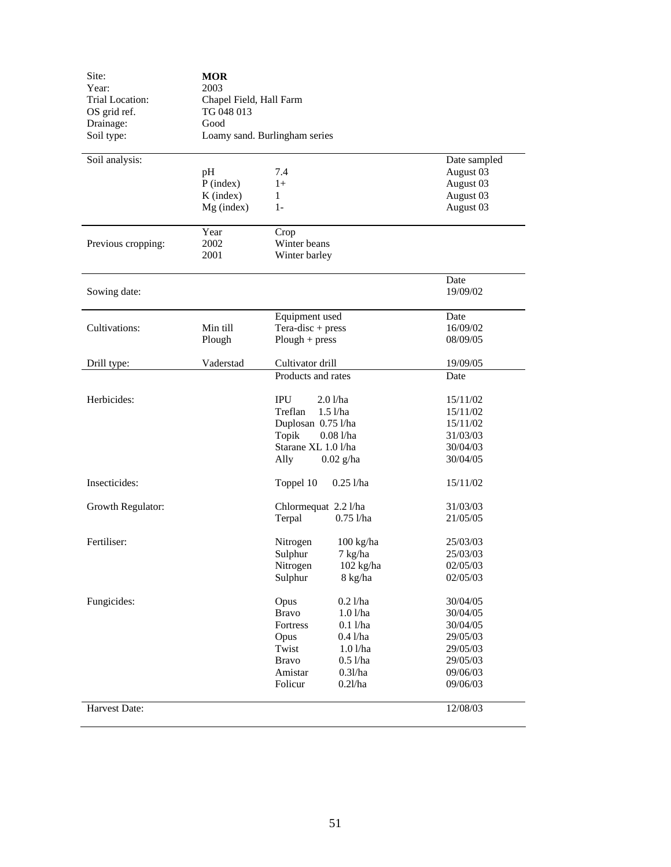| Year:<br>Trial Location: | 2003                                  |                            |              |  |  |  |
|--------------------------|---------------------------------------|----------------------------|--------------|--|--|--|
| OS grid ref.             | Chapel Field, Hall Farm<br>TG 048 013 |                            |              |  |  |  |
| Drainage:                | Good                                  |                            |              |  |  |  |
| Soil type:               | Loamy sand. Burlingham series         |                            |              |  |  |  |
| Soil analysis:           |                                       |                            | Date sampled |  |  |  |
|                          | pH                                    | 7.4                        | August 03    |  |  |  |
|                          | $P$ (index)                           | $1+$                       | August 03    |  |  |  |
|                          | $K$ (index)                           | $\mathbf{1}$               | August 03    |  |  |  |
|                          | $Mg$ (index)                          | $1-$                       | August 03    |  |  |  |
|                          | Year                                  | Crop                       |              |  |  |  |
| Previous cropping:       | 2002                                  | Winter beans               |              |  |  |  |
|                          | 2001                                  | Winter barley              |              |  |  |  |
|                          |                                       |                            | Date         |  |  |  |
| Sowing date:             |                                       |                            | 19/09/02     |  |  |  |
|                          |                                       | Equipment used             | Date         |  |  |  |
| Cultivations:            | Min till                              | $Tera\text{-}disc + press$ | 16/09/02     |  |  |  |
|                          | Plough                                | $Plough + press$           | 08/09/05     |  |  |  |
| Drill type:              | Vaderstad                             | Cultivator drill           | 19/09/05     |  |  |  |
|                          |                                       | Products and rates         | Date         |  |  |  |
| Herbicides:              |                                       | <b>IPU</b><br>2.01/ha      | 15/11/02     |  |  |  |
|                          |                                       | Treflan<br>$1.5$ $1/ha$    | 15/11/02     |  |  |  |
|                          |                                       | Duplosan 0.75 l/ha         | 15/11/02     |  |  |  |
|                          |                                       | Topik<br>$0.081$ /ha       | 31/03/03     |  |  |  |
|                          |                                       | Starane XL 1.0 l/ha        | 30/04/03     |  |  |  |
|                          |                                       | Ally<br>$0.02$ g/ha        | 30/04/05     |  |  |  |
| Insecticides:            |                                       | Toppel 10<br>$0.25$ l/ha   | 15/11/02     |  |  |  |
| Growth Regulator:        |                                       | Chlormequat 2.2 l/ha       | 31/03/03     |  |  |  |
|                          |                                       | Terpal<br>$0.75$ l/ha      | 21/05/05     |  |  |  |
| Fertiliser:              |                                       | Nitrogen<br>100 kg/ha      | 25/03/03     |  |  |  |
|                          |                                       | Sulphur<br>7 kg/ha         | 25/03/03     |  |  |  |
|                          |                                       | Nitrogen<br>102 kg/ha      | 02/05/03     |  |  |  |
|                          |                                       | Sulphur<br>8 kg/ha         | 02/05/03     |  |  |  |
| Fungicides:              |                                       | $0.2$ l/ha<br>Opus         | 30/04/05     |  |  |  |
|                          |                                       | <b>Bravo</b><br>1.01/ha    | 30/04/05     |  |  |  |
|                          |                                       | $0.1$ l/ha<br>Fortress     | 30/04/05     |  |  |  |
|                          |                                       | Opus<br>$0.4$ l/ha         | 29/05/03     |  |  |  |
|                          |                                       | Twist<br>1.01/ha           | 29/05/03     |  |  |  |
|                          |                                       | <b>Bravo</b><br>$0.5$ l/ha | 29/05/03     |  |  |  |
|                          |                                       | Amistar<br>0.31/ha         | 09/06/03     |  |  |  |
|                          |                                       | Folicur<br>0.21/ha         | 09/06/03     |  |  |  |
| Harvest Date:            |                                       |                            | 12/08/03     |  |  |  |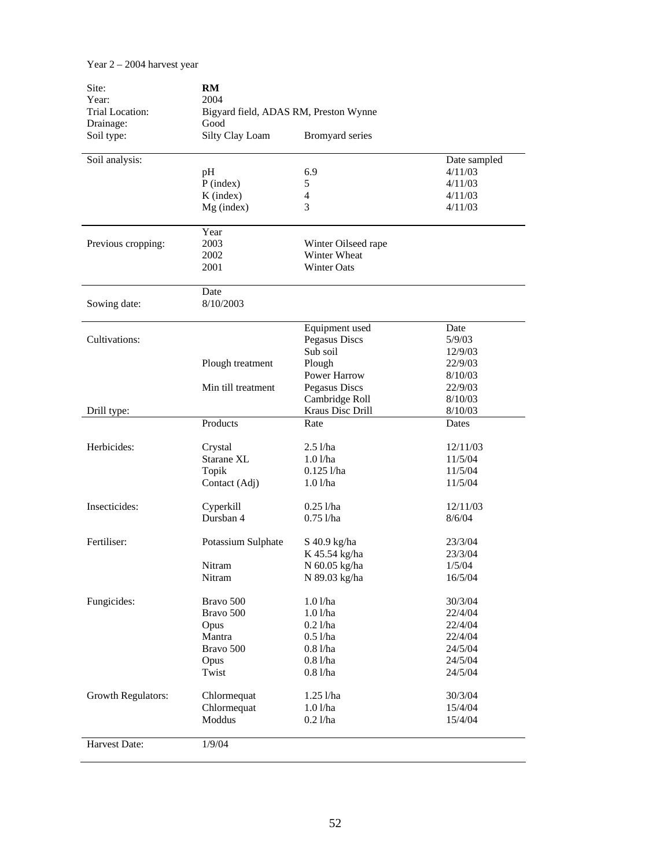| Site:                    | RM                                            |                     |              |  |  |
|--------------------------|-----------------------------------------------|---------------------|--------------|--|--|
| Year:<br>Trial Location: | 2004<br>Bigyard field, ADAS RM, Preston Wynne |                     |              |  |  |
| Drainage:                |                                               |                     |              |  |  |
| Soil type:               | Good<br>Silty Clay Loam                       | Bromyard series     |              |  |  |
|                          |                                               |                     |              |  |  |
| Soil analysis:           |                                               |                     | Date sampled |  |  |
|                          | pH                                            | 6.9                 | 4/11/03      |  |  |
|                          | $P$ (index)                                   | 5                   | 4/11/03      |  |  |
|                          | $K$ (index)                                   | $\overline{4}$      | 4/11/03      |  |  |
|                          | Mg (index)                                    | 3                   | 4/11/03      |  |  |
|                          | Year                                          |                     |              |  |  |
| Previous cropping:       | 2003                                          | Winter Oilseed rape |              |  |  |
|                          | 2002                                          | Winter Wheat        |              |  |  |
|                          | 2001                                          | <b>Winter Oats</b>  |              |  |  |
|                          | Date                                          |                     |              |  |  |
| Sowing date:             | 8/10/2003                                     |                     |              |  |  |
|                          |                                               | Equipment used      | Date         |  |  |
| Cultivations:            |                                               | Pegasus Discs       | 5/9/03       |  |  |
|                          |                                               | Sub soil            | 12/9/03      |  |  |
|                          | Plough treatment                              | Plough              | 22/9/03      |  |  |
|                          |                                               | Power Harrow        | 8/10/03      |  |  |
|                          | Min till treatment                            | Pegasus Discs       | 22/9/03      |  |  |
|                          |                                               | Cambridge Roll      | 8/10/03      |  |  |
| Drill type:              |                                               | Kraus Disc Drill    | 8/10/03      |  |  |
|                          | Products                                      | Rate                | Dates        |  |  |
| Herbicides:              | Crystal                                       | $2.5$ l/ha          | 12/11/03     |  |  |
|                          | Starane XL                                    | $1.0$ l/ha          | 11/5/04      |  |  |
|                          | Topik                                         | $0.125$ l/ha        | 11/5/04      |  |  |
|                          | Contact (Adj)                                 | 1.01/ha             | 11/5/04      |  |  |
|                          |                                               |                     |              |  |  |
| Insecticides:            | Cyperkill                                     | $0.25$ l/ha         | 12/11/03     |  |  |
|                          | Dursban 4                                     | $0.75$ l/ha         | 8/6/04       |  |  |
| Fertiliser:              | Potassium Sulphate                            | S 40.9 kg/ha        | 23/3/04      |  |  |
|                          |                                               | K 45.54 kg/ha       | 23/3/04      |  |  |
|                          | Nitram                                        | N 60.05 kg/ha       | 1/5/04       |  |  |
|                          | Nitram                                        | N 89.03 kg/ha       | 16/5/04      |  |  |
| Fungicides:              | Bravo 500                                     | 1.01/ha             | 30/3/04      |  |  |
|                          | Bravo 500                                     | $1.01$ /ha          | 22/4/04      |  |  |
|                          | Opus                                          | $0.2$ l/ha          | 22/4/04      |  |  |
|                          | Mantra                                        | $0.5$ l/ha          | 22/4/04      |  |  |
|                          | Bravo 500                                     | $0.81$ /ha          | 24/5/04      |  |  |
|                          | Opus                                          | $0.81$ /ha          | 24/5/04      |  |  |
|                          | Twist                                         | $0.81$ /ha          | 24/5/04      |  |  |
| Growth Regulators:       | Chlormequat                                   | $1.25$ l/ha         | 30/3/04      |  |  |
|                          | Chlormequat                                   | 1.01/ha             | 15/4/04      |  |  |
|                          | Moddus                                        | $0.2$ l/ha          | 15/4/04      |  |  |
| Harvest Date:            | 1/9/04                                        |                     |              |  |  |

Year 2 – 2004 harvest year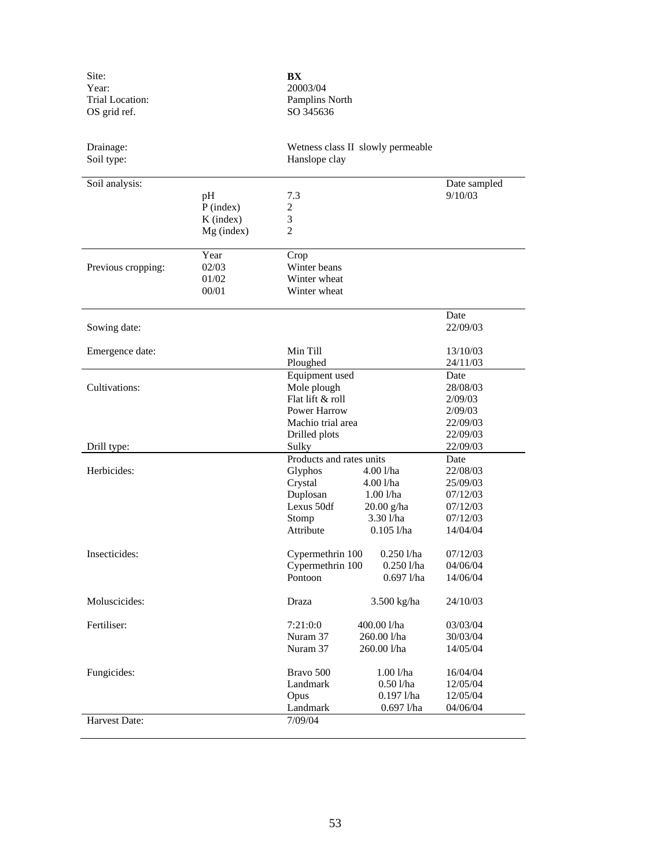| Site:<br>Year:<br>Trial Location:<br>OS grid ref. |                                                | BX<br>20003/04<br>Pamplins North<br>SO 345636                      |                                                                                       |                                                                      |
|---------------------------------------------------|------------------------------------------------|--------------------------------------------------------------------|---------------------------------------------------------------------------------------|----------------------------------------------------------------------|
| Drainage:<br>Soil type:                           |                                                | Hanslope clay                                                      | Wetness class II slowly permeable                                                     |                                                                      |
| Soil analysis:                                    | pH<br>$P$ (index)<br>$K$ (index)<br>Mg (index) | 7.3<br>2<br>3<br>$\overline{2}$                                    |                                                                                       | Date sampled<br>9/10/03                                              |
|                                                   |                                                |                                                                    |                                                                                       |                                                                      |
| Previous cropping:                                | Year<br>02/03<br>01/02<br>00/01                | Crop<br>Winter beans<br>Winter wheat<br>Winter wheat               |                                                                                       |                                                                      |
| Sowing date:                                      |                                                |                                                                    |                                                                                       | Date<br>22/09/03                                                     |
| Emergence date:                                   |                                                | Min Till<br>Ploughed                                               |                                                                                       | 13/10/03<br>24/11/03                                                 |
| Cultivations:                                     |                                                | Equipment used<br>Mole plough<br>Flat lift & roll                  |                                                                                       | Date<br>28/08/03<br>2/09/03                                          |
|                                                   |                                                | <b>Power Harrow</b><br>Machio trial area<br>Drilled plots          |                                                                                       | 2/09/03<br>22/09/03<br>22/09/03                                      |
| Drill type:                                       |                                                | Sulky<br>Products and rates units                                  |                                                                                       | 22/09/03<br>Date                                                     |
| Herbicides:                                       |                                                | Glyphos<br>Crystal<br>Duplosan<br>Lexus 50df<br>Stomp<br>Attribute | 4.00 l/ha<br>4.00 l/ha<br>$1.00$ $1$ /ha<br>$20.00$ g/ha<br>3.30 l/ha<br>$0.105$ l/ha | 22/08/03<br>25/09/03<br>07/12/03<br>07/12/03<br>07/12/03<br>14/04/04 |
| Insecticides:                                     |                                                | Cypermethrin 100<br>Cypermethrin 100<br>Pontoon                    | $0.250$ l/ha<br>$0.250$ l/ha<br>$0.697$ l/ha                                          | 07/12/03<br>04/06/04<br>14/06/04                                     |
| Moluscicides:                                     |                                                | Draza                                                              | 3.500 kg/ha                                                                           | 24/10/03                                                             |
| Fertiliser:                                       |                                                | 7:21:0:0<br>Nuram 37<br>Nuram 37                                   | 400.00 l/ha<br>260.00 l/ha<br>260.00 l/ha                                             | 03/03/04<br>30/03/04<br>14/05/04                                     |
| Fungicides:                                       |                                                | Bravo 500<br>Landmark<br>Opus<br>Landmark                          | 1.00 l/ha<br>$0.501$ /ha<br>$0.197$ l/ha<br>0.697 l/ha                                | 16/04/04<br>12/05/04<br>12/05/04<br>04/06/04                         |
| Harvest Date:                                     |                                                | 7/09/04                                                            |                                                                                       |                                                                      |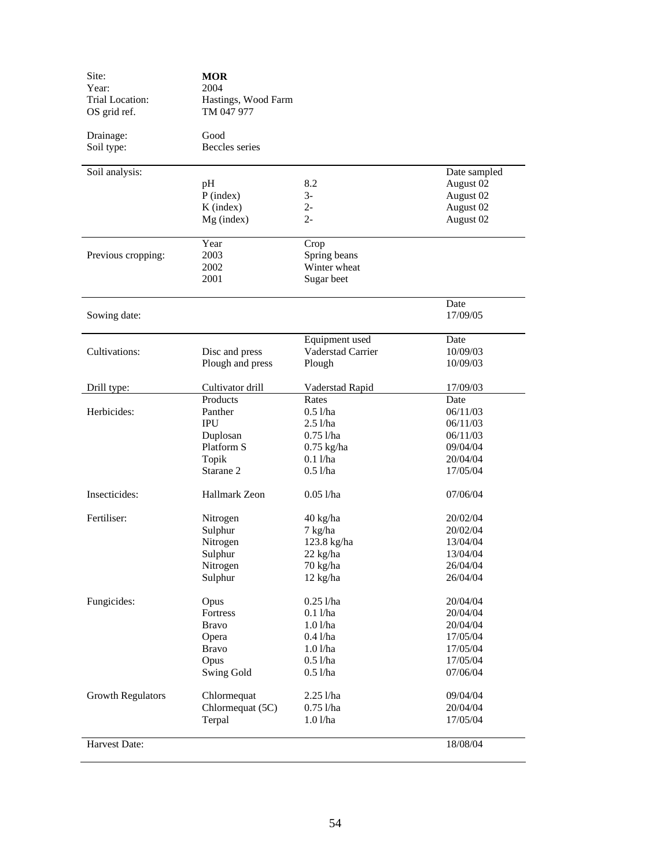| Site:<br>Year:<br><b>Trial Location:</b><br>OS grid ref. | <b>MOR</b><br>2004<br>Hastings, Wood Farm<br>TM 047 977 |                   |                  |
|----------------------------------------------------------|---------------------------------------------------------|-------------------|------------------|
| Drainage:<br>Soil type:                                  | Good<br>Beccles series                                  |                   |                  |
| Soil analysis:                                           |                                                         |                   | Date sampled     |
|                                                          | pH                                                      | 8.2               | August 02        |
|                                                          | $P$ (index)                                             | $3-$              | August 02        |
|                                                          | $K$ (index)                                             | $2 -$             | August 02        |
|                                                          | $Mg$ (index)                                            | $2 -$             | August 02        |
|                                                          | Year                                                    | Crop              |                  |
| Previous cropping:                                       | 2003                                                    | Spring beans      |                  |
|                                                          | 2002                                                    | Winter wheat      |                  |
|                                                          | 2001                                                    | Sugar beet        |                  |
| Sowing date:                                             |                                                         |                   | Date<br>17/09/05 |
|                                                          |                                                         | Equipment used    | Date             |
| Cultivations:                                            | Disc and press                                          | Vaderstad Carrier | 10/09/03         |
|                                                          | Plough and press                                        | Plough            | 10/09/03         |
| Drill type:                                              | Cultivator drill                                        | Vaderstad Rapid   | 17/09/03         |
|                                                          | Products                                                | Rates             | Date             |
| Herbicides:                                              | Panther                                                 | $0.5$ l/ha        | 06/11/03         |
|                                                          | <b>IPU</b>                                              | $2.5$ l/ha        | 06/11/03         |
|                                                          | Duplosan                                                | $0.75$ l/ha       | 06/11/03         |
|                                                          | Platform S                                              | $0.75$ kg/ha      | 09/04/04         |
|                                                          | Topik                                                   | $0.1$ l/ha        | 20/04/04         |
|                                                          | Starane 2                                               | $0.5$ l/ha        | 17/05/04         |
| Insecticides:                                            | <b>Hallmark Zeon</b>                                    | $0.05$ l/ha       | 07/06/04         |
| Fertiliser:                                              | Nitrogen                                                | 40 kg/ha          | 20/02/04         |
|                                                          | Sulphur                                                 | 7 kg/ha           | 20/02/04         |
|                                                          | Nitrogen                                                | 123.8 kg/ha       | 13/04/04         |
|                                                          | Sulphur                                                 | 22 kg/ha          | 13/04/04         |
|                                                          | Nitrogen                                                | 70 kg/ha          | 26/04/04         |
|                                                          | Sulphur                                                 | 12 kg/ha          | 26/04/04         |
| Fungicides:                                              | Opus                                                    | $0.25$ l/ha       | 20/04/04         |
|                                                          | Fortress                                                | $0.1$ l/ha        | 20/04/04         |
|                                                          | <b>Bravo</b>                                            | 1.01/ha           | 20/04/04         |
|                                                          | Opera                                                   | $0.4$ l/ha        | 17/05/04         |
|                                                          | <b>Bravo</b>                                            | 1.01/ha           | 17/05/04         |
|                                                          | Opus                                                    | $0.5$ l/ha        | 17/05/04         |
|                                                          | <b>Swing Gold</b>                                       | $0.5$ l/ha        | 07/06/04         |
| <b>Growth Regulators</b>                                 | Chlormequat                                             | 2.25 l/ha         | 09/04/04         |
|                                                          | Chlormequat (5C)                                        | $0.75$ l/ha       | 20/04/04         |
|                                                          | Terpal                                                  | 1.01/ha           | 17/05/04         |
| Harvest Date:                                            |                                                         |                   | 18/08/04         |
|                                                          |                                                         |                   |                  |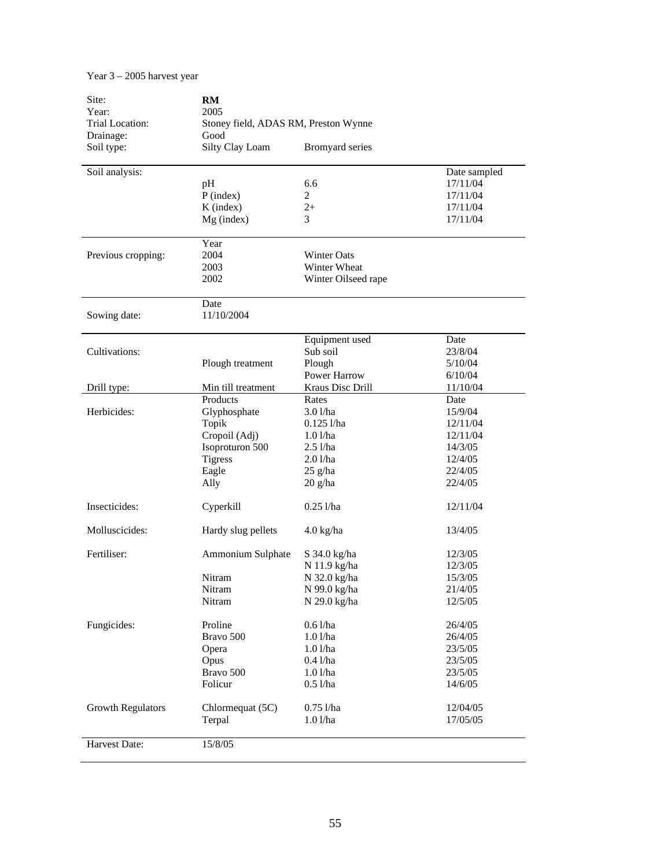# Year 3 – 2005 harvest year

| Site:<br>Year:           | RM<br>2005                           |                     |              |  |  |  |
|--------------------------|--------------------------------------|---------------------|--------------|--|--|--|
| Trial Location:          | Stoney field, ADAS RM, Preston Wynne |                     |              |  |  |  |
| Drainage:                | Good                                 |                     |              |  |  |  |
| Soil type:               | Silty Clay Loam                      | Bromyard series     |              |  |  |  |
| Soil analysis:           |                                      |                     | Date sampled |  |  |  |
|                          | pH                                   | 6.6                 | 17/11/04     |  |  |  |
|                          | $P$ (index)                          | $\overline{2}$      | 17/11/04     |  |  |  |
|                          | $K$ (index)                          | $2+$                | 17/11/04     |  |  |  |
|                          | Mg (index)                           | 3                   | 17/11/04     |  |  |  |
|                          | Year                                 |                     |              |  |  |  |
| Previous cropping:       | 2004                                 | <b>Winter Oats</b>  |              |  |  |  |
|                          | 2003                                 | Winter Wheat        |              |  |  |  |
|                          | 2002                                 | Winter Oilseed rape |              |  |  |  |
|                          | Date                                 |                     |              |  |  |  |
| Sowing date:             | 11/10/2004                           |                     |              |  |  |  |
|                          |                                      | Equipment used      | Date         |  |  |  |
| Cultivations:            |                                      | Sub soil            | 23/8/04      |  |  |  |
|                          | Plough treatment                     | Plough              | 5/10/04      |  |  |  |
|                          |                                      | <b>Power Harrow</b> | 6/10/04      |  |  |  |
| Drill type:              | Min till treatment                   | Kraus Disc Drill    | 11/10/04     |  |  |  |
|                          | Products                             | Rates               | Date         |  |  |  |
| Herbicides:              | Glyphosphate                         | $3.01$ /ha          | 15/9/04      |  |  |  |
|                          | Topik                                | $0.125$ l/ha        | 12/11/04     |  |  |  |
|                          | Cropoil (Adj)                        | 1.01/ha             | 12/11/04     |  |  |  |
|                          | Isoproturon 500                      | $2.5$ l/ha          | 14/3/05      |  |  |  |
|                          | <b>Tigress</b>                       | 2.01/ha             | 12/4/05      |  |  |  |
|                          | Eagle                                | $25$ g/ha           | 22/4/05      |  |  |  |
|                          | Ally                                 | $20$ g/ha           | 22/4/05      |  |  |  |
| Insecticides:            | Cyperkill                            | $0.25$ l/ha         | 12/11/04     |  |  |  |
| Molluscicides:           | Hardy slug pellets                   | $4.0 \text{ kg/ha}$ | 13/4/05      |  |  |  |
| Fertiliser:              | Ammonium Sulphate                    | S 34.0 kg/ha        | 12/3/05      |  |  |  |
|                          |                                      | N 11.9 kg/ha        | 12/3/05      |  |  |  |
|                          | Nitram                               | N 32.0 kg/ha        | 15/3/05      |  |  |  |
|                          | Nitram                               | N 99.0 kg/ha        | 21/4/05      |  |  |  |
|                          | Nitram                               | N 29.0 kg/ha        | 12/5/05      |  |  |  |
| Fungicides:              | Proline                              | $0.61$ /ha          | 26/4/05      |  |  |  |
|                          | Bravo 500                            | 1.01/ha             | 26/4/05      |  |  |  |
|                          | Opera                                | 1.01/ha             | 23/5/05      |  |  |  |
|                          | Opus                                 | $0.4$ l/ha          | 23/5/05      |  |  |  |
|                          | Bravo 500                            | 1.01/ha             | 23/5/05      |  |  |  |
|                          | Folicur                              | $0.5$ l/ha          | 14/6/05      |  |  |  |
| <b>Growth Regulators</b> | Chlormequat (5C)                     | $0.75$ l/ha         | 12/04/05     |  |  |  |
|                          | Terpal                               | 1.01/ha             | 17/05/05     |  |  |  |
|                          |                                      |                     |              |  |  |  |
| Harvest Date:            | 15/8/05                              |                     |              |  |  |  |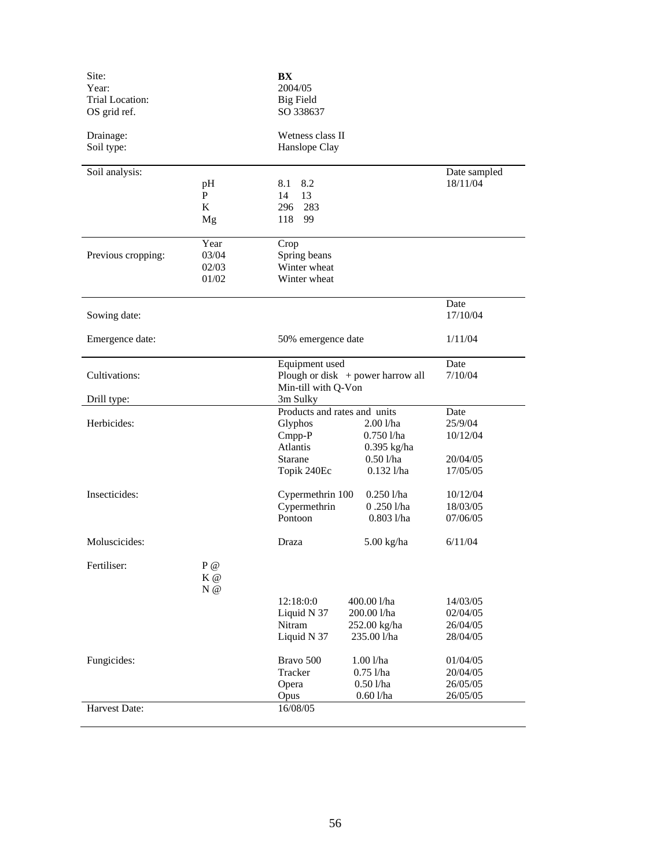| Site:<br>Year:         |                        | BX<br>2004/05                                         |                            |                          |
|------------------------|------------------------|-------------------------------------------------------|----------------------------|--------------------------|
| <b>Trial Location:</b> |                        | <b>Big Field</b>                                      |                            |                          |
| OS grid ref.           |                        | SO 338637                                             |                            |                          |
|                        |                        |                                                       |                            |                          |
| Drainage:              |                        | Wetness class II                                      |                            |                          |
| Soil type:             |                        | Hanslope Clay                                         |                            |                          |
|                        |                        |                                                       |                            |                          |
| Soil analysis:         | pH                     | 8.1<br>8.2                                            |                            | Date sampled<br>18/11/04 |
|                        | $\mathbf{P}$           | 14<br>13                                              |                            |                          |
|                        | K                      | 283<br>296                                            |                            |                          |
|                        | Mg                     | 99<br>118                                             |                            |                          |
|                        |                        |                                                       |                            |                          |
|                        | Year                   | Crop                                                  |                            |                          |
| Previous cropping:     | 03/04                  | Spring beans                                          |                            |                          |
|                        | 02/03                  | Winter wheat                                          |                            |                          |
|                        | 01/02                  | Winter wheat                                          |                            |                          |
|                        |                        |                                                       |                            | Date                     |
| Sowing date:           |                        |                                                       |                            | 17/10/04                 |
|                        |                        |                                                       |                            |                          |
| Emergence date:        |                        | 50% emergence date                                    |                            | 1/11/04                  |
|                        |                        |                                                       |                            |                          |
|                        |                        | Equipment used<br>Plough or disk $+$ power harrow all |                            | Date                     |
| Cultivations:          |                        |                                                       |                            | 7/10/04                  |
| Drill type:            |                        | Min-till with Q-Von<br>3m Sulky                       |                            |                          |
|                        |                        | Products and rates and units                          |                            | Date                     |
| Herbicides:            |                        | Glyphos                                               | $2.00$ l/ha                | 25/9/04                  |
|                        |                        | CmpP                                                  | $0.750$ l/ha               | 10/12/04                 |
|                        |                        | <b>Atlantis</b>                                       | $0.395$ kg/ha              |                          |
|                        |                        | Starane                                               | $0.50$ l/ha                | 20/04/05                 |
|                        |                        | Topik 240Ec                                           | $0.132$ l/ha               | 17/05/05                 |
| Insecticides:          |                        |                                                       | $0.250$ l/ha               | 10/12/04                 |
|                        |                        | Cypermethrin 100<br>Cypermethrin                      | $0.250$ l/ha               | 18/03/05                 |
|                        |                        | Pontoon                                               | $0.803$ l/ha               | 07/06/05                 |
|                        |                        |                                                       |                            |                          |
| Moluscicides:          |                        | Draza                                                 | 5.00 kg/ha                 | 6/11/04                  |
|                        |                        |                                                       |                            |                          |
| Fertiliser:            | ${\bf P}$ $@$<br>$K$ @ |                                                       |                            |                          |
|                        | $N$ @                  |                                                       |                            |                          |
|                        |                        | 12:18:0:0                                             | 400.00 l/ha                | 14/03/05                 |
|                        |                        | Liquid N 37                                           | 200.00 l/ha                | 02/04/05                 |
|                        |                        | Nitram                                                | 252.00 kg/ha               | 26/04/05                 |
|                        |                        | Liquid N 37                                           | 235.00 l/ha                | 28/04/05                 |
|                        |                        |                                                       |                            |                          |
| Fungicides:            |                        | Bravo 500                                             | 1.001/ha                   | 01/04/05                 |
|                        |                        | Tracker                                               | $0.75$ l/ha<br>$0.501$ /ha | 20/04/05<br>26/05/05     |
|                        |                        | Opera<br>Opus                                         | 0.601/ha                   | 26/05/05                 |
| Harvest Date:          |                        | 16/08/05                                              |                            |                          |
|                        |                        |                                                       |                            |                          |